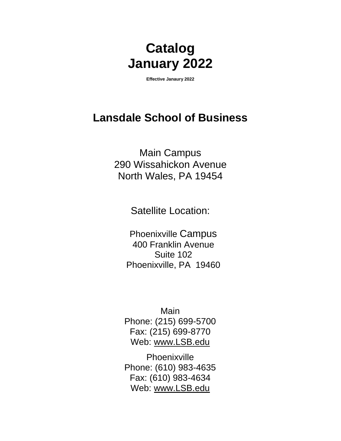# **Catalog January 2022**

**Effective Janaury 2022**

# **Lansdale School of Business**

Main Campus 290 Wissahickon Avenue North Wales, PA 19454

Satellite Location:

Phoenixville Campus 400 Franklin Avenue Suite 102 Phoenixville, PA 19460

Main Phone: (215) 699-5700 Fax: (215) 699-8770 Web: [www.LSB.edu](http://www.lsb.edu/)

Phoenixville Phone: (610) 983-4635 Fax: (610) 983-4634 Web: [www.LSB.edu](http://www.lsb.edu/)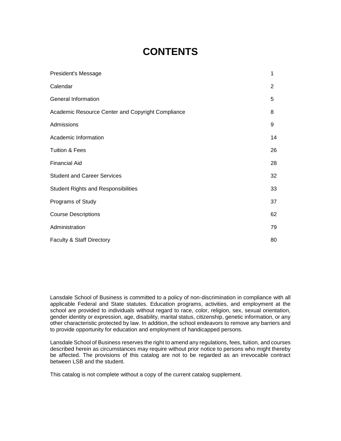# **CONTENTS**

| President's Message                               | 1  |
|---------------------------------------------------|----|
| Calendar                                          | 2  |
| General Information                               | 5  |
| Academic Resource Center and Copyright Compliance | 8  |
| Admissions                                        | 9  |
| Academic Information                              | 14 |
| <b>Tuition &amp; Fees</b>                         | 26 |
| <b>Financial Aid</b>                              | 28 |
| <b>Student and Career Services</b>                | 32 |
| <b>Student Rights and Responsibilities</b>        | 33 |
| Programs of Study                                 | 37 |
| <b>Course Descriptions</b>                        | 62 |
| Administration                                    | 79 |
| Faculty & Staff Directory                         | 80 |

Lansdale School of Business is committed to a policy of non-discrimination in compliance with all applicable Federal and State statutes. Education programs, activities, and employment at the school are provided to individuals without regard to race, color, religion, sex, sexual orientation, gender identity or expression, age, disability, marital status, citizenship, genetic information, or any other characteristic protected by law. In addition, the school endeavors to remove any barriers and to provide opportunity for education and employment of handicapped persons.

Lansdale School of Business reserves the right to amend any regulations, fees, tuition, and courses described herein as circumstances may require without prior notice to persons who might thereby be affected. The provisions of this catalog are not to be regarded as an irrevocable contract between LSB and the student.

This catalog is not complete without a copy of the current catalog supplement.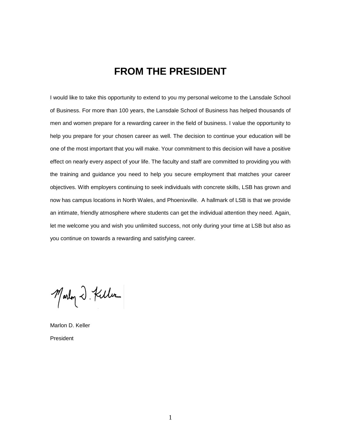# **FROM THE PRESIDENT**

I would like to take this opportunity to extend to you my personal welcome to the Lansdale School of Business. For more than 100 years, the Lansdale School of Business has helped thousands of men and women prepare for a rewarding career in the field of business. I value the opportunity to help you prepare for your chosen career as well. The decision to continue your education will be one of the most important that you will make. Your commitment to this decision will have a positive effect on nearly every aspect of your life. The faculty and staff are committed to providing you with the training and guidance you need to help you secure employment that matches your career objectives. With employers continuing to seek individuals with concrete skills, LSB has grown and now has campus locations in North Wales, and Phoenixville. A hallmark of LSB is that we provide an intimate, friendly atmosphere where students can get the individual attention they need. Again, let me welcome you and wish you unlimited success, not only during your time at LSB but also as you continue on towards a rewarding and satisfying career.

Marloy 2. Killer

Marlon D. Keller President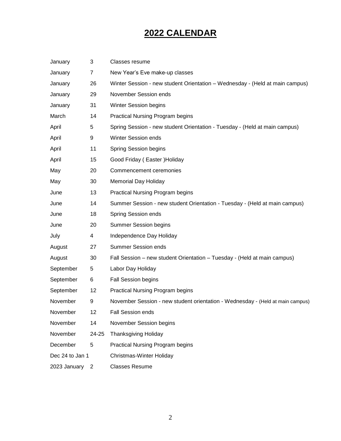# **2022 CALENDAR**

| January         | 3     | Classes resume                                                                 |
|-----------------|-------|--------------------------------------------------------------------------------|
| January         | 7     | New Year's Eve make-up classes                                                 |
| January         | 26    | Winter Session - new student Orientation - Wednesday - (Held at main campus)   |
| January         | 29    | November Session ends                                                          |
| January         | 31    | <b>Winter Session begins</b>                                                   |
| March           | 14    | <b>Practical Nursing Program begins</b>                                        |
| April           | 5     | Spring Session - new student Orientation - Tuesday - (Held at main campus)     |
| April           | 9     | <b>Winter Session ends</b>                                                     |
| April           | 11    | Spring Session begins                                                          |
| April           | 15    | Good Friday (Easter) Holiday                                                   |
| May             | 20    | Commencement ceremonies                                                        |
| May             | 30    | <b>Memorial Day Holiday</b>                                                    |
| June            | 13    | <b>Practical Nursing Program begins</b>                                        |
| June            | 14    | Summer Session - new student Orientation - Tuesday - (Held at main campus)     |
| June            | 18    | <b>Spring Session ends</b>                                                     |
| June            | 20    | <b>Summer Session begins</b>                                                   |
| July            | 4     | Independence Day Holiday                                                       |
| August          | 27    | <b>Summer Session ends</b>                                                     |
| August          | 30    | Fall Session - new student Orientation - Tuesday - (Held at main campus)       |
| September       | 5     | Labor Day Holiday                                                              |
| September       | 6     | <b>Fall Session begins</b>                                                     |
| September       | 12    | <b>Practical Nursing Program begins</b>                                        |
| November        | 9     | November Session - new student orientation - Wednesday - (Held at main campus) |
| November        | 12    | Fall Session ends                                                              |
| November        | 14    | November Session begins                                                        |
| November        | 24-25 | <b>Thanksgiving Holiday</b>                                                    |
| December        | 5     | <b>Practical Nursing Program begins</b>                                        |
| Dec 24 to Jan 1 |       | Christmas-Winter Holiday                                                       |
| 2023 January    | 2     | <b>Classes Resume</b>                                                          |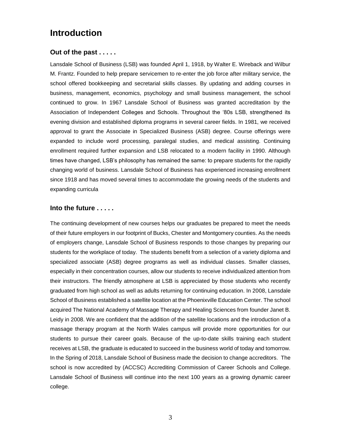# **Introduction**

### **Out of the past . . . . .**

Lansdale School of Business (LSB) was founded April 1, 1918, by Walter E. Wireback and Wilbur M. Frantz. Founded to help prepare servicemen to re-enter the job force after military service, the school offered bookkeeping and secretarial skills classes. By updating and adding courses in business, management, economics, psychology and small business management, the school continued to grow. In 1967 Lansdale School of Business was granted accreditation by the Association of Independent Colleges and Schools. Throughout the '80s LSB, strengthened its evening division and established diploma programs in several career fields. In 1981, we received approval to grant the Associate in Specialized Business (ASB) degree. Course offerings were expanded to include word processing, paralegal studies, and medical assisting. Continuing enrollment required further expansion and LSB relocated to a modern facility in 1990. Although times have changed, LSB's philosophy has remained the same: to prepare students for the rapidly changing world of business. Lansdale School of Business has experienced increasing enrollment since 1918 and has moved several times to accommodate the growing needs of the students and expanding curricula

### **Into the future . . . . .**

The continuing development of new courses helps our graduates be prepared to meet the needs of their future employers in our footprint of Bucks, Chester and Montgomery counties. As the needs of employers change, Lansdale School of Business responds to those changes by preparing our students for the workplace of today. The students benefit from a selection of a variety diploma and specialized associate (ASB) degree programs as well as individual classes. Smaller classes, especially in their concentration courses, allow our students to receive individualized attention from their instructors. The friendly atmosphere at LSB is appreciated by those students who recently graduated from high school as well as adults returning for continuing education. In 2008, Lansdale School of Business established a satellite location at the Phoenixville Education Center. The school acquired The National Academy of Massage Therapy and Healing Sciences from founder Janet B. Leidy in 2008. We are confident that the addition of the satellite locations and the introduction of a massage therapy program at the North Wales campus will provide more opportunities for our students to pursue their career goals. Because of the up-to-date skills training each student receives at LSB, the graduate is educated to succeed in the business world of today and tomorrow. In the Spring of 2018, Lansdale School of Business made the decision to change accreditors. The school is now accredited by (ACCSC) Accrediting Commission of Career Schools and College. Lansdale School of Business will continue into the next 100 years as a growing dynamic career college.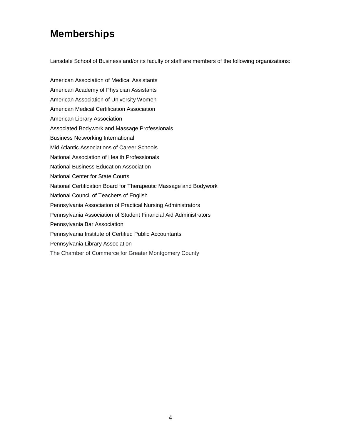# **Memberships**

Lansdale School of Business and/or its faculty or staff are members of the following organizations:

American Association of Medical Assistants American Academy of Physician Assistants American Association of University Women American Medical Certification Association American Library Association Associated Bodywork and Massage Professionals Business Networking International Mid Atlantic Associations of Career Schools National Association of Health Professionals National Business Education Association National Center for State Courts National Certification Board for Therapeutic Massage and Bodywork National Council of Teachers of English Pennsylvania Association of Practical Nursing Administrators Pennsylvania Association of Student Financial Aid Administrators Pennsylvania Bar Association Pennsylvania Institute of Certified Public Accountants Pennsylvania Library Association The Chamber of Commerce for Greater Montgomery County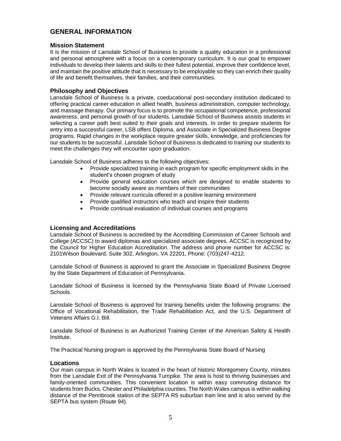# **GENERAL INFORMATION**

#### **Mission Statement**

It is the mission of Lansdale School of Business to provide a quality education in a professional and personal atmosphere with a focus on a contemporary curriculum. It is our goal to empower individuals to develop their talents and skills to their fullest potential, improve their confidence level, and maintain the positive attitude that is necessary to be employable so they can enrich their quality of life and benefit themselves, their families, and their communities.

#### **Philosophy and Objectives**

Lansdale School of Business is a private, coeducational post-secondary institution dedicated to offering practical career education in allied health, business administration, computer technology, and massage therapy. Our primary focus is to promote the occupational competence, professional awareness, and personal growth of our students. Lansdale School of Business assists students in selecting a career path best suited to their goals and interests. In order to prepare students for entry into a successful career, LSB offers Diploma, and Associate in Specialized Business Degree programs. Rapid changes in the workplace require greater skills, knowledge, and proficiencies for our students to be successful. Lansdale School of Business is dedicated to training our students to meet the challenges they will encounter upon graduation.

Lansdale School of Business adheres to the following objectives:

- Provide specialized training in each program for specific employment skills in the student's chosen program of study
- Provide general education courses which are designed to enable students to become socially aware as members of their communities
- Provide relevant curricula offered in a positive learning environment
- Provide qualified instructors who teach and inspire their students
- Provide continual evaluation of individual courses and programs

#### **Licensing and Accreditations**

Lansdale School of Business is accredited by the Accrediting Commission of Career Schools and College (ACCSC) to award diplomas and specialized associate degrees. ACCSC is recognized by the Council for Higher Education Accreditation. The address and phone number for ACCSC is: 2101Wilson Boulevard, Suite 302, Arlington, VA 22201, Phone: (703)247-4212.

Lansdale School of Business is approved to grant the Associate in Specialized Business Degree by the State Department of Education of Pennsylvania.

Lansdale School of Business is licensed by the Pennsylvania State Board of Private Licensed Schools.

Lansdale School of Business is approved for training benefits under the following programs: the Office of Vocational Rehabilitation, the Trade Rehabilitation Act, and the U.S. Department of Veterans Affairs G.I. Bill.

Lansdale School of Business is an Authorized Training Center of the American Safety & Health Institute.

The Practical Nursing program is approved by the Pennsylvania State Board of Nursing

#### **Locations**

Our main campus in North Wales is located in the heart of historic Montgomery County, minutes from the Lansdale Exit of the Pennsylvania Turnpike. The area is host to thriving businesses and family-oriented communities. This convenient location is within easy commuting distance for students from Bucks, Chester and Philadelphia counties. The North Wales campus is within walking distance of the Pennbrook station of the SEPTA R5 suburban train line and is also served by the SEPTA bus system (Route 94).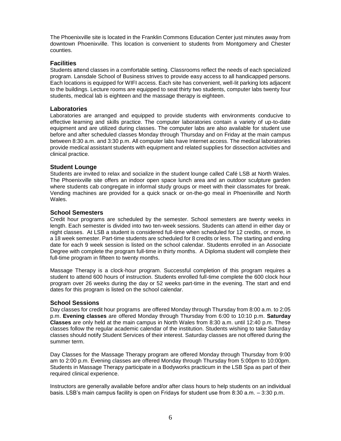The Phoenixville site is located in the Franklin Commons Education Center just minutes away from downtown Phoenixville. This location is convenient to students from Montgomery and Chester counties.

#### **Facilities**

Students attend classes in a comfortable setting. Classrooms reflect the needs of each specialized program. Lansdale School of Business strives to provide easy access to all handicapped persons. Each locations is equipped for WIFI access. Each site has convenient, well-lit parking lots adjacent to the buildings. Lecture rooms are equipped to seat thirty two students, computer labs twenty four students, medical lab is eighteen and the massage therapy is eighteen.

#### **Laboratories**

Laboratories are arranged and equipped to provide students with environments conducive to effective learning and skills practice. The computer laboratories contain a variety of up-to-date equipment and are utilized during classes. The computer labs are also available for student use before and after scheduled classes Monday through Thursday and on Friday at the main campus between 8:30 a.m. and 3:30 p.m. All computer labs have Internet access. The medical laboratories provide medical assistant students with equipment and related supplies for dissection activities and clinical practice.

#### **Student Lounge**

Students are invited to relax and socialize in the student lounge called Café LSB at North Wales. The Phoenixville site offers an indoor open space lunch area and an outdoor sculpture garden where students cab congregate in informal study groups or meet with their classmates for break. Vending machines are provided for a quick snack or on-the-go meal in Phoenixville and North Wales.

#### **School Semesters**

Credit hour programs are scheduled by the semester. School semesters are twenty weeks in length. Each semester is divided into two ten-week sessions. Students can attend in either day or night classes. At LSB a student is considered full-time when scheduled for 12 credits, or more, in a 18 week semester. Part-time students are scheduled for 8 credits or less. The starting and ending date for each 9 week session is listed on the school calendar. Students enrolled in an Associate Degree with complete the program full-time in thirty months. A Diploma student will complete their full-time program in fifteen to twenty months.

Massage Therapy is a clock-hour program. Successful completion of this program requires a student to attend 600 hours of instruction. Students enrolled full-time complete the 600 clock hour program over 26 weeks during the day or 52 weeks part-time in the evening. The start and end dates for this program is listed on the school calendar.

#### **School Sessions**

Day classes for credit hour programs are offered Monday through Thursday from 8:00 a.m. to 2:05 p.m. **Evening classes** are offered Monday through Thursday from 6:00 to 10:10 p.m. **Saturday Classes** are only held at the main campus in North Wales from 8:30 a.m. until 12:40 p.m. These classes follow the regular academic calendar of the institution. Students wishing to take Saturday classes should notify Student Services of their interest. Saturday classes are not offered during the summer term.

Day Classes for the Massage Therapy program are offered Monday through Thursday from 9:00 am to 2:00 p.m. Evening classes are offered Monday through Thursday from 5:00pm to 10:00pm. Students in Massage Therapy participate in a Bodyworks practicum in the LSB Spa as part of their required clinical experience.

Instructors are generally available before and/or after class hours to help students on an individual basis. LSB's main campus facility is open on Fridays for student use from 8:30 a.m. – 3:30 p.m.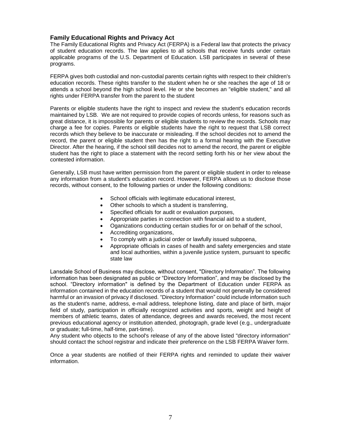#### **Family Educational Rights and Privacy Act**

The Family Educational Rights and Privacy Act (FERPA) is a Federal law that protects the privacy of student education records. The law applies to all schools that receive funds under certain applicable programs of the U.S. Department of Education. LSB participates in several of these programs.

FERPA gives both custodial and non-custodial parents certain rights with respect to their children's education records. These rights transfer to the student when he or she reaches the age of 18 or attends a school beyond the high school level. He or she becomes an "eligible student," and all rights under FERPA transfer from the parent to the student

Parents or eligible students have the right to inspect and review the student's education records maintained by LSB. We are not required to provide copies of records unless, for reasons such as great distance, it is impossible for parents or eligible students to review the records. Schools may charge a fee for copies. Parents or eligible students have the right to request that LSB correct records which they believe to be inaccurate or misleading. If the school decides not to amend the record, the parent or eligible student then has the right to a formal hearing with the Executive Director. After the hearing, if the school still decides not to amend the record, the parent or eligible student has the right to place a statement with the record setting forth his or her view about the contested information.

Generally, LSB must have written permission from the parent or eligible student in order to release any information from a student's education record. However, FERPA allows us to disclose those records, without consent, to the following parties or under the following conditions:

- School officials with legitimate educational interest,
- Other schools to which a student is transferring,
- Specified officials for audit or evaluation purposes,
- Appropriate parties in connection with financial aid to a student,
- Oganizations conducting certain studies for or on behalf of the school,
- Accrediting organizations,
- To comply with a judicial order or lawfully issued subpoena,
- Appropriate officials in cases of health and safety emergencies and state and local authorities, within a juvenile justice system, pursuant to specific state law

Lansdale School of Business may disclose, without consent, "Directory Information". The following information has been designated as public or "Directory Information", and may be disclosed by the school. "Directory information" is defined by the Department of Education under FERPA as information contained in the education records of a student that would not generally be considered harmful or an invasion of privacy if disclosed. "Directory Information" could include information such as the student's name, address, e-mail address, telephone listing, date and place of birth, major field of study, participation in officially recognized activities and sports, weight and height of members of athletic teams, dates of attendance, degrees and awards received, the most recent previous educational agency or institution attended, photograph, grade level (e.g., undergraduate or graduate; full-time, half-time, part-time).

Any student who objects to the school's release of any of the above listed "directory information" should contact the school registrar and indicate their preference on the LSB FERPA Waiver form.

Once a year students are notified of their FERPA rights and reminded to update their waiver information.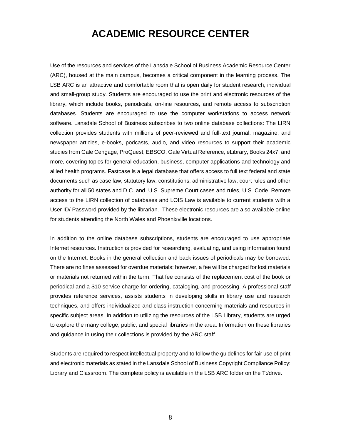# **ACADEMIC RESOURCE CENTER**

Use of the resources and services of the Lansdale School of Business Academic Resource Center (ARC), housed at the main campus, becomes a critical component in the learning process. The LSB ARC is an attractive and comfortable room that is open daily for student research, individual and small-group study. Students are encouraged to use the print and electronic resources of the library, which include books, periodicals, on-line resources, and remote access to subscription databases. Students are encouraged to use the computer workstations to access network software. Lansdale School of Business subscribes to two online database collections: The LIRN collection provides students with millions of peer-reviewed and full-text journal, magazine, and newspaper articles, e-books, podcasts, audio, and video resources to support their academic studies from Gale Cengage, ProQuest, EBSCO, Gale Virtual Reference, eLibrary, Books 24x7, and more, covering topics for general education, business, computer applications and technology and allied health programs. Fastcase is a legal database that offers access to full text federal and state documents such as case law, statutory law, constitutions, administrative law, court rules and other authority for all 50 states and D.C. and U.S. Supreme Court cases and rules, U.S. Code. Remote access to the LIRN collection of databases and LOIS Law is available to current students with a User ID/ Password provided by the librarian. These electronic resources are also available online for students attending the North Wales and Phoenixville locations.

In addition to the online database subscriptions, students are encouraged to use appropriate Internet resources. Instruction is provided for researching, evaluating, and using information found on the Internet. Books in the general collection and back issues of periodicals may be borrowed. There are no fines assessed for overdue materials; however, a fee will be charged for lost materials or materials not returned within the term. That fee consists of the replacement cost of the book or periodical and a \$10 service charge for ordering, cataloging, and processing. A professional staff provides reference services, assists students in developing skills in library use and research techniques, and offers individualized and class instruction concerning materials and resources in specific subject areas. In addition to utilizing the resources of the LSB Library, students are urged to explore the many college, public, and special libraries in the area. Information on these libraries and guidance in using their collections is provided by the ARC staff.

Students are required to respect intellectual property and to follow the guidelines for fair use of print and electronic materials as stated in the Lansdale School of Business Copyright Compliance Policy: Library and Classroom. The complete policy is available in the LSB ARC folder on the T:/drive.

8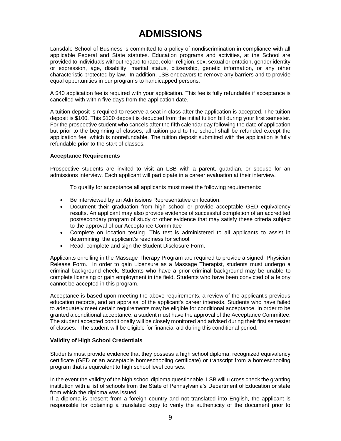# **ADMISSIONS**

Lansdale School of Business is committed to a policy of nondiscrimination in compliance with all applicable Federal and State statutes. Education programs and activities, at the School are provided to individuals without regard to race, color, religion, sex, sexual orientation, gender identity or expression, age, disability, marital status, citizenship, genetic information, or any other characteristic protected by law. In addition, LSB endeavors to remove any barriers and to provide equal opportunities in our programs to handicapped persons.

A \$40 application fee is required with your application. This fee is fully refundable if acceptance is cancelled with within five days from the application date.

A tuition deposit is required to reserve a seat in class after the application is accepted. The tuition deposit is \$100. This \$100 deposit is deducted from the initial tuition bill during your first semester. For the prospective student who cancels after the fifth calendar day following the date of application but prior to the beginning of classes, all tuition paid to the school shall be refunded except the application fee, which is nonrefundable. The tuition deposit submitted with the application is fully refundable prior to the start of classes.

#### **Acceptance Requirements**

Prospective students are invited to visit an LSB with a parent, guardian, or spouse for an admissions interview. Each applicant will participate in a career evaluation at their interview.

To qualify for acceptance all applicants must meet the following requirements:

- Be interviewed by an Admissions Representative on location.
- Document their graduation from high school or provide acceptable GED equivalency results. An applicant may also provide evidence of successful completion of an accredited postsecondary program of study or other evidence that may satisfy these criteria subject to the approval of our Acceptance Committee
- Complete on location testing. This test is administered to all applicants to assist in determining the applicant's readiness for school.
- Read, complete and sign the Student Disclosure Form.

Applicants enrolling in the Massage Therapy Program are required to provide a signed Physician Release Form. In order to gain Licensure as a Massage Therapist, students must undergo a criminal background check. Students who have a prior criminal background may be unable to complete licensing or gain employment in the field. Students who have been convicted of a felony cannot be accepted in this program.

Acceptance is based upon meeting the above requirements, a review of the applicant's previous education records, and an appraisal of the applicant's career interests. Students who have failed to adequately meet certain requirements may be eligible for conditional acceptance. In order to be granted a conditional acceptance, a student must have the approval of the Acceptance Committee. The student accepted conditionally will be closely monitored and advised during their first semester of classes. The student will be eligible for financial aid during this conditional period.

#### **Validity of High School Credentials**

Students must provide evidence that they possess a high school diploma, recognized equivalency certificate (GED or an acceptable homeschooling certificate) or transcript from a homeschooling program that is equivalent to high school level courses.

In the event the validity of the high school diploma questionable, LSB will u cross check the granting institution with a list of schools from the State of Pennsylvania's Department of Education or state from which the diploma was issued.

If a diploma is present from a foreign country and not translated into English, the applicant is responsible for obtaining a translated copy to verify the authenticity of the document prior to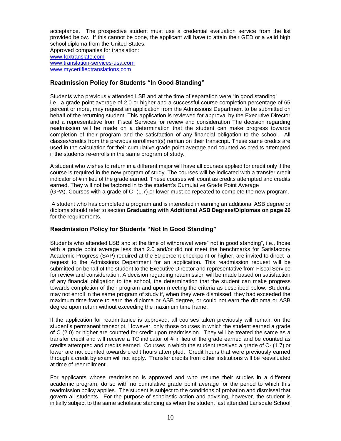acceptance. The prospective student must use a credential evaluation service from the list provided below. If this cannot be done, the applicant will have to attain their GED or a valid high school diploma from the United States.

Approved companies for translation: [www.foxtranslate.com](http://www.foxtranslate.com/) [www.translation-services-usa.com](http://www.translation-services-usa.com/) [www.mycertifiedtranslations.com](http://www.mycertifiedtranslations.com/)

### **Readmission Policy for Students "In Good Standing"**

Students who previously attended LSB and at the time of separation were "in good standing" i.e. a grade point average of 2.0 or higher and a successful course completion percentage of 65 percent or more, may request an application from the Admissions Department to be submitted on behalf of the returning student. This application is reviewed for approval by the Executive Director and a representative from Fiscal Services for review and consideration The decision regarding readmission will be made on a determination that the student can make progress towards completion of their program and the satisfaction of any financial obligation to the school. All classes/credits from the previous enrollment(s) remain on their transcript. These same credits are used in the calculation for their cumulative grade point average and counted as credits attempted if the students re-enrolls in the same program of study.

A student who wishes to return in a different major will have all courses applied for credit only if the course is required in the new program of study. The courses will be indicated with a transfer credit indicator of # in lieu of the grade earned. These courses will count as credits attempted and credits earned. They will not be factored in to the student's Cumulative Grade Point Average (GPA). Courses with a grade of C- (1.7) or lower must be repeated to complete the new program.

A student who has completed a program and is interested in earning an additional ASB degree or diploma should refer to section **Graduating with Additional ASB Degrees/Diplomas on page 26**  for the requirements.

# **Readmission Policy for Students "Not In Good Standing"**

Students who attended LSB and at the time of withdrawal were" not in good standing", i.e., those with a grade point average less than 2.0 and/or did not meet the benchmarks for Satisfactory Academic Progress (SAP) required at the 50 percent checkpoint or higher, are invited to direct a request to the Admissions Department for an application. This readmission request will be submitted on behalf of the student to the Executive Director and representative from Fiscal Service for review and consideration. A decision regarding readmission will be made based on satisfaction of any financial obligation to the school, the determination that the student can make progress towards completion of their program and upon meeting the criteria as described below. Students may not enroll in the same program of study if, when they were dismissed, they had exceeded the maximum time frame to earn the diploma or ASB degree, or could not earn the diploma or ASB degree upon return without exceeding the maximum time frame.

If the application for readmittance is approved, all courses taken previously will remain on the student's permanent transcript. However, only those courses in which the student earned a grade of C (2.0) or higher are counted for credit upon readmission. They will be treated the same as a transfer credit and will receive a TC indicator of # in lieu of the grade earned and be counted as credits attempted and credits earned. Courses in which the student received a grade of C- (1.7) or lower are not counted towards credit hours attempted. Credit hours that were previously earned through a credit by exam will not apply. Transfer credits from other institutions will be reevaluated at time of reenrollment.

For applicants whose readmission is approved and who resume their studies in a different academic program, do so with no cumulative grade point average for the period to which this readmission policy applies. The student is subject to the conditions of probation and dismissal that govern all students. For the purpose of scholastic action and advising, however, the student is initially subject to the same scholastic standing as when the student last attended Lansdale School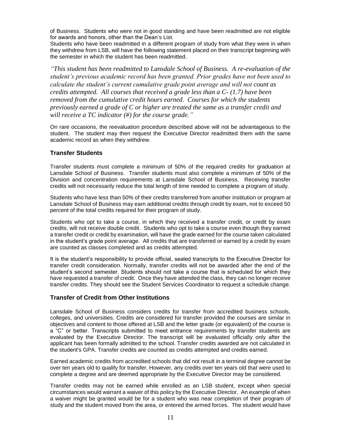of Business. Students who were not in good standing and have been readmitted are not eligible for awards and honors, other than the Dean's List.

Students who have been readmitted in a different program of study from what they were in when they withdrew from LSB, will have the following statement placed on their transcript beginning with the semester in which the student has been readmitted.

*"This student has been readmitted to Lansdale School of Business. A re-evaluation of the student's previous academic record has been granted. Prior grades have not been used to calculate the student's current cumulative grade point average and will not count as credits attempted. All courses that received a grade less than a C- (1.7) have been removed from the cumulative credit hours earned. Courses for which the students previously earned a grade of C or higher are treated the same as a transfer credit and will receive a TC indicator (#) for the course grade."*

On rare occasions, the reevaluation procedure described above will not be advantageous to the student. The student may then request the Executive Director readmitted them with the same academic record as when they withdrew.

### **Transfer Students**

Transfer students must complete a minimum of 50% of the required credits for graduation at Lansdale School of Business. Transfer students must also complete a minimum of 50% of the Division and concentration requirements at Lansdale School of Business. Receiving transfer credits will not necessarily reduce the total length of time needed to complete a program of study.

Students who have less than 50% of their credits transferred from another institution or program at Lansdale School of Business may earn additional credits through credit by exam, not to exceed 50 percent of the total credits required for their program of study.

Students who opt to take a course, in which they received a transfer credit, or credit by exam credits, will not receive double credit. Students who opt to take a course even though they earned a transfer credit or credit by examination, will have the grade earned for the course taken calculated in the student's grade point average. All credits that are transferred or earned by a credit by exam are counted as classes completed and as credits attempted.

It is the student's responsibility to provide official, sealed transcripts to the Executive Director for transfer credit consideration. Normally, transfer credits will not be awarded after the end of the student's second semester. Students should not take a course that is scheduled for which they have requested a transfer of credit. Once they have attended the class, they can no longer receive transfer credits. They should see the Student Services Coordinator to request a schedule change.

### **Transfer of Credit from Other Institutions**

Lansdale School of Business considers credits for transfer from accredited business schools, colleges, and universities. Credits are considered for transfer provided the courses are similar in objectives and content to those offered at LSB and the letter grade (or equivalent) of the course is a "C" or better. Transcripts submitted to meet entrance requirements by transfer students are evaluated by the Executive Director. The transcript will be evaluated officially only after the applicant has been formally admitted to the school. Transfer credits awarded are not calculated in the student's GPA. Transfer credits are counted as credits attempted and credits earned.

Earned academic credits from accredited schools that did not result in a terminal degree cannot be over ten years old to qualify for transfer. However, any credits over ten years old that were used to complete a degree and are deemed appropriate by the Executive Director may be considered.

Transfer credits may not be earned while enrolled as an LSB student, except when special circumstances would warrant a waiver of this policy by the Executive Director. An example of when a waiver might be granted would be for a student who was near completion of their program of study and the student moved from the area, or entered the armed forces. The student would have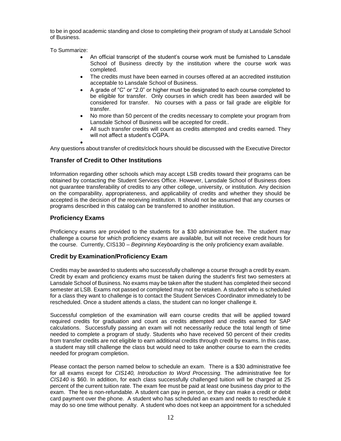to be in good academic standing and close to completing their program of study at Lansdale School of Business.

To Summarize:

- An official transcript of the student's course work must be furnished to Lansdale School of Business directly by the institution where the course work was completed.
- The credits must have been earned in courses offered at an accredited institution acceptable to Lansdale School of Business.
- A grade of "C" or "2.0" or higher must be designated to each course completed to be eligible for transfer. Only courses in which credit has been awarded will be considered for transfer. No courses with a pass or fail grade are eligible for transfer.
- No more than 50 percent of the credits necessary to complete your program from Lansdale School of Business will be accepted for credit..
- All such transfer credits will count as credits attempted and credits earned. They will not affect a student's CGPA.
- •

Any questions about transfer of credits/clock hours should be discussed with the Executive Director

# **Transfer of Credit to Other Institutions**

Information regarding other schools which may accept LSB credits toward their programs can be obtained by contacting the Student Services Office. However, Lansdale School of Business does not guarantee transferability of credits to any other college, university, or institution. Any decision on the comparability, appropriateness, and applicability of credits and whether they should be accepted is the decision of the receiving institution. It should not be assumed that any courses or programs described in this catalog can be transferred to another institution.

#### **Proficiency Exams**

Proficiency exams are provided to the students for a \$30 administrative fee. The student may challenge a course for which proficiency exams are available, but will not receive credit hours for the course. Currently, CIS130 – *Beginning Keyboarding* is the only proficiency exam available.

#### **Credit by Examination/Proficiency Exam**

Credits may be awarded to students who successfully challenge a course through a credit by exam. Credit by exam and proficiency exams must be taken during the student's first two semesters at Lansdale School of Business. No exams may be taken after the student has completed their second semester at LSB. Exams not passed or completed may not be retaken. A student who is scheduled for a class they want to challenge is to contact the Student Services Coordinator immediately to be rescheduled. Once a student attends a class, the student can no longer challenge it.

Successful completion of the examination will earn course credits that will be applied toward required credits for graduation and count as credits attempted and credits earned for SAP calculations. Successfully passing an exam will not necessarily reduce the total length of time needed to complete a program of study. Students who have received 50 percent of their credits from transfer credits are not eligible to earn additional credits through credit by exams. In this case, a student may still challenge the class but would need to take another course to earn the credits needed for program completion.

Please contact the person named below to schedule an exam. There is a \$30 administrative fee for all exams except for *CIS140, Introduction to Word Processing.* The administrative fee for *CIS140* is \$60. In addition, for each class successfully challenged tuition will be charged at 25 percent of the current tuition rate. The exam fee must be paid at least one business day prior to the exam. The fee is non-refundable. A student can pay in person, or they can make a credit or debit card payment over the phone. A student who has scheduled an exam and needs to reschedule it may do so one time without penalty. A student who does not keep an appointment for a scheduled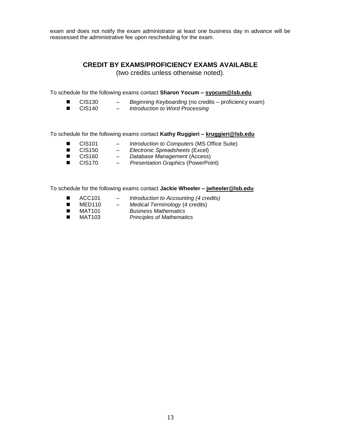exam and does not notify the exam administrator at least one business day in advance will be reassessed the administrative fee upon rescheduling for the exam.

# **CREDIT BY EXAMS/PROFICIENCY EXAMS AVAILABLE**

(two credits unless otherwise noted).

To schedule for the following exams contact **Sharon Yocum – [syocum@lsb.edu](mailto:syocum@lsb.edu)**

- CIS130 *Beginning Keyboarding* (no credits proficiency exam)<br>■ CIS140 *Introduction to Word Processing*
- **Introduction to Word Processing**

To schedule for the following exams contact **Kathy Ruggieri – [kruggieri@lsb.edu](mailto:kruggieri@lsb.edu)**

- CIS101 *Introduction to Computers* (MS Office Suite)
- CIS150 *Electronic Spreadsheets* (Excel)<br>■ CIS160 Database Management (Access)
- ◼ CIS160 *Database Management* (Access)
- CIS170 *Presentation Graphics* (PowerPoint)

To schedule for the following exams contact **Jackie Wheeler – [jwheeler@lsb.edu](mailto:jwheeler@lsb.edu)**

- ◼ ACC101 *Introduction to Accounting (4 credits)*
- MED110 *Medical Terminology* (4 credits)
- MAT101 *Business Mathematics*
- ◼ MAT103 *Principles of Mathematics*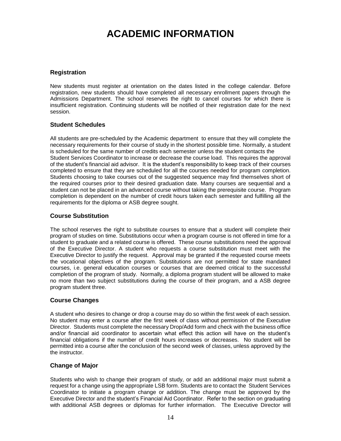# **ACADEMIC INFORMATION**

### **Registration**

New students must register at orientation on the dates listed in the college calendar. Before registration, new students should have completed all necessary enrollment papers through the Admissions Department. The school reserves the right to cancel courses for which there is insufficient registration. Continuing students will be notified of their registration date for the next session.

#### **Student Schedules**

All students are pre-scheduled by the Academic department to ensure that they will complete the necessary requirements for their course of study in the shortest possible time. Normally, a student is scheduled for the same number of credits each semester unless the student contacts the Student Services Coordinator to increase or decrease the course load. This requires the approval of the student's financial aid advisor. It is the student's responsibility to keep track of their courses completed to ensure that they are scheduled for all the courses needed for program completion. Students choosing to take courses out of the suggested sequence may find themselves short of the required courses prior to their desired graduation date. Many courses are sequential and a student can not be placed in an advanced course without taking the prerequisite course. Program completion is dependent on the number of credit hours taken each semester and fulfilling all the requirements for the diploma or ASB degree sought.

### **Course Substitution**

The school reserves the right to substitute courses to ensure that a student will complete their program of studies on time. Substitutions occur when a program course is not offered in time for a student to graduate and a related course is offered. These course substitutions need the approval of the Executive Director. A student who requests a course substitution must meet with the Executive Director to justify the request. Approval may be granted if the requested course meets the vocational objectives of the program. Substitutions are not permitted for state mandated courses, i.e. general education courses or courses that are deemed critical to the successful completion of the program of study. Normally, a diploma program student will be allowed to make no more than two subject substitutions during the course of their program, and a ASB degree program student three.

# **Course Changes**

A student who desires to change or drop a course may do so within the first week of each session. No student may enter a course after the first week of class without permission of the Executive Director. Students must complete the necessary Drop/Add form and check with the business office and/or financial aid coordinator to ascertain what effect this action will have on the student's financial obligations if the number of credit hours increases or decreases. No student will be permitted into a course after the conclusion of the second week of classes, unless approved by the the instructor.

#### **Change of Major**

Students who wish to change their program of study, or add an additional major must submit a request for a change using the appropriate LSB form. Students are to contact the Student Services Coordinator to initiate a program change or addition. The change must be approved by the Executive Director and the student's Financial Aid Coordinator. Refer to the section on graduating with additional ASB degrees or diplomas for further information. The Executive Director will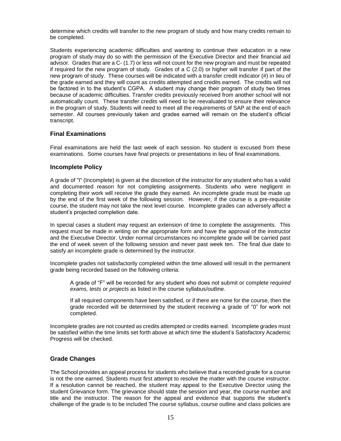determine which credits will transfer to the new program of study and how many credits remain to be completed.

Students experiencing academic difficulties and wanting to continue their education in a new program of study may do so with the permission of the Executive Director and their financial aid advisor. Grades that are a C- (1.7) or less will not count for the new program and must be repeated if required for the new program of study. Grades of a C (2.0) or higher will transfer if part of the new program of study. These courses will be indicated with a transfer credit indicator (#) in lieu of the grade earned and they will count as credits attempted and credits earned. The credits will not be factored in to the student's CGPA. A student may change their program of study two times because of academic difficulties. Transfer credits previously received from another school will not automatically count. These transfer credits will need to be reevaluated to ensure their relevance in the program of study. Students will need to meet all the requirements of SAP at the end of each semester. All courses previously taken and grades earned will remain on the student's official transcript.

#### **Final Examinations**

Final examinations are held the last week of each session. No student is excused from these examinations. Some courses have final projects or presentations in lieu of final examinations.

#### **Incomplete Policy**

A grade of "I" (Incomplete) is given at the discretion of the instructor for any student who has a valid and documented reason for not completing assignments. Students who were negligent in completing their work will receive the grade they earned. An incomplete grade must be made up by the end of the first week of the following session. However, if the course is a pre-requisite course, the student may not take the next level course. Incomplete grades can adversely affect a student's projected completion date.

In special cases a student may request an extension of time to complete the assignments. This request must be made in writing on the appropriate form and have the approval of the instructor and the Executive Director. Under normal circumstances no incomplete grade will be carried past the end of week seven of the following session and never past week ten. The final due date to satisfy an incomplete grade is determined by the instructor.

Incomplete grades not satisfactorily completed within the time allowed will result in the permanent grade being recorded based on the following criteria:

A grade of "F" will be recorded for any student who does not submit or complete *required exams, tests or projects* as listed in the course syllabus/outline.

If all required components have been satisfied, or if there are none for the course, then the grade recorded will be determined by the student receiving a grade of "0" for work not completed.

Incomplete grades are not counted as credits attempted or credits earned. Incomplete grades must be satisfied within the time limits set forth above at which time the student's Satisfactory Academic Progress will be checked.

#### **Grade Changes**

The School provides an appeal process for students who believe that a recorded grade for a course is not the one earned. Students must first attempt to resolve the matter with the course instructor. If a resolution cannot be reached, the student may appeal to the Executive Director using the student Grievance form. The grievance should state the session and year, the course number and title and the instructor. The reason for the appeal and evidence that supports the student's challenge of the grade is to be included The course syllabus, course outline and class policies are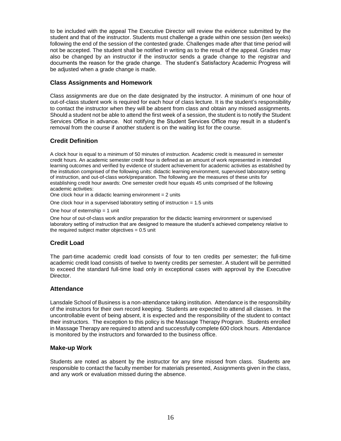to be included with the appeal The Executive Director will review the evidence submitted by the student and that of the instructor. Students must challenge a grade within one session (ten weeks) following the end of the session of the contested grade. Challenges made after that time period will not be accepted. The student shall be notified in writing as to the result of the appeal. Grades may also be changed by an instructor if the instructor sends a grade change to the registrar and documents the reason for the grade change. The student's Satisfactory Academic Progress will be adjusted when a grade change is made.

#### **Class Assignments and Homework**

Class assignments are due on the date designated by the instructor. A minimum of one hour of out-of-class student work is required for each hour of class lecture. It is the student's responsibility to contact the instructor when they will be absent from class and obtain any missed assignments. Should a student not be able to attend the first week of a session, the student is to notify the Student Services Office in advance. Not notifying the Student Services Office may result in a student's removal from the course if another student is on the waiting list for the course.

# **Credit Definition**

A clock hour is equal to a minimum of 50 minutes of instruction. Academic credit is measured in semester credit hours. An academic semester credit hour is defined as an amount of work represented in intended learning outcomes and verified by evidence of student achievement for academic activities as established by the institution comprised of the following units: didactic learning environment, supervised laboratory setting of instruction, and out-of-class work/preparation. The following are the measures of these units for establishing credit hour awards: One semester credit hour equals 45 units comprised of the following academic activities:

One clock hour in a didactic learning environment  $= 2$  units

One clock hour in a supervised laboratory setting of instruction  $= 1.5$  units

One hour of externship  $= 1$  unit

One hour of out-of-class work and/or preparation for the didactic learning environment or supervised laboratory setting of instruction that are designed to measure the student's achieved competency relative to the required subject matter objectives  $= 0.5$  unit

# **Credit Load**

The part-time academic credit load consists of four to ten credits per semester; the full-time academic credit load consists of twelve to twenty credits per semester. A student will be permitted to exceed the standard full-time load only in exceptional cases with approval by the Executive Director.

#### **Attendance**

Lansdale School of Business is a non-attendance taking institution. Attendance is the responsibility of the instructors for their own record keeping. Students are expected to attend all classes. In the uncontrollable event of being absent, it is expected and the responsibility of the student to contact their instructors. The exception to this policy is the Massage Therapy Program. Students enrolled in Massage Therapy are required to attend and successfully complete 600 clock hours. Attendance is monitored by the instructors and forwarded to the business office.

#### **Make-up Work**

Students are noted as absent by the instructor for any time missed from class. Students are responsible to contact the faculty member for materials presented, Assignments given in the class, and any work or evaluation missed during the absence.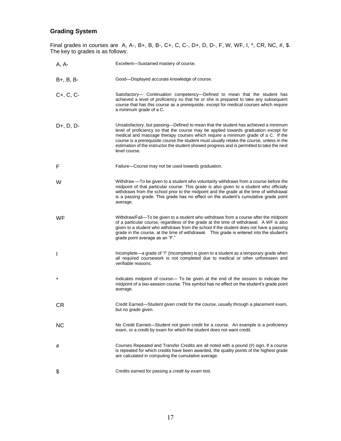# **Grading System**

Final grades in courses are A, A-, B+, B, B-, C+, C, C-, D+, D, D-, F, W, WF, I, \*, CR, NC, #, \$. The key to grades is as follows:

| A, A-        | Excellent-Sustained mastery of course.                                                                                                                                                                                                                                                                                                                                                                                                                                      |
|--------------|-----------------------------------------------------------------------------------------------------------------------------------------------------------------------------------------------------------------------------------------------------------------------------------------------------------------------------------------------------------------------------------------------------------------------------------------------------------------------------|
| $B+, B, B-$  | Good-Displayed accurate knowledge of course.                                                                                                                                                                                                                                                                                                                                                                                                                                |
| $C+, C, C$   | Satisfactory-- Continuation competency--Defined to mean that the student has<br>achieved a level of proficiency so that he or she is prepared to take any subsequent<br>course that has this course as a prerequisite, except for medical courses which require<br>a minimum grade of a C.                                                                                                                                                                                  |
| $D+, D, D-$  | Unsatisfactory, but passing—Defined to mean that the student has achieved a minimum<br>level of proficiency so that the course may be applied towards graduation except for<br>medical and massage therapy courses which require a minimum grade of a C. If the<br>course is a prerequisite course the student must usually retake the course, unless in the<br>estimation of the instructor the student showed progress and is permitted to take the next<br>level course. |
| F            | Failure-Course may not be used towards graduation.                                                                                                                                                                                                                                                                                                                                                                                                                          |
| W            | Withdraw -To be given to a student who voluntarily withdraws from a course before the<br>midpoint of that particular course. This grade is also given to a student who officially<br>withdraws from the school prior to the midpoint and the grade at the time of withdrawal<br>is a passing grade. This grade has no effect on the student's cumulative grade point<br>average.                                                                                            |
| WF           | Withdraw/Fail—To be given to a student who withdraws from a course after the midpoint<br>of a particular course, regardless of the grade at the time of withdrawal. A WF is also<br>given to a student who withdraws from the school if the student does not have a passing<br>grade in the course, at the time of withdrawal. This grade is entered into the student's<br>grade point average as an "F."                                                                   |
| $\mathbf{I}$ | Incomplete—a grade of "I" (Incomplete) is given to a student as a temporary grade when<br>all required coursework is not completed due to medical or other unforeseen and<br>verifiable reasons.                                                                                                                                                                                                                                                                            |
| $\star$      | Indicates midpoint of course— To be given at the end of the session to indicate the<br>midpoint of a two-session course. This symbol has no effect on the student's grade point<br>average.                                                                                                                                                                                                                                                                                 |
| CR           | Credit Earned—Student given credit for the course, usually through a placement exam,<br>but no grade given.                                                                                                                                                                                                                                                                                                                                                                 |
| <b>NC</b>    | No Credit Earned—Student not given credit for a course. An example is a proficiency<br>exam, or a credit by exam for which the student does not want credit.                                                                                                                                                                                                                                                                                                                |
| #            | Courses Repeated and Transfer Credits are all noted with a pound (#) sign. If a course<br>is repeated for which credits have been awarded, the quality points of the highest grade<br>are calculated in computing the cumulative average.                                                                                                                                                                                                                                   |
| \$           | Credits earned for passing a credit by exam test.                                                                                                                                                                                                                                                                                                                                                                                                                           |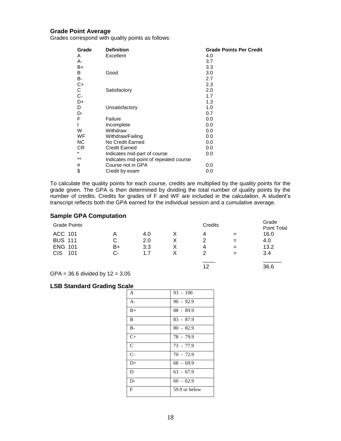### **Grade Point Average**

Grades correspond with quality points as follows:

| <b>Definition</b>                      | <b>Grade Points Per Credit</b> |
|----------------------------------------|--------------------------------|
| Excellent                              | 4.0                            |
|                                        | 3.7                            |
|                                        | 3.3                            |
| Good                                   | 3.0                            |
|                                        | 2.7                            |
|                                        | 2.3                            |
| Satisfactory                           | 2.0                            |
|                                        | 1.7                            |
|                                        | 1.3                            |
| Unsatisfactory                         | 1.0                            |
|                                        | 0.7                            |
| Failure                                | 0.0                            |
| Incomplete                             | 0.0                            |
| Withdraw                               | 0.0                            |
| Withdraw/Failing                       | 0.0                            |
| No Credit Earned                       | 0.0                            |
| <b>Credit Earned</b>                   | 0.0                            |
| Indicates mid-part of course           | 0.0                            |
| Indicates mid-point of repeated course |                                |
| Course not in GPA                      | 0.0                            |
| Credit by exam                         | 0.0                            |
|                                        |                                |

To calculate the quality points for each course, credits are multiplied by the quality points for the grade given. The GPA is then determined by dividing the total number of quality points by the number of credits. Credits for grades of F and WF are included in the calculation. A student's transcript reflects both the GPA earned for the individual session and a cumulative average.

#### **Sample GPA Computation**

| <b>Grade Points</b> |    |               | Credits |     | Grade<br>Point Total |
|---------------------|----|---------------|---------|-----|----------------------|
| ACC 101             | Α  | 4.0           | 4       |     | 16.0                 |
| <b>BUS 111</b>      | С  | $2.0^{\circ}$ | っ       | $=$ | 4.0                  |
| <b>ENG 101</b>      | B+ | 3.3           | 4       | $=$ | 13.2                 |
| 101<br>CIS          | C- | 1.7           | າ       | $=$ | 3.4                  |
|                     |    |               |         |     |                      |

12 36.6

 $GPA = 36.6$  divided by  $12 = 3.05$ 

#### **LSB Standard Grading Scale**

| A             | $93 - 100$    |
|---------------|---------------|
| $A-$          | $90 - 92.9$   |
| $B+$          | $88 - 89.9$   |
| B             | $83 - 87.9$   |
| $B -$         | $80 - 82.9$   |
| $C+$          | 78 - 79.9     |
| $\mathcal{C}$ | 73 - 77.9     |
| $C-$          | $70 - 72.9$   |
| $D+$          | $68 - 69.9$   |
| D             | $63 - 67.9$   |
| $D-$          | $60 - 62.9$   |
| F             | 59.9 or below |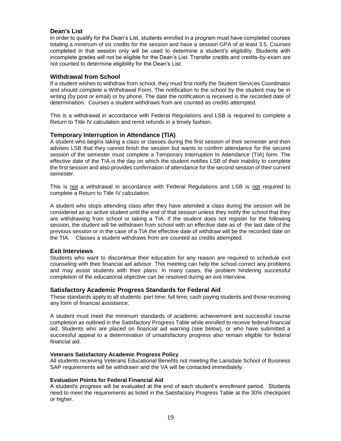### **Dean's List**

In order to qualify for the Dean's List, students enrolled in a program must have completed courses totaling a minimum of six credits for the session and have a session GPA of at least 3.5. Courses completed in that session only will be used to determine a student's eligibility. Students with incomplete grades will not be eligible for the Dean's List. Transfer credits and credits-by-exam are not counted to determine eligibility for the Dean's List.

#### **Withdrawal from School**

If a student wishes to withdraw from school, they must first notify the Student Services Coordinator and should complete a Withdrawal Form. The notification to the school by the student may be in writing (by post or email) or by phone. The date the notification is received is the recorded date of determination. Courses a student withdraws from are counted as credits attempted.

This is a withdrawal in accordance with Federal Regulations and LSB is required to complete a Return to Title IV calculation and remit refunds in a timely fashion.

#### **Temporary Interruption in Attendance (TIA)**

A student who begins taking a class or classes during the first session of their semester and then advises LSB that they cannot finish the session but wants to confirm attendance for the second session of the semester must complete a Temporary Interruption In Attendance (TIA) form. The effective date of the TIA is the day on which the student notifies LSB of their inability to complete the first session and also provides confirmation of attendance for the second session of their current semester.

This is not a withdrawal in accordance with Federal Regulations and LSB is not required to complete a Return to Title IV calculation.

A student who stops attending class after they have attended a class during the session will be considered as an active student until the end of that session unless they notify the school that they are withdrawing from school or taking a TIA. If the student does not register for the following session, the student will be withdrawn from school with an effective date as of the last date of the previous session or in the case of a TIA the effective date of withdraw will be the recorded date on the TIA. Classes a student withdraws from are counted as credits attempted.

#### **Exit Interviews**

Students who want to discontinue their education for any reason are required to schedule exit counseling with their financial aid advisor. This meeting can help the school correct any problems and may assist students with their plans. In many cases, the problem hindering successful completion of the educational objective can be resolved during an exit interview.

#### **Satisfactory Academic Progress Standards for Federal Aid**

These standards apply to all students: part time; full time; cash paying students and those receiving any form of financial assistance.

A student must meet the minimum standards of academic achievement and successful course completion as outlined in the Satisfactory Progress Table while enrolled to receive federal financial aid. Students who are placed on financial aid warning (see below), or who have submitted a successful appeal to a determination of unsatisfactory progress also remain eligible for federal financial aid.

#### **Veterans Satisfactory Academic Progress Policy**

All students receiving Veterans Educational Benefits not meeting the Lansdale School of Business SAP requirements will be withdrawn and the VA will be contacted immediately.

#### **Evaluation Points for Federal Financial Aid**

A student's progress will be evaluated at the end of each student's enrollment period. Students need to meet the requirements as listed in the Satisfactory Progress Table at the 30% checkpoint or higher.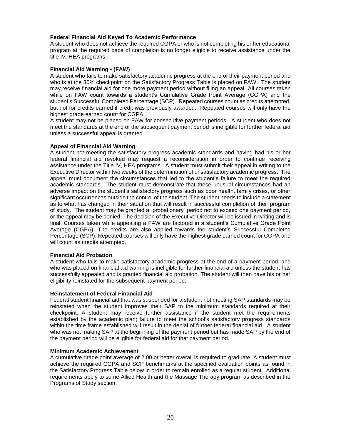#### **Federal Financial Aid Keyed To Academic Performance**

A student who does not achieve the required CGPA or who is not completing his or her educational program at the required pace of completion is no longer eligible to receive assistance under the title IV, HEA programs.

#### **Financial Aid Warning - (FAW)**

A student who fails to make satisfactory academic progress at the end of their payment period and who is at the 30% checkpoint on the Satisfactory Progress Table is placed on FAW. The student may receive financial aid for one more payment period without filing an appeal. All courses taken while on FAW count towards a student's Cumulative Grade Point Average (CGPA) and the student's Successful Completed Percentage (SCP). Repeated courses count as credits attempted, but not for credits earned if credit was previously awarded. Repeated courses will only have the highest grade earned count for CGPA.

A student may not be placed on FAW for consecutive payment periods. A student who does not meet the standards at the end of the subsequent payment period is ineligible for further federal aid unless a successful appeal is granted.

#### **Appeal of Financial Aid Warning**

A student not meeting the satisfactory progress academic standards and having had his or her federal financial aid revoked may request a reconsideration in order to continue receiving assistance under the Title IV, HEA programs. A student must submit their appeal in writing to the Executive Director within two weeks of the determination of unsatisfactory academic progress. The appeal must document the circumstances that led to the student's failure to meet the required academic standards. The student must demonstrate that these unusual circumstances had an adverse impact on the student's satisfactory progress such as poor health, family crises, or other significant occurrences outside the control of the student, The student needs to include a statement as to what has changed in their situation that will result in successful completion of their program of study. The student may be granted a "probationary" period not to exceed one payment period, or the appeal may be denied. The decision of the Executive Director will be issued in writing and is final. Courses taken while appealing a FAW are factored in a student's Cumulative Grade Point Average (CGPA). The credits are also applied towards the student's Successful Completed Percentage (SCP). Repeated courses will only have the highest grade earned count for CGPA and will count as credits attempted.

#### **Financial Aid Probation**

A student who fails to make satisfactory academic progress at the end of a payment period, and who was placed on financial aid warning is ineligible for further financial aid unless the student has successfully appealed and is granted financial aid probation. The student will then have his or her eligibility reinstated for the subsequent payment period.

#### **Reinstatement of Federal Financial Aid**

Federal student financial aid that was suspended for a student not meeting SAP standards may be reinstated when the student improves their SAP to the minimum standards required at their checkpoint. A student may receive further assistance if the student met the requirements established by the academic plan; failure to meet the school's satisfactory progress standards within the time frame established will result in the denial of further federal financial aid. A student who was not making SAP at the beginning of the payment period but has made SAP by the end of the payment period will be eligible for federal aid for that payment period.

#### **Minimum Academic Achievement**

A cumulative grade point average of 2.00 or better overall is required to graduate. A student must achieve the required CGPA and SCP benchmarks at the specified evaluation points as found in the Satisfactory Progress Table below in order to remain enrolled as a regular student. Additional requirements apply to some Allied Health and the Massage Therapy program as described in the Programs of Study section.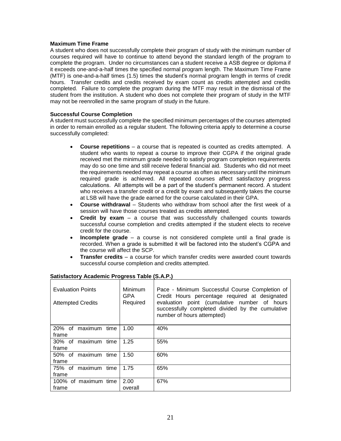#### **Maximum Time Frame**

A student who does not successfully complete their program of study with the minimum number of courses required will have to continue to attend beyond the standard length of the program to complete the program. Under no circumstances can a student receive a ASB degree or diploma if it exceeds one-and-a-half times the specified normal program length. The Maximum Time Frame (MTF) is one-and-a-half times (1.5) times the student's normal program length in terms of credit hours. Transfer credits and credits received by exam count as credits attempted and credits completed. Failure to complete the program during the MTF may result in the dismissal of the student from the institution. A student who does not complete their program of study in the MTF may not be reenrolled in the same program of study in the future.

#### **Successful Course Completion**

A student must successfully complete the specified minimum percentages of the courses attempted in order to remain enrolled as a regular student. The following criteria apply to determine a course successfully completed:

- **Course repetitions** a course that is repeated is counted as credits attempted. A student who wants to repeat a course to improve their CGPA if the original grade received met the minimum grade needed to satisfy program completion requirements may do so one time and still receive federal financial aid. Students who did not meet the requirements needed may repeat a course as often as necessary until the minimum required grade is achieved. All repeated courses affect satisfactory progress calculations. All attempts will be a part of the student's permanent record. A student who receives a transfer credit or a credit by exam and subsequently takes the course at LSB will have the grade earned for the course calculated in their GPA.
- **Course withdrawal** Students who withdraw from school after the first week of a session will have those courses treated as credits attempted.
- **Credit by exam**  a course that was successfully challenged counts towards successful course completion and credits attempted if the student elects to receive credit for the course.
- **Incomplete grade** a course is not considered complete until a final grade is recorded. When a grade is submitted it will be factored into the student's CGPA and the course will affect the SCP.
- **Transfer credits** a course for which transfer credits were awarded count towards successful course completion and credits attempted.

| <b>Evaluation Points</b><br><b>Attempted Credits</b> | <b>Minimum</b><br>GPA<br>Required | Pace - Minimum Successful Course Completion of<br>Credit Hours percentage required at designated<br>evaluation point (cumulative number of hours<br>successfully completed divided by the cumulative<br>number of hours attempted) |
|------------------------------------------------------|-----------------------------------|------------------------------------------------------------------------------------------------------------------------------------------------------------------------------------------------------------------------------------|
| 20% of maximum time<br>frame                         | 1.00                              | 40%                                                                                                                                                                                                                                |
| 30% of maximum time<br>frame                         | 1.25                              | 55%                                                                                                                                                                                                                                |
| 50% of maximum time<br>frame                         | 1.50                              | 60%                                                                                                                                                                                                                                |
| 75% of maximum<br>time<br>frame                      | 1.75                              | 65%                                                                                                                                                                                                                                |
| 100% of maximum time<br>frame                        | 2.00<br>overall                   | 67%                                                                                                                                                                                                                                |

#### **Satisfactory Academic Progress Table (S.A.P.)**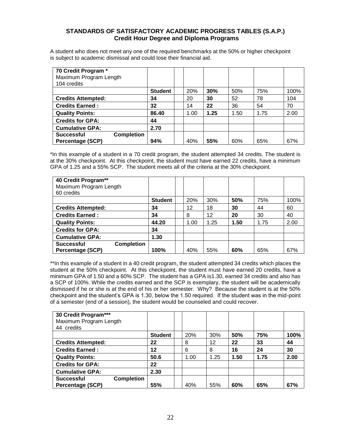### **STANDARDS OF SATISFACTORY ACADEMIC PROGRESS TABLES (S.A.P.) Credit Hour Degree and Diploma Programs**

A student who does not meet any one of the required benchmarks at the 50% or higher checkpoint is subject to academic dismissal and could lose their financial aid.

| 70 Credit Program *<br>Maximum Program Length<br>104 credits |                |      |      |      |      |      |
|--------------------------------------------------------------|----------------|------|------|------|------|------|
|                                                              | <b>Student</b> | 20%  | 30%  | 50%  | 75%  | 100% |
| <b>Credits Attempted:</b>                                    | 34             | 20   | 30   | 52   | 78   | 104  |
| <b>Credits Earned:</b>                                       | 32             | 14   | 22   | 36   | 54   | 70   |
| <b>Quality Points:</b>                                       | 86.40          | 1.00 | 1.25 | 1.50 | 1.75 | 2.00 |
| <b>Credits for GPA:</b>                                      | 44             |      |      |      |      |      |
| <b>Cumulative GPA:</b>                                       | 2.70           |      |      |      |      |      |
| <b>Completion</b><br><b>Successful</b>                       |                |      |      |      |      |      |
| Percentage (SCP)                                             | 94%            | 40%  | 55%  | 60%  | 65%  | 67%  |

\*In this example of a student in a 70 credit program, the student attempted 34 credits. The student is at the 30% checkpoint. At this checkpoint, the student must have earned 22 credits, have a minimum GPA of 1.25 and a 55% SCP. The student meets all of the criteria at the 30% checkpoint.

| 40 Credit Program**                    |                |            |      |      |      |      |
|----------------------------------------|----------------|------------|------|------|------|------|
| Maximum Program Length                 |                |            |      |      |      |      |
| 60 credits                             |                |            |      |      |      |      |
|                                        | <b>Student</b> | <b>20%</b> | 30%  | 50%  | 75%  | 100% |
| <b>Credits Attempted:</b>              | 34             | 12         | 18   | 30   | 44   | 60   |
| <b>Credits Earned:</b>                 | 34             | 8          | 12   | 20   | 30   | 40   |
| <b>Quality Points:</b>                 | 44.20          | 1.00       | 1.25 | 1.50 | 1.75 | 2.00 |
| <b>Credits for GPA:</b>                | 34             |            |      |      |      |      |
| <b>Cumulative GPA:</b>                 | 1.30           |            |      |      |      |      |
| <b>Successful</b><br><b>Completion</b> |                |            |      |      |      |      |
| Percentage (SCP)                       | 100%           | 40%        | 55%  | 60%  | 65%  | 67%  |

\*\*In this example of a student in a 40 credit program, the student attempted 34 credits which places the student at the 50% checkpoint. At this checkpoint, the student must have earned 20 credits, have a minimum GPA of 1.50 and a 60% SCP. The student has a GPA is1.30, earned 34 credits and also has a SCP of 100%. While the credits earned and the SCP is exemplary, the student will be academically dismissed if he or she is at the end of his or her semester. Why? Because the student is at the 50% checkpoint and the student's GPA is 1.30, below the 1.50 required. If the student was in the mid-point of a semester (end of a session), the student would be counseled and could recover.

| 30 Credit Program***<br>Maximum Program Length |                |      |      |      |      |      |
|------------------------------------------------|----------------|------|------|------|------|------|
| 44 credits                                     |                |      |      |      |      |      |
|                                                | <b>Student</b> | 20%  | 30%  | 50%  | 75%  | 100% |
| <b>Credits Attempted:</b>                      | 22             | 8    | 12   | 22   | 33   | 44   |
| <b>Credits Earned:</b>                         | 12             | 6    | 8    | 16   | 24   | 30   |
| <b>Quality Points:</b>                         | 50.6           | 1.00 | 1.25 | 1.50 | 1.75 | 2.00 |
| <b>Credits for GPA:</b>                        | 22             |      |      |      |      |      |
| <b>Cumulative GPA:</b>                         | 2.30           |      |      |      |      |      |
| <b>Completion</b><br><b>Successful</b>         |                |      |      |      |      |      |
| Percentage (SCP)                               | 55%            | 40%  | 55%  | 60%  | 65%  | 67%  |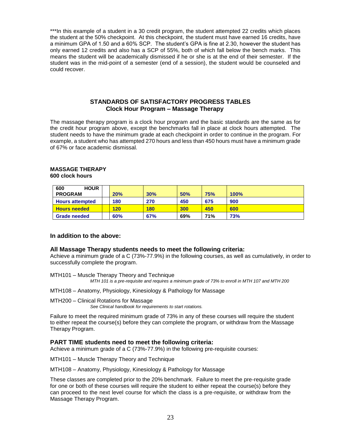\*\*\*In this example of a student in a 30 credit program, the student attempted 22 credits which places the student at the 50% checkpoint. At this checkpoint, the student must have earned 16 credits, have a minimum GPA of 1.50 and a 60% SCP. The student's GPA is fine at 2.30, however the student has only earned 12 credits and also has a SCP of 55%, both of which fall below the bench marks. This means the student will be academically dismissed if he or she is at the end of their semester. If the student was in the mid-point of a semester (end of a session), the student would be counseled and could recover.

#### **STANDARDS OF SATISFACTORY PROGRESS TABLES Clock Hour Program – Massage Therapy**

The massage therapy program is a clock hour program and the basic standards are the same as for the credit hour program above, except the benchmarks fall in place at clock hours attempted. The student needs to have the minimum grade at each checkpoint in order to continue in the program. For example, a student who has attempted 270 hours and less than 450 hours must have a minimum grade of 67% or face academic dismissal.

#### **MASSAGE THERAPY 600 clock hours**

| <b>HOUR</b><br>600     |     |            |     |     |      |  |
|------------------------|-----|------------|-----|-----|------|--|
| <b>PROGRAM</b>         | 20% | 30%        | 50% | 75% | 100% |  |
| <b>Hours attempted</b> | 180 | 270        | 450 | 675 | 900  |  |
| <b>Hours needed</b>    | 120 | <b>180</b> | 300 | 450 | 600  |  |
| <b>Grade needed</b>    | 60% | 67%        | 69% | 71% | 73%  |  |

#### **In addition to the above:**

#### **All Massage Therapy students needs to meet the following criteria:**

Achieve a minimum grade of a C (73%-77.9%) in the following courses, as well as cumulatively, in order to successfully complete the program.

MTH101 – Muscle Therapy Theory and Technique *MTH 101 is a pre-requisite and requires a minimum grade of 73% to enroll in MTH 107 and MTH 200*

MTH108 – Anatomy, Physiology, Kinesiology & Pathology for Massage

MTH200 – Clinical Rotations for Massage

*See Clinical handbook for requirements to start rotations.*

Failure to meet the required minimum grade of 73% in any of these courses will require the student to either repeat the course(s) before they can complete the program, or withdraw from the Massage Therapy Program.

#### **PART TIME students need to meet the following criteria:**

Achieve a minimum grade of a C (73%-77.9%) in the following pre-requisite courses:

MTH101 – Muscle Therapy Theory and Technique

MTH108 – Anatomy, Physiology, Kinesiology & Pathology for Massage

These classes are completed prior to the 20% benchmark. Failure to meet the pre-requisite grade for one or both of these courses will require the student to either repeat the course(s) before they can proceed to the next level course for which the class is a pre-requisite, or withdraw from the Massage Therapy Program.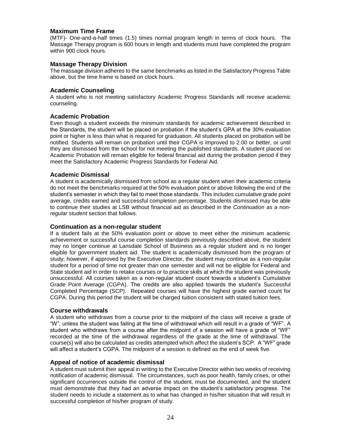#### **Maximum Time Frame**

(MTF)- One-and-a-half times (1.5) times normal program length in terms of clock hours. The Massage Therapy program is 600 hours in length and students must have completed the program within 900 clock hours.

#### **Massage Therapy Division**

The massage division adheres to the same benchmarks as listed in the Satisfactory Progress Table above, but the time frame is based on clock hours.

#### **Academic Counseling**

A student who is not meeting satisfactory Academic Progress Standards will receive academic counseling.

#### **Academic Probation**

Even though a student exceeds the minimum standards for academic achievement described in the Standards, the student will be placed on probation if the student's GPA at the 30% evaluation point or higher is less than what is required for graduation. All students placed on probation will be notified. Students will remain on probation until their CGPA is improved to 2.00 or better, or until they are dismissed from the school for not meeting the published standards. A student placed on Academic Probation will remain eligible for federal financial aid during the probation period if they meet the Satisfactory Academic Progress Standards for Federal Aid.

#### **Academic Dismissal**

A student is academically dismissed from school as a regular student when their academic criteria do not meet the benchmarks required at the 50% evaluation point or above following the end of the student's semester in which they fail to meet those standards. This includes cumulative grade point average, credits earned and successful completion percentage. Students dismissed may be able to continue their studies at LSB without financial aid as described in the *Continuation as a nonregular student* section that follows.

#### **Continuation as a non-regular student**

If a student fails at the 50% evaluation point or above to meet either the minimum academic achievement or successful course completion standards previously described above, the student may no longer continue at Lansdale School of Business as a regular student and is no longer eligible for government student aid. The student is academically dismissed from the program of study; however, if approved by the Executive Director, the student may continue as a non-regular student for a period of time not greater than one semester and will not be eligible for Federal and State student aid in order to retake courses or to practice skills at which the student was previously unsuccessful. All courses taken as a non-regular student count towards a student's Cumulative Grade Point Average (CGPA). The credits are also applied towards the student's Successful Completed Percentage (SCP). Repeated courses will have the highest grade earned count for CGPA. During this period the student will be charged tuition consistent with stated tuition fees.

#### **Course withdrawals**

A student who withdraws from a course prior to the midpoint of the class will receive a grade of "W", unless the student was failing at the time of withdrawal which will result in a grade of "WF". A student who withdraws from a course after the midpoint of a session will have a grade of "WF" recorded at the time of the withdrawal regardless of the grade at the time of withdrawal. The course(s) will also be calculated as credits attempted which affect the student's SCP. A "WF" grade will affect a student's CGPA. The midpoint of a session is defined as the end of week five.

#### **Appeal of notice of academic dismissal**

A student must submit their appeal in writing to the Executive Director within two weeks of receiving notification of academic dismissal. The circumstances, such as poor health, family crises, or other significant occurrences outside the control of the student, must be documented, and the student must demonstrate that they had an adverse impact on the student's satisfactory progress. The student needs to include a statement as to what has changed in his/her situation that will result in successful completion of his/her program of study.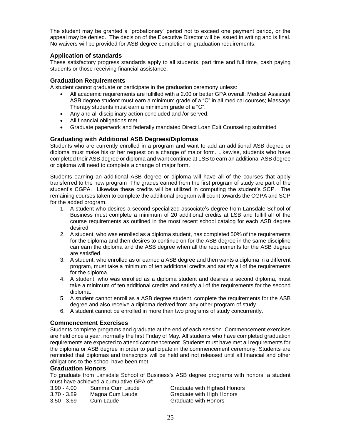The student may be granted a "probationary" period not to exceed one payment period, or the appeal may be denied. The decision of the Executive Director will be issued in writing and is final. No waivers will be provided for ASB degree completion or graduation requirements.

### **Application of standards**

These satisfactory progress standards apply to all students, part time and full time, cash paying students or those receiving financial assistance.

#### **Graduation Requirements**

A student cannot graduate or participate in the graduation ceremony unless:

- All academic requirements are fulfilled with a 2.00 or better GPA overall: Medical Assistant ASB degree student must earn a minimum grade of a "C" in all medical courses; Massage Therapy students must earn a minimum grade of a "C".
- Any and all disciplinary action concluded and /or served.
- All financial obligations met
- Graduate paperwork and federally mandated Direct Loan Exit Counseling submitted

#### **Graduating with Additional ASB Degrees/Diplomas**

Students who are currently enrolled in a program and want to add an additional ASB degree or diploma must make his or her request on a change of major form. Likewise, students who have completed their ASB degree or diploma and want continue at LSB to earn an additional ASB degree or diploma will need to complete a change of major form.

Students earning an additional ASB degree or diploma will have all of the courses that apply transferred to the new program The grades earned from the first program of study are part of the student's CGPA. Likewise these credits will be utilized in computing the student's SCP. The remaining courses taken to complete the additional program will count towards the CGPA and SCP for the added program.

- 1. A student who desires a second specialized associate's degree from Lansdale School of Business must complete a minimum of 20 additional credits at LSB and fulfill all of the course requirements as outlined in the most recent school catalog for each ASB degree desired.
- 2. A student, who was enrolled as a diploma student, has completed 50% of the requirements for the diploma and then desires to continue on for the ASB degree in the same discipline can earn the diploma and the ASB degree when all the requirements for the ASB degree are satisfied.
- 3. A student, who enrolled as or earned a ASB degree and then wants a diploma in a different program, must take a minimum of ten additional credits and satisfy all of the requirements for the diploma.
- 4. A student, who was enrolled as a diploma student and desires a second diploma, must take a minimum of ten additional credits and satisfy all of the requirements for the second diploma.
- 5. A student cannot enroll as a ASB degree student, complete the requirements for the ASB degree and also receive a diploma derived from any other program of study.
- 6. A student cannot be enrolled in more than two programs of study concurrently.

#### **Commencement Exercises**

Students complete programs and graduate at the end of each session. Commencement exercises are held once a year, normally the first Friday of May. All students who have completed graduation requirements are expected to attend commencement. Students must have met all requirements for the diploma or ASB degree in order to participate in the commencement ceremony. Students are reminded that diplomas and transcripts will be held and not released until all financial and other obligations to the school have been met.

#### **Graduation Honors**

To graduate from Lansdale School of Business's ASB degree programs with honors, a student must have achieved a cumulative GPA of:

| $3.90 - 4.00$ | Summa Cum Laude | Graduate with Highest Hone |
|---------------|-----------------|----------------------------|
| 3.70 - 3.89   | Magna Cum Laude | Graduate with High Honors  |

- 
- 3.50 3.69 Cum Laude Graduate with Honors
- ate with Highest Honors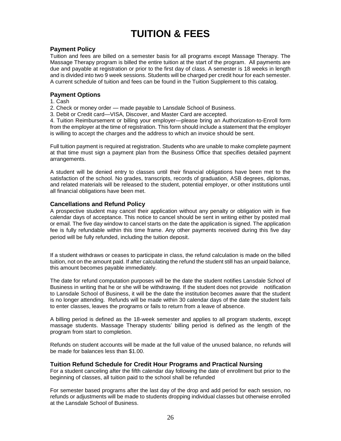# **TUITION & FEES**

### **Payment Policy**

Tuition and fees are billed on a semester basis for all programs except Massage Therapy. The Massage Therapy program is billed the entire tuition at the start of the program. All payments are due and payable at registration or prior to the first day of class. A semester is 18 weeks in length and is divided into two 9 week sessions. Students will be charged per credit hour for each semester. A current schedule of tuition and fees can be found in the Tuition Supplement to this catalog.

#### **Payment Options**

- 1. Cash
- 2. Check or money order made payable to Lansdale School of Business.
- 3. Debit or Credit card—VISA, Discover, and Master Card are accepted.

4. Tuition Reimbursement or billing your employer—please bring an Authorization-to-Enroll form from the employer at the time of registration. This form should include a statement that the employer is willing to accept the charges and the address to which an invoice should be sent.

Full tuition payment is required at registration. Students who are unable to make complete payment at that time must sign a payment plan from the Business Office that specifies detailed payment arrangements.

A student will be denied entry to classes until their financial obligations have been met to the satisfaction of the school. No grades, transcripts, records of graduation, ASB degrees, diplomas, and related materials will be released to the student, potential employer, or other institutions until all financial obligations have been met.

#### **Cancellations and Refund Policy**

A prospective student may cancel their application without any penalty or obligation with in five calendar days of acceptance. This notice to cancel should be sent in writing either by posted mail or email. The five day window to cancel starts on the date the application is signed. The application fee is fully refundable within this time frame. Any other payments received during this five day period will be fully refunded, including the tuition deposit.

If a student withdraws or ceases to participate in class, the refund calculation is made on the billed tuition, not on the amount paid. If after calculating the refund the student still has an unpaid balance, this amount becomes payable immediately.

The date for refund computation purposes will be the date the student notifies Lansdale School of Business in writing that he or she will be withdrawing. If the student does not provide notification to Lansdale School of Business, it will be the date the institution becomes aware that the student is no longer attending. Refunds will be made within 30 calendar days of the date the student fails to enter classes, leaves the programs or fails to return from a leave of absence.

A billing period is defined as the 18-week semester and applies to all program students, except massage students. Massage Therapy students' billing period is defined as the length of the program from start to completion.

Refunds on student accounts will be made at the full value of the unused balance, no refunds will be made for balances less than \$1.00.

#### **Tuition Refund Schedule for Credit Hour Programs and Practical Nursing**

For a student canceling after the fifth calendar day following the date of enrollment but prior to the beginning of classes, all tuition paid to the school shall be refunded

For semester based programs after the last day of the drop and add period for each session, no refunds or adjustments will be made to students dropping individual classes but otherwise enrolled at the Lansdale School of Business.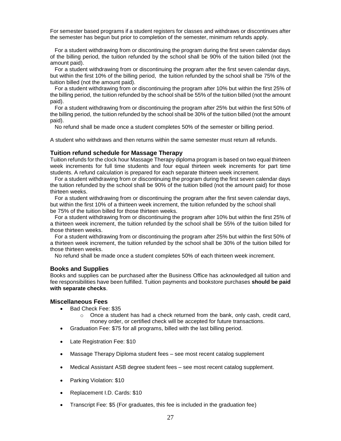For semester based programs if a student registers for classes and withdraws or discontinues after the semester has begun but prior to completion of the semester, minimum refunds apply.

 For a student withdrawing from or discontinuing the program during the first seven calendar days of the billing period, the tuition refunded by the school shall be 90% of the tuition billed (not the amount paid).

 For a student withdrawing from or discontinuing the program after the first seven calendar days, but within the first 10% of the billing period, the tuition refunded by the school shall be 75% of the tuition billed (not the amount paid).

 For a student withdrawing from or discontinuing the program after 10% but within the first 25% of the billing period, the tuition refunded by the school shall be 55% of the tuition billed (not the amount paid).

 For a student withdrawing from or discontinuing the program after 25% but within the first 50% of the billing period, the tuition refunded by the school shall be 30% of the tuition billed (not the amount paid).

No refund shall be made once a student completes 50% of the semester or billing period.

A student who withdraws and then returns within the same semester must return all refunds.

#### **Tuition refund schedule for Massage Therapy**

Tuition refunds for the clock hour Massage Therapy diploma program is based on two equal thirteen week increments for full time students and four equal thirteen week increments for part time students. A refund calculation is prepared for each separate thirteen week increment.

 For a student withdrawing from or discontinuing the program during the first seven calendar days the tuition refunded by the school shall be 90% of the tuition billed (not the amount paid) for those thirteen weeks.

 For a student withdrawing from or discontinuing the program after the first seven calendar days, but within the first 10% of a thirteen week increment, the tuition refunded by the school shall be 75% of the tuition billed for those thirteen weeks.

 For a student withdrawing from or discontinuing the program after 10% but within the first 25% of a thirteen week increment, the tuition refunded by the school shall be 55% of the tuition billed for those thirteen weeks.

 For a student withdrawing from or discontinuing the program after 25% but within the first 50% of a thirteen week increment, the tuition refunded by the school shall be 30% of the tuition billed for those thirteen weeks.

No refund shall be made once a student completes 50% of each thirteen week increment.

#### **Books and Supplies**

Books and supplies can be purchased after the Business Office has acknowledged all tuition and fee responsibilities have been fulfilled. Tuition payments and bookstore purchases **should be paid with separate checks**.

#### **Miscellaneous Fees**

- Bad Check Fee: \$35
	- $\circ$  Once a student has had a check returned from the bank, only cash, credit card, money order, or certified check will be accepted for future transactions.
- Graduation Fee: \$75 for all programs, billed with the last billing period.
- Late Registration Fee: \$10
- Massage Therapy Diploma student fees see most recent catalog supplement
- Medical Assistant ASB degree student fees see most recent catalog supplement.
- Parking Violation: \$10
- Replacement I.D. Cards: \$10
- Transcript Fee: \$5 (For graduates, this fee is included in the graduation fee)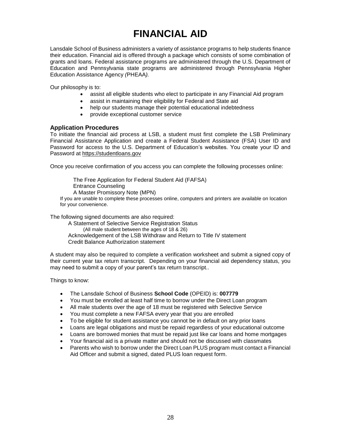# **FINANCIAL AID**

Lansdale School of Business administers a variety of assistance programs to help students finance their education. Financial aid is offered through a package which consists of some combination of grants and loans. Federal assistance programs are administered through the U.S. Department of Education and Pennsylvania state programs are administered through Pennsylvania Higher Education Assistance Agency *(*PHEAA*).*

Our philosophy is to:

- assist all eligible students who elect to participate in any Financial Aid program
- assist in maintaining their eligibility for Federal and State aid
- help our students manage their potential educational indebtedness
- provide exceptional customer service

#### **Application Procedures**

To initiate the financial aid process at LSB, a student must first complete the LSB Preliminary Financial Assistance Application and create a Federal Student Assistance (FSA) User ID and Password for access to the U.S. Department of Education's websites. You create your ID and Password at https://studentloans.gov

Once you receive confirmation of you access you can complete the following processes online:

 The Free Application for Federal Student Aid (FAFSA) Entrance Counseling A Master Promissory Note (MPN) If you are unable to complete these processes online, computers and printers are available on location for your convenience.

The following signed documents are also required:

A Statement of Selective Service Registration Status (All male student between the ages of 18 & 26) Acknowledgement of the LSB Withdraw and Return to Title IV statement Credit Balance Authorization statement

A student may also be required to complete a verification worksheet and submit a signed copy of their current year tax return transcript. Depending on your financial aid dependency status, you may need to submit a copy of your parent's tax return transcript..

Things to know:

- The Lansdale School of Business **School Code** (OPEID) is: **007779**
- You must be enrolled at least half time to borrow under the Direct Loan program
- All male students over the age of 18 must be registered with Selective Service
- You must complete a new FAFSA every year that you are enrolled
- To be eligible for student assistance you cannot be in default on any prior loans
- Loans are legal obligations and must be repaid regardless of your educational outcome
- Loans are borrowed monies that must be repaid just like car loans and home mortgages
- Your financial aid is a private matter and should not be discussed with classmates
- Parents who wish to borrow under the Direct Loan PLUS program must contact a Financial Aid Officer and submit a signed, dated PLUS loan request form.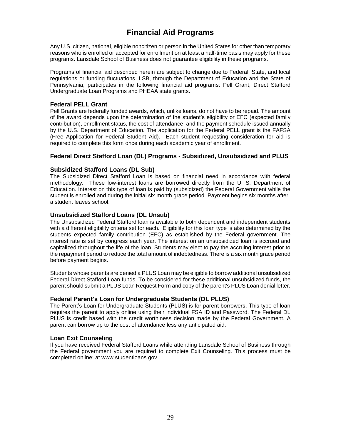# **Financial Aid Programs**

Any U.S. citizen, national, eligible noncitizen or person in the United States for other than temporary reasons who is enrolled or accepted for enrollment on at least a half-time basis may apply for these programs. Lansdale School of Business does not guarantee eligibility in these programs.

Programs of financial aid described herein are subject to change due to Federal, State, and local regulations or funding fluctuations. LSB, through the Department of Education and the State of Pennsylvania, participates in the following financial aid programs: Pell Grant, Direct Stafford Undergraduate Loan Programs and PHEAA state grants.

### **Federal PELL Grant**

Pell Grants are federally funded awards, which, unlike loans, do not have to be repaid. The amount of the award depends upon the determination of the student's eligibility or EFC (expected family contribution), enrollment status, the cost of attendance, and the payment schedule issued annually by the U.S. Department of Education. The application for the Federal PELL grant is the FAFSA (Free Application for Federal Student Aid). Each student requesting consideration for aid is required to complete this form once during each academic year of enrollment.

### **Federal Direct Stafford Loan (DL) Programs - Subsidized, Unsubsidized and PLUS**

#### **Subsidized Stafford Loans (DL Sub)**

The Subsidized Direct Stafford Loan is based on financial need in accordance with federal methodology. These low-interest loans are borrowed directly from the U. S. Department of Education. Interest on this type of loan is paid by (subsidized) the Federal Government while the student is enrolled and during the initial six month grace period. Payment begins six months after a student leaves school.

#### **Unsubsidized Stafford Loans (DL Unsub)**

The Unsubsidized Federal Stafford loan is available to both dependent and independent students with a different eligibility criteria set for each. Eligibility for this loan type is also determined by the students expected family contribution (EFC) as established by the Federal government. The interest rate is set by congress each year. The interest on an unsubsidized loan is accrued and capitalized throughout the life of the loan. Students may elect to pay the accruing interest prior to the repayment period to reduce the total amount of indebtedness. There is a six month grace period before payment begins.

Students whose parents are denied a PLUS Loan may be eligible to borrow additional unsubsidized Federal Direct Stafford Loan funds. To be considered for these additional unsubsidized funds, the parent should submit a PLUS Loan Request Form and copy of the parent's PLUS Loan denial letter.

#### **Federal Parent's Loan for Undergraduate Students (DL PLUS)**

The Parent's Loan for Undergraduate Students (PLUS) is for parent borrowers. This type of loan requires the parent to apply online using their individual FSA ID and Password. The Federal DL PLUS is credit based with the credit worthiness decision made by the Federal Government. A parent can borrow up to the cost of attendance less any anticipated aid.

#### **Loan Exit Counseling**

If you have received Federal Stafford Loans while attending Lansdale School of Business through the Federal government you are required to complete Exit Counseling. This process must be completed online: at www.studentloans.gov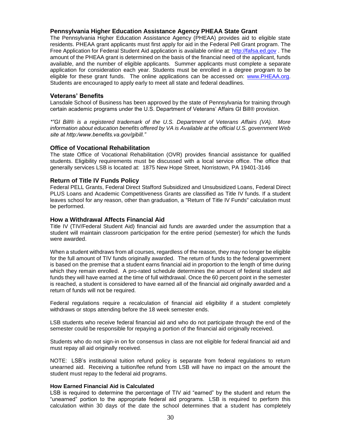#### **Pennsylvania Higher Education Assistance Agency PHEAA State Grant**

The Pennsylvania Higher Education Assistance Agency (PHEAA) provides aid to eligible state residents. PHEAA grant applicants must first apply for aid in the Federal Pell Grant program. The Free Application for Federal Student Aid application is available online at: [http://fafsa.ed.gov](http://fafsa.ed.gov/) . The amount of the PHEAA grant is determined on the basis of the financial need of the applicant, funds available, and the number of eligible applicants. Summer applicants must complete a separate application for consideration each year. Students must be enrolled in a degree program to be eligible for these grant funds. The online applications can be accessed on: [www.PHEAA.org.](http://www.pheaa.org/) Students are encouraged to apply early to meet all state and federal deadlines.

#### **Veterans' Benefits**

Lansdale School of Business has been approved by the state of Pennsylvania for training through certain academic programs under the U.S. Department of Veterans' Affairs GI Bill® provision.

*\*"GI Bill® is a registered trademark of the U.S. Department of Veterans Affairs (VA). More information about education benefits offered by VA is Available at the official U.S. government Web site at http:/www.benefits.va.gov/gibill."*

#### **Office of Vocational Rehabilitation**

The state Office of Vocational Rehabilitation (OVR) provides financial assistance for qualified students. Eligibility requirements must be discussed with a local service office. The office that generally services LSB is located at: 1875 New Hope Street, Norristown, PA 19401-3146

#### **Return of Title IV Funds Policy**

Federal PELL Grants, Federal Direct Stafford Subsidized and Unsubsidized Loans, Federal Direct PLUS Loans and Academic Competitiveness Grants are classified as Title IV funds. If a student leaves school for any reason, other than graduation, a "Return of Title IV Funds" calculation must be performed.

#### **How a Withdrawal Affects Financial Aid**

Title IV (TIV/Federal Student Aid) financial aid funds are awarded under the assumption that a student will maintain classroom participation for the entire period (semester) for which the funds were awarded.

When a student withdraws from all courses, regardless of the reason, they may no longer be eligible for the full amount of TIV funds originally awarded. The return of funds to the federal government is based on the premise that a student earns financial aid in proportion to the length of time during which they remain enrolled. A pro-rated schedule determines the amount of federal student aid funds they will have earned at the time of full withdrawal. Once the 60 percent point in the semester is reached, a student is considered to have earned all of the financial aid originally awarded and a return of funds will not be required.

Federal regulations require a recalculation of financial aid eligibility if a student completely withdraws or stops attending before the 18 week semester ends.

LSB students who receive federal financial aid and who do not participate through the end of the semester could be responsible for repaying a portion of the financial aid originally received.

Students who do not sign-in on for consensus in class are not eligible for federal financial aid and must repay all aid originally received.

NOTE: LSB's institutional tuition refund policy is separate from federal regulations to return unearned aid. Receiving a tuition/fee refund from LSB will have no impact on the amount the student must repay to the federal aid programs.

#### **How Earned Financial Aid is Calculated**

LSB is required to determine the percentage of TIV aid "earned" by the student and return the "unearned" portion to the appropriate federal aid programs. LSB is required to perform this calculation within 30 days of the date the school determines that a student has completely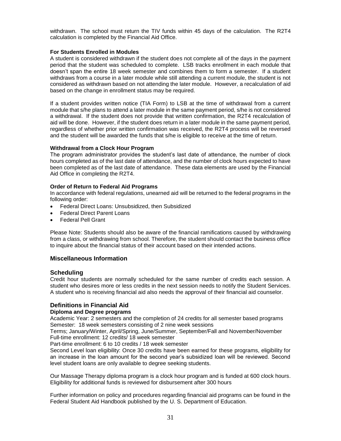withdrawn. The school must return the TIV funds within 45 days of the calculation. The R2T4 calculation is completed by the Financial Aid Office.

#### **For Students Enrolled in Modules**

A student is considered withdrawn if the student does not complete all of the days in the payment period that the student was scheduled to complete. LSB tracks enrollment in each module that doesn't span the entire 18 week semester and combines them to form a semester. If a student withdraws from a course in a later module while still attending a current module, the student is not considered as withdrawn based on not attending the later module. However, a recalculation of aid based on the change in enrollment status may be required.

If a student provides written notice (TIA Form) to LSB at the time of withdrawal from a current module that s/he plans to attend a later module in the same payment period, s/he is not considered a withdrawal. If the student does not provide that written confirmation, the R2T4 recalculation of aid will be done. However, if the student does return in a later module in the same payment period, regardless of whether prior written confirmation was received, the R2T4 process will be reversed and the student will be awarded the funds that s/he is eligible to receive at the time of return.

#### **Withdrawal from a Clock Hour Program**

The program administrator provides the student's last date of attendance, the number of clock hours completed as of the last date of attendance, and the number of clock hours expected to have been completed as of the last date of attendance. These data elements are used by the Financial Aid Office in completing the R2T4.

#### **Order of Return to Federal Aid Programs**

In accordance with federal regulations, unearned aid will be returned to the federal programs in the following order:

- Federal Direct Loans: Unsubsidized, then Subsidized
- Federal Direct Parent Loans
- Federal Pell Grant

Please Note: Students should also be aware of the financial ramifications caused by withdrawing from a class, or withdrawing from school. Therefore, the student should contact the business office to inquire about the financial status of their account based on their intended actions.

#### **Miscellaneous Information**

#### **Scheduling**

Credit hour students are normally scheduled for the same number of credits each session. A student who desires more or less credits in the next session needs to notify the Student Services. A student who is receiving financial aid also needs the approval of their financial aid counselor.

#### **Definitions in Financial Aid**

#### **Diploma and Degree programs**

Academic Year: 2 semesters and the completion of 24 credits for all semester based programs Semester: 18 week semesters consisting of 2 nine week sessions

Terms; January/Winter, April/Spring, June/Summer, September/Fall and November/November Full-time enrollment: 12 credits/ 18 week semester

Part-time enrollment: 6 to 10 credits / 18 week semester

Second Level loan eligibility: Once 30 credits have been earned for these programs, eligibility for an increase in the loan amount for the second year's subsidized loan will be reviewed. Second level student loans are only available to degree seeking students.

Our Massage Therapy diploma program is a clock hour program and is funded at 600 clock hours. Eligibility for additional funds is reviewed for disbursement after 300 hours

Further information on policy and procedures regarding financial aid programs can be found in the Federal Student Aid Handbook published by the U. S. Department of Education.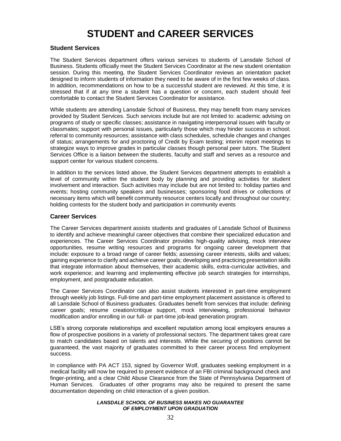# **STUDENT and CAREER SERVICES**

#### **Student Services**

The Student Services department offers various services to students of Lansdale School of Business. Students officially meet the Student Services Coordinator at the new student orientation session. During this meeting, the Student Services Coordinator reviews an orientation packet designed to inform students of information they need to be aware of in the first few weeks of class. In addition, recommendations on how to be a successful student are reviewed. At this time, it is stressed that if at any time a student has a question or concern, each student should feel comfortable to contact the Student Services Coordinator for assistance.

While students are attending Lansdale School of Business, they may benefit from many services provided by Student Services. Such services include but are not limited to: academic advising on programs of study or specific classes; assistance in navigating interpersonal issues with faculty or classmates; support with personal issues, particularly those which may hinder success in school; referral to community resources; assistance with class schedules, schedule changes and changes of status; arrangements for and proctoring of Credit by Exam testing; interim report meetings to strategize ways to improve grades in particular classes though personal peer tutors. The Student Services Office is a liaison between the students, faculty and staff and serves as a resource and support center for various student concerns.

In addition to the services listed above, the Student Services department attempts to establish a level of community within the student body by planning and providing activities for student involvement and interaction. Such activities may include but are not limited to: holiday parties and events; hosting community speakers and businesses; sponsoring food drives or collections of necessary items which will benefit community resource centers locally and throughout our country; holding contests for the student body and participation in community events

#### **Career Services**

The Career Services department assists students and graduates of Lansdale School of Business to identify and achieve meaningful career objectives that combine their specialized education and experiences. The Career Services Coordinator provides high-quality advising, mock interview opportunities, resume writing resources and programs for ongoing career development that include: exposure to a broad range of career fields; assessing career interests, skills and values; gaining experience to clarify and achieve career goals; developing and practicing presentation skills that integrate information about themselves, their academic skills, extra-curricular activities, and work experience; and learning and implementing effective job search strategies for internships, employment, and postgraduate education.

The Career Services Coordinator can also assist students interested in part-time employment through weekly job listings. Full-time and part-time employment placement assistance is offered to all Lansdale School of Business graduates. Graduates benefit from services that include: defining career goals; resume creation/critique support, mock interviewing, professional behavior modification and/or enrolling in our full- or part-time job-lead generation program.

LSB's strong corporate relationships and excellent reputation among local employers ensures a flow of prospective positions in a variety of professional sectors. The department takes great care to match candidates based on talents and interests. While the securing of positions cannot be guaranteed, the vast majority of graduates committed to their career process find employment success.

In compliance with PA ACT 153, signed by Governor Wolf, graduates seeking employment in a medical facility will now be required to present evidence of an FBI criminal background check and finger-printing, and a clear Child Abuse Clearance from the State of Pennsylvania Department of Human Services. Graduates of other programs may also be required to present the same documentation depending on child interaction of a given position.

#### *LANSDALE SCHOOL OF BUSINESS MAKES NO GUARANTEE OF EMPLOYMENT UPON GRADUATION*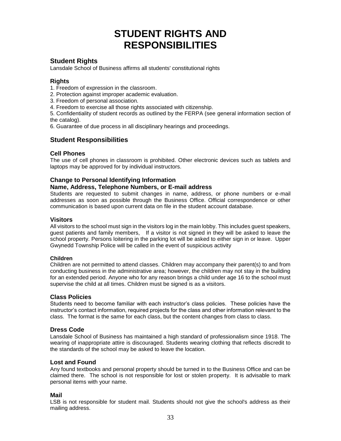# **STUDENT RIGHTS AND RESPONSIBILITIES**

# **Student Rights**

Lansdale School of Business affirms all students' constitutional rights

### **Rights**

1. Freedom of expression in the classroom.

- 2. Protection against improper academic evaluation.
- 3. Freedom of personal association.
- 4. Freedom to exercise all those rights associated with citizenship.

5. Confidentiality of student records as outlined by the FERPA (see general information section of the catalog).

6. Guarantee of due process in all disciplinary hearings and proceedings.

# **Student Responsibilities**

### **Cell Phones**

The use of cell phones in classroom is prohibited. Other electronic devices such as tablets and laptops may be approved for by individual instructors.

#### **Change to Personal Identifying Information**

#### **Name, Address, Telephone Numbers, or E-mail address**

Students are requested to submit changes in name, address, or phone numbers or e-mail addresses as soon as possible through the Business Office. Official correspondence or other communication is based upon current data on file in the student account database.

#### **Visitors**

All visitors to the school must sign in the visitors log in the main lobby. This includes guest speakers, guest patients and family members, If a visitor is not signed in they will be asked to leave the school property. Persons loitering in the parking lot will be asked to either sign in or leave. Upper Gwynedd Township Police will be called in the event of suspicious activity

#### **Children**

Children are not permitted to attend classes. Children may accompany their parent(s) to and from conducting business in the administrative area; however, the children may not stay in the building for an extended period. Anyone who for any reason brings a child under age 16 to the school must supervise the child at all times. Children must be signed is as a visitors.

#### **Class Policies**

Students need to become familiar with each instructor's class policies. These policies have the instructor's contact information, required projects for the class and other information relevant to the class. The format is the same for each class, but the content changes from class to class.

#### **Dress Code**

Lansdale School of Business has maintained a high standard of professionalism since 1918. The wearing of inappropriate attire is discouraged. Students wearing clothing that reflects discredit to the standards of the school may be asked to leave the location.

#### **Lost and Found**

Any found textbooks and personal property should be turned in to the Business Office and can be claimed there. The school is not responsible for lost or stolen property. It is advisable to mark personal items with your name.

#### **Mail**

LSB is not responsible for student mail. Students should not give the school's address as their mailing address.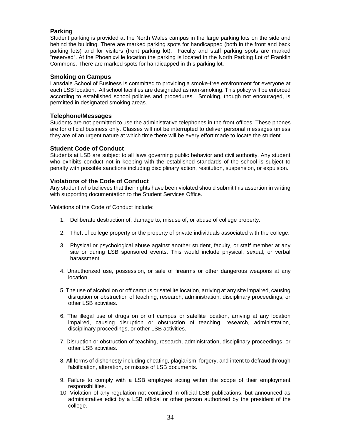# **Parking**

Student parking is provided at the North Wales campus in the large parking lots on the side and behind the building. There are marked parking spots for handicapped (both in the front and back parking lots) and for visitors (front parking lot). Faculty and staff parking spots are marked "reserved". At the Phoenixville location the parking is located in the North Parking Lot of Franklin Commons. There are marked spots for handicapped in this parking lot.

#### **Smoking on Campus**

Lansdale School of Business is committed to providing a smoke-free environment for everyone at each LSB location. All school facilities are designated as non-smoking. This policy will be enforced according to established school policies and procedures. Smoking, though not encouraged, is permitted in designated smoking areas.

#### **Telephone/Messages**

Students are not permitted to use the administrative telephones in the front offices. These phones are for official business only. Classes will not be interrupted to deliver personal messages unless they are of an urgent nature at which time there will be every effort made to locate the student.

#### **Student Code of Conduct**

Students at LSB are subject to all laws governing public behavior and civil authority. Any student who exhibits conduct not in keeping with the established standards of the school is subject to penalty with possible sanctions including disciplinary action, restitution, suspension, or expulsion.

#### **Violations of the Code of Conduct**

Any student who believes that their rights have been violated should submit this assertion in writing with supporting documentation to the Student Services Office.

Violations of the Code of Conduct include:

- 1. Deliberate destruction of, damage to, misuse of, or abuse of college property.
- 2. Theft of college property or the property of private individuals associated with the college.
- 3. Physical or psychological abuse against another student, faculty, or staff member at any site or during LSB sponsored events. This would include physical, sexual, or verbal harassment.
- 4. Unauthorized use, possession, or sale of firearms or other dangerous weapons at any location.
- 5. The use of alcohol on or off campus or satellite location, arriving at any site impaired, causing disruption or obstruction of teaching, research, administration, disciplinary proceedings, or other LSB activities.
- 6. The illegal use of drugs on or off campus or satellite location, arriving at any location impaired, causing disruption or obstruction of teaching, research, administration, disciplinary proceedings, or other LSB activities.
- 7. Disruption or obstruction of teaching, research, administration, disciplinary proceedings, or other LSB activities.
- 8. All forms of dishonesty including cheating, plagiarism, forgery, and intent to defraud through falsification, alteration, or misuse of LSB documents.
- 9. Failure to comply with a LSB employee acting within the scope of their employment responsibilities.
- 10. Violation of any regulation not contained in official LSB publications, but announced as administrative edict by a LSB official or other person authorized by the president of the college.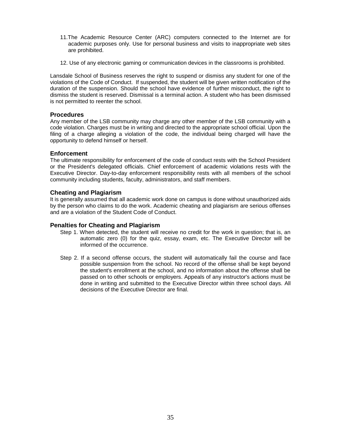- 11.The Academic Resource Center (ARC) computers connected to the Internet are for academic purposes only. Use for personal business and visits to inappropriate web sites are prohibited.
- 12. Use of any electronic gaming or communication devices in the classrooms is prohibited.

Lansdale School of Business reserves the right to suspend or dismiss any student for one of the violations of the Code of Conduct. If suspended, the student will be given written notification of the duration of the suspension. Should the school have evidence of further misconduct, the right to dismiss the student is reserved. Dismissal is a terminal action. A student who has been dismissed is not permitted to reenter the school.

### **Procedures**

Any member of the LSB community may charge any other member of the LSB community with a code violation. Charges must be in writing and directed to the appropriate school official. Upon the filing of a charge alleging a violation of the code, the individual being charged will have the opportunity to defend himself or herself.

### **Enforcement**

The ultimate responsibility for enforcement of the code of conduct rests with the School President or the President's delegated officials. Chief enforcement of academic violations rests with the Executive Director. Day-to-day enforcement responsibility rests with all members of the school community including students, faculty, administrators, and staff members.

### **Cheating and Plagiarism**

It is generally assumed that all academic work done on campus is done without unauthorized aids by the person who claims to do the work. Academic cheating and plagiarism are serious offenses and are a violation of the Student Code of Conduct.

## **Penalties for Cheating and Plagiarism**

- Step 1. When detected, the student will receive no credit for the work in question; that is, an automatic zero (0) for the quiz, essay, exam, etc. The Executive Director will be informed of the occurrence.
- Step 2. If a second offense occurs, the student will automatically fail the course and face possible suspension from the school. No record of the offense shall be kept beyond the student's enrollment at the school, and no information about the offense shall be passed on to other schools or employers. Appeals of any instructor's actions must be done in writing and submitted to the Executive Director within three school days. All decisions of the Executive Director are final.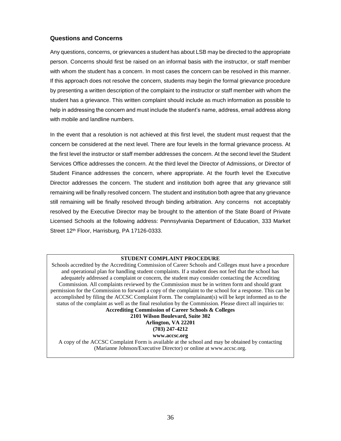# **Questions and Concerns**

Any questions, concerns, or grievances a student has about LSB may be directed to the appropriate person. Concerns should first be raised on an informal basis with the instructor, or staff member with whom the student has a concern. In most cases the concern can be resolved in this manner. If this approach does not resolve the concern, students may begin the formal grievance procedure by presenting a written description of the complaint to the instructor or staff member with whom the student has a grievance. This written complaint should include as much information as possible to help in addressing the concern and must include the student's name, address, email address along with mobile and landline numbers.

In the event that a resolution is not achieved at this first level, the student must request that the concern be considered at the next level. There are four levels in the formal grievance process. At the first level the instructor or staff member addresses the concern. At the second level the Student Services Office addresses the concern. At the third level the Director of Admissions, or Director of Student Finance addresses the concern, where appropriate. At the fourth level the Executive Director addresses the concern. The student and institution both agree that any grievance still remaining will be finally resolved concern. The student and institution both agree that any grievance still remaining will be finally resolved through binding arbitration. Any concerns not acceptably resolved by the Executive Director may be brought to the attention of the State Board of Private Licensed Schools at the following address: Pennsylvania Department of Education, 333 Market Street 12<sup>th</sup> Floor, Harrisburg, PA 17126-0333.

### **STUDENT COMPLAINT PROCEDURE**

Schools accredited by the Accrediting Commission of Career Schools and Colleges must have a procedure and operational plan for handling student complaints. If a student does not feel that the school has adequately addressed a complaint or concern, the student may consider contacting the Accrediting Commission. All complaints reviewed by the Commission must be in written form and should grant permission for the Commission to forward a copy of the complaint to the school for a response. This can be accomplished by filing the ACCSC Complaint Form. The complainant(s) will be kept informed as to the status of the complaint as well as the final resolution by the Commission. Please direct all inquiries to: **Accrediting Commission of Career Schools & Colleges**

**2101 Wilson Boulevard, Suite 302 Arlington, VA 22201 (703) 247-4212**

**www.accsc.org**

A copy of the ACCSC Complaint Form is available at the school and may be obtained by contacting (Marianne Johnson/Executive Director) or online at www.accsc.org.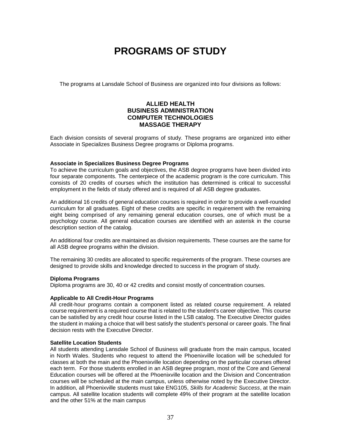# **PROGRAMS OF STUDY**

The programs at Lansdale School of Business are organized into four divisions as follows:

# **ALLIED HEALTH BUSINESS ADMINISTRATION COMPUTER TECHNOLOGIES MASSAGE THERAPY**

Each division consists of several programs of study. These programs are organized into either Associate in Specializes Business Degree programs or Diploma programs.

### **Associate in Specializes Business Degree Programs**

To achieve the curriculum goals and objectives, the ASB degree programs have been divided into four separate components. The centerpiece of the academic program is the core curriculum. This consists of 20 credits of courses which the institution has determined is critical to successful employment in the fields of study offered and is required of all ASB degree graduates.

An additional 16 credits of general education courses is required in order to provide a well-rounded curriculum for all graduates. Eight of these credits are specific in requirement with the remaining eight being comprised of any remaining general education courses, one of which must be a psychology course. All general education courses are identified with an asterisk in the course description section of the catalog.

An additional four credits are maintained as division requirements. These courses are the same for all ASB degree programs within the division.

The remaining 30 credits are allocated to specific requirements of the program. These courses are designed to provide skills and knowledge directed to success in the program of study.

### **Diploma Programs**

Diploma programs are 30, 40 or 42 credits and consist mostly of concentration courses.

### **Applicable to All Credit-Hour Programs**

All credit-hour programs contain a component listed as related course requirement. A related course requirement is a required course that is related to the student's career objective. This course can be satisfied by any credit hour course listed in the LSB catalog. The Executive Director guides the student in making a choice that will best satisfy the student's personal or career goals. The final decision rests with the Executive Director.

### **Satellite Location Students**

All students attending Lansdale School of Business will graduate from the main campus, located in North Wales. Students who request to attend the Phoenixville location will be scheduled for classes at both the main and the Phoenixville location depending on the particular courses offered each term. For those students enrolled in an ASB degree program, most of the Core and General Education courses will be offered at the Phoenixville location and the Division and Concentration courses will be scheduled at the main campus, unless otherwise noted by the Executive Director. In addition, all Phoenixville students must take ENG105, *Skills for Academic Success*, at the main campus. All satellite location students will complete 49% of their program at the satellite location and the other 51% at the main campus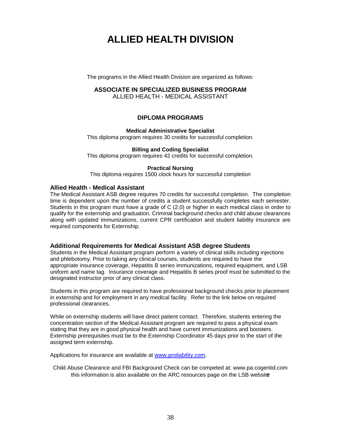# **ALLIED HEALTH DIVISION**

The programs in the Allied Health Division are organized as follows:

### **ASSOCIATE IN SPECIALIZED BUSINESS PROGRAM**

ALLIED HEALTH - MEDICAL ASSISTANT

## **DIPLOMA PROGRAMS**

### **Medical Administrative Specialist**

This diploma program requires 30 credits for successful completion.

### **Billing and Coding Specialist**

This diploma program requires 42 credits for successful completion.

### **Practical Nursing**

This diploma requires 1500 clock hours for successful completion

### **Allied Health - Medical Assistant**

The Medical Assistant ASB degree requires 70 credits for successful completion. The completion time is dependent upon the number of credits a student successfully completes each semester. Students in this program must have a grade of C (2.0) or higher in each medical class in order to qualify for the externship and graduation. Criminal background checks and child abuse clearances along with updated immunizations, current CPR certification and student liability insurance are required components for Externship.

### **Additional Requirements for Medical Assistant ASB degree Students**

Students in the Medical Assistant program perform a variety of clinical skills including injections and phlebotomy. Prior to taking any clinical courses, students are required to have the appropriate insurance coverage, Hepatitis B series immunizations, required equipment, and LSB uniform and name tag. Insurance coverage and Hepatitis B series proof must be submitted to the designated instructor prior of any clinical class.

Students in this program are required to have professional background checks prior to placement in externship and for employment in any medical facility. Refer to the link below on required professional clearances.

While on externship students will have direct patient contact. Therefore, students entering the concentration section of the Medical Assistant program are required to pass a physical exam stating that they are in good physical health and have current immunizations and boosters. Externship prerequisites must be to the Externship Coordinator 45 days prior to the start of the assigned term externship.

Applications for insurance are available at [www.proliability.com.](http://www.proliability.com/)

Child Abuse Clearance and FBI Background Check can be competed at: www.pa.cogentid.com this information is also available on the ARC resources page on the LSB websit**e**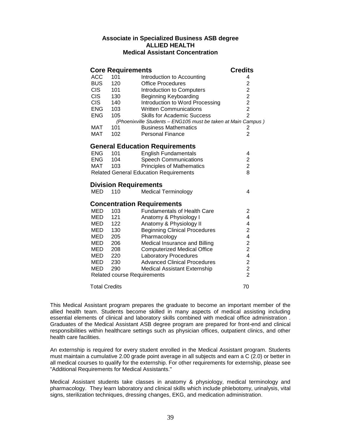# **Associate in Specialized Business ASB degree ALLIED HEALTH Medical Assistant Concentration**

| <b>Core Requirements</b> | <b>Credits</b> |                                                               |                         |
|--------------------------|----------------|---------------------------------------------------------------|-------------------------|
| <b>ACC</b>               | 101            | Introduction to Accounting                                    | 4                       |
| <b>BUS</b>               | 120            | <b>Office Procedures</b>                                      | $\overline{2}$          |
| CIS                      | 101            | Introduction to Computers                                     |                         |
| <b>CIS</b>               | 130            | <b>Beginning Keyboarding</b>                                  |                         |
| <b>CIS</b>               | 140            | Introduction to Word Processing                               | $222$<br>$22$           |
| <b>ENG</b>               | 103            | <b>Written Communications</b>                                 |                         |
| <b>ENG</b>               | 105            | <b>Skills for Academic Success</b>                            | $\overline{2}$          |
|                          |                | (Phoenixville Students - ENG105 must be taken at Main Campus) |                         |
| MAT                      | 101            | <b>Business Mathematics</b>                                   | 2                       |
| MAT                      | 102            | <b>Personal Finance</b>                                       | $\overline{2}$          |
|                          |                | <b>General Education Requirements</b>                         |                         |
| <b>ENG</b>               | 101            | <b>English Fundamentals</b>                                   | 4                       |
| ENG                      | 104            | <b>Speech Communications</b>                                  | $\overline{\mathbf{c}}$ |
| MAT                      | 103            | <b>Principles of Mathematics</b>                              | $\overline{2}$          |
|                          |                | <b>Related General Education Requirements</b>                 | 8                       |
|                          |                | <b>Division Requirements</b>                                  |                         |
| MED                      | 110            | <b>Medical Terminology</b>                                    | 4                       |
|                          |                | <b>Concentration Requirements</b>                             |                         |
| <b>MED</b>               | 103            | <b>Fundamentals of Health Care</b>                            | $\overline{2}$          |
| MED                      | 121            | Anatomy & Physiology I                                        | 4                       |
| MED                      | 122            | Anatomy & Physiology II                                       | 4                       |
| <b>MED</b>               | 130            | <b>Beginning Clinical Procedures</b>                          | $\overline{c}$          |
| MED                      | 205            | Pharmacology                                                  | 4                       |
| MED                      | 206            | Medical Insurance and Billing                                 | $\frac{2}{2}$           |
| MED                      | 208            | <b>Computerized Medical Office</b>                            |                         |
| MED                      | 220            | <b>Laboratory Procedures</b>                                  | 4                       |
| MED                      | 230            | <b>Advanced Clinical Procedures</b>                           | $\frac{2}{2}$           |
| MED                      | 290            | <b>Medical Assistant Externship</b>                           |                         |
|                          |                | <b>Related course Requirements</b>                            | $\overline{2}$          |
| <b>Total Credits</b>     |                |                                                               | 70                      |

This Medical Assistant program prepares the graduate to become an important member of the allied health team. Students become skilled in many aspects of medical assisting including essential elements of clinical and laboratory skills combined with medical office administration . Graduates of the Medical Assistant ASB degree program are prepared for front-end and clinical responsibilities within healthcare settings such as physician offices, outpatient clinics, and other health care facilities.

An externship is required for every student enrolled in the Medical Assistant program. Students must maintain a cumulative 2.00 grade point average in all subjects and earn a C (2.0) or better in all medical courses to qualify for the externship. For other requirements for externship, please see "Additional Requirements for Medical Assistants."

Medical Assistant students take classes in anatomy & physiology, medical terminology and pharmacology. They learn laboratory and clinical skills which include phlebotomy, urinalysis, vital signs, sterilization techniques, dressing changes, EKG, and medication administration.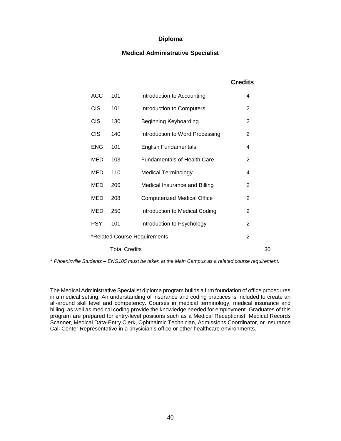# **Medical Administrative Specialist**

# **Credits**

| <b>ACC</b> | 101                  | Introduction to Accounting         | 4              |    |
|------------|----------------------|------------------------------------|----------------|----|
| <b>CIS</b> | 101                  | Introduction to Computers          | 2              |    |
| <b>CIS</b> | 130                  | Beginning Keyboarding              | 2              |    |
| <b>CIS</b> | 140                  | Introduction to Word Processing    | 2              |    |
| <b>ENG</b> | 101                  | <b>English Fundamentals</b>        | 4              |    |
| MED        | 103                  | <b>Fundamentals of Health Care</b> | 2              |    |
| MED        | 110                  | <b>Medical Terminology</b>         | 4              |    |
| MED        | 206                  | Medical Insurance and Billing      | 2              |    |
| MED        | 208                  | <b>Computerized Medical Office</b> | $\overline{2}$ |    |
| MED        | 250                  | Introduction to Medical Coding     | 2              |    |
| <b>PSY</b> | 101                  | Introduction to Psychology         | $\overline{2}$ |    |
|            |                      | *Related Course Requirements       | 2              |    |
|            | <b>Total Credits</b> |                                    |                | 30 |

\* *Phoenixville Students – ENG105 must be taken at the Main Campus as a related course requirement.*

The Medical Administrative Specialist diploma program builds a firm foundation of office procedures in a medical setting. An understanding of insurance and coding practices is included to create an all-around skill level and competency. Courses in medical terminology, medical insurance and billing, as well as medical coding provide the knowledge needed for employment. Graduates of this program are prepared for entry-level positions such as a Medical Receptionist, Medical Records Scanner, Medical Data-Entry Clerk, Ophthalmic Technician, Admissions Coordinator, or Insurance Call-Center Representative in a physician's office or other healthcare environments.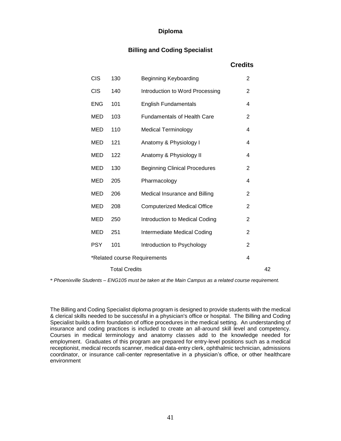# **Billing and Coding Specialist**

# **Credits**

| <b>CIS</b> | 130                          | Beginning Keyboarding                | $\overline{2}$ |    |
|------------|------------------------------|--------------------------------------|----------------|----|
| <b>CIS</b> | 140                          | Introduction to Word Processing      | $\overline{2}$ |    |
| <b>ENG</b> | 101                          | <b>English Fundamentals</b>          | 4              |    |
| <b>MED</b> | 103                          | <b>Fundamentals of Health Care</b>   | 2              |    |
| MED        | 110                          | <b>Medical Terminology</b>           | 4              |    |
| <b>MED</b> | 121                          | Anatomy & Physiology I               | 4              |    |
| MED        | 122                          | Anatomy & Physiology II              | 4              |    |
| <b>MED</b> | 130                          | <b>Beginning Clinical Procedures</b> | $\overline{2}$ |    |
| MED        | 205                          | Pharmacology                         | 4              |    |
| MED        | 206                          | Medical Insurance and Billing        | $\overline{2}$ |    |
| <b>MED</b> | 208                          | <b>Computerized Medical Office</b>   | $\overline{2}$ |    |
| MED        | 250                          | Introduction to Medical Coding       | 2              |    |
| <b>MED</b> | 251                          | Intermediate Medical Coding          | $\overline{2}$ |    |
| <b>PSY</b> | 101                          | Introduction to Psychology           | 2              |    |
|            | *Related course Requirements |                                      | 4              |    |
|            | <b>Total Credits</b>         |                                      |                | 42 |

\* *Phoenixville Students – ENG105 must be taken at the Main Campus as a related course requirement.*

The Billing and Coding Specialist diploma program is designed to provide students with the medical & clerical skills needed to be successful in a physician's office or hospital. The Billing and Coding Specialist builds a firm foundation of office procedures in the medical setting. An understanding of insurance and coding practices is included to create an all-around skill level and competency. Courses in medical terminology and anatomy classes add to the knowledge needed for employment. Graduates of this program are prepared for entry-level positions such as a medical receptionist, medical records scanner, medical data-entry clerk, ophthalmic technician, admissions coordinator, or insurance call-center representative in a physician's office, or other healthcare environment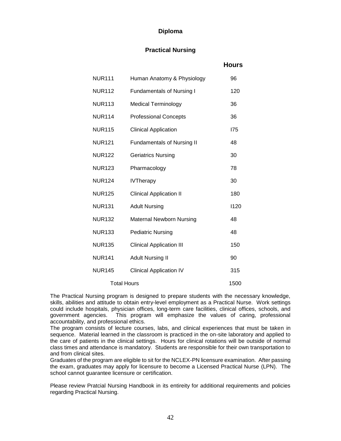# **Practical Nursing**

 **Hours**

|               |                                   | 1 IVUI 5 |
|---------------|-----------------------------------|----------|
| <b>NUR111</b> | Human Anatomy & Physiology        | 96       |
| <b>NUR112</b> | <b>Fundamentals of Nursing I</b>  | 120      |
| <b>NUR113</b> | <b>Medical Terminology</b>        | 36       |
| <b>NUR114</b> | <b>Professional Concepts</b>      | 36       |
| <b>NUR115</b> | <b>Clinical Application</b>       | 175      |
| <b>NUR121</b> | <b>Fundamentals of Nursing II</b> | 48       |
| <b>NUR122</b> | <b>Geriatrics Nursing</b>         | 30       |
| <b>NUR123</b> | Pharmacology                      | 78       |
| <b>NUR124</b> | <b>IVTherapy</b>                  | 30       |
| <b>NUR125</b> | <b>Clinical Application II</b>    | 180      |
| <b>NUR131</b> | <b>Adult Nursing</b>              | 1120     |
| <b>NUR132</b> | <b>Maternal Newborn Nursing</b>   | 48       |
| <b>NUR133</b> | <b>Pediatric Nursing</b>          | 48       |
| <b>NUR135</b> | <b>Clinical Application III</b>   | 150      |
| <b>NUR141</b> | <b>Adult Nursing II</b>           | 90       |
| <b>NUR145</b> | <b>Clinical Application IV</b>    | 315      |
| Total Hours   |                                   | 1500     |

The Practical Nursing program is designed to prepare students with the necessary knowledge, skills, abilities and attitude to obtain entry-level employment as a Practical Nurse. Work settings could include hospitals, physician offices, long-term care facilities, clinical offices, schools, and government agencies. This program will emphasize the values of caring, professional accountability, and professional ethics.

The program consists of lecture courses, labs, and clinical experiences that must be taken in sequence. Material learned in the classroom is practiced in the on-site laboratory and applied to the care of patients in the clinical settings. Hours for clinical rotations will be outside of normal class times and attendance is mandatory. Students are responsible for their own transportation to and from clinical sites.

Graduates of the program are eligible to sit for the NCLEX-PN licensure examination. After passing the exam, graduates may apply for licensure to become a Licensed Practical Nurse (LPN). The school cannot guarantee licensure or certification.

Please review Pratcial Nursing Handbook in its entireity for additional requirements and policies regarding Practical Nursing.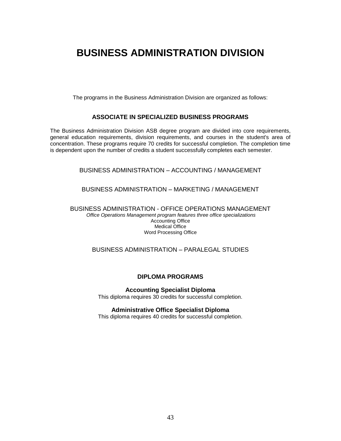# **BUSINESS ADMINISTRATION DIVISION**

The programs in the Business Administration Division are organized as follows:

# **ASSOCIATE IN SPECIALIZED BUSINESS PROGRAMS**

The Business Administration Division ASB degree program are divided into core requirements, general education requirements, division requirements, and courses in the student's area of concentration. These programs require 70 credits for successful completion. The completion time is dependent upon the number of credits a student successfully completes each semester.

# BUSINESS ADMINISTRATION – ACCOUNTING / MANAGEMENT

### BUSINESS ADMINISTRATION – MARKETING / MANAGEMENT

BUSINESS ADMINISTRATION - OFFICE OPERATIONS MANAGEMENT *Office Operations Management program features three office specializations* Accounting Office Medical Office Word Processing Office

# BUSINESS ADMINISTRATION – PARALEGAL STUDIES

### **DIPLOMA PROGRAMS**

**Accounting Specialist Diploma**

This diploma requires 30 credits for successful completion.

### **Administrative Office Specialist Diploma**

This diploma requires 40 credits for successful completion.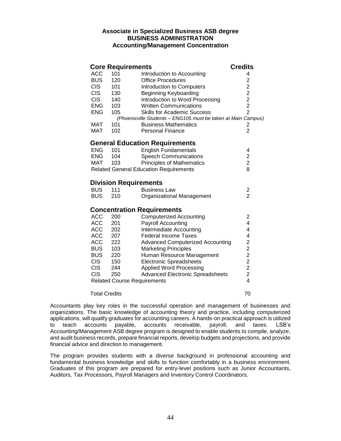# **Associate in Specialized Business ASB degree BUSINESS ADMINISTRATION Accounting/Management Concentration**

|                      |     | <b>Core Requirements</b>                                      | <b>Credits</b>          |
|----------------------|-----|---------------------------------------------------------------|-------------------------|
| <b>ACC</b>           | 101 | Introduction to Accounting                                    | 4                       |
| <b>BUS</b>           | 120 | <b>Office Procedures</b>                                      |                         |
| CIS <sub>.</sub>     | 101 | Introduction to Computers                                     | 222222                  |
| <b>CIS</b>           | 130 | <b>Beginning Keyboarding</b>                                  |                         |
| <b>CIS</b>           | 140 | Introduction to Word Processing                               |                         |
| <b>ENG</b>           | 103 | <b>Written Communications</b>                                 |                         |
| <b>ENG</b>           | 105 | <b>Skills for Academic Success</b>                            |                         |
|                      |     | (Phoenixville Students - ENG105 must be taken at Main Campus) |                         |
| MAT                  | 101 | <b>Business Mathematics</b>                                   | 2                       |
| <b>MAT</b>           | 102 | <b>Personal Finance</b>                                       | $\overline{2}$          |
|                      |     | <b>General Education Requirements</b>                         |                         |
| <b>ENG</b>           | 101 | <b>English Fundamentals</b>                                   | 4                       |
| <b>ENG</b>           | 104 | <b>Speech Communications</b>                                  | $\overline{c}$          |
| MAT 103              |     | <b>Principles of Mathematics</b>                              | $\overline{2}$          |
|                      |     | <b>Related General Education Requirements</b>                 | 8                       |
|                      |     | <b>Division Requirements</b>                                  |                         |
| <b>BUS</b>           | 111 | <b>Business Law</b>                                           | $\overline{\mathbf{c}}$ |
| <b>BUS</b>           | 210 | Organizational Management                                     | $\overline{2}$          |
|                      |     | <b>Concentration Requirements</b>                             |                         |
| <b>ACC</b>           | 200 | <b>Computerized Accounting</b>                                | $\overline{c}$          |
| <b>ACC</b>           | 201 | <b>Payroll Accounting</b>                                     | 4                       |
| <b>ACC</b>           | 202 | Intermediate Accounting                                       | 4                       |
| <b>ACC</b>           | 207 | <b>Federal Income Taxes</b>                                   | 4                       |
| <b>ACC</b>           | 222 | <b>Advanced Computerized Accounting</b>                       |                         |
| <b>BUS</b>           | 103 | <b>Marketing Principles</b>                                   | 222224                  |
| <b>BUS</b>           | 220 | Human Resource Management                                     |                         |
| <b>CIS</b>           | 150 | <b>Electronic Spreadsheets</b>                                |                         |
| <b>CIS</b>           | 244 | <b>Applied Word Processing</b>                                |                         |
| <b>CIS</b>           | 250 | <b>Advanced Electronic Spreadsheets</b>                       |                         |
|                      |     | <b>Related Course Requirements</b>                            |                         |
| <b>Total Credits</b> |     |                                                               | 70                      |

Accountants play key roles in the successful operation and management of businesses and organizations. The basic knowledge of accounting theory and practice, including computerized applications, will qualify graduates for accounting careers. A hands-on practical approach is utilized to teach accounts payable, accounts receivable, payroll, and taxes. LSB's Accounting/Management ASB degree program is designed to enable students to compile, analyze, and audit business records, prepare financial reports, develop budgets and projections, and provide financial advice and direction to management.

The program provides students with a diverse background in professional accounting and fundamental business knowledge and skills to function comfortably in a business environment. Graduates of this program are prepared for entry-level positions such as Junior Accountants, Auditors, Tax Processors, Payroll Managers and Inventory Control Coordinators.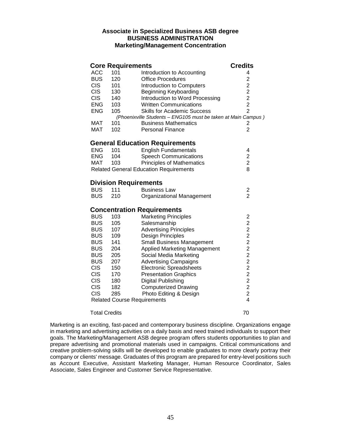# **Associate in Specialized Business ASB degree BUSINESS ADMINISTRATION Marketing/Management Concentration**

|                      |     | <b>Core Requirements</b>                                      | <b>Credits</b>          |
|----------------------|-----|---------------------------------------------------------------|-------------------------|
| <b>ACC</b>           | 101 | Introduction to Accounting                                    | 4                       |
| <b>BUS</b>           | 120 | <b>Office Procedures</b>                                      |                         |
| <b>CIS</b>           | 101 | Introduction to Computers                                     | 2222                    |
| <b>CIS</b>           | 130 | <b>Beginning Keyboarding</b>                                  |                         |
| <b>CIS</b>           | 140 | Introduction to Word Processing                               |                         |
| <b>ENG</b>           | 103 | <b>Written Communications</b>                                 |                         |
| <b>ENG</b>           | 105 | <b>Skills for Academic Success</b>                            | $\overline{2}$          |
|                      |     | (Phoenixville Students - ENG105 must be taken at Main Campus) |                         |
| MAT                  | 101 | <b>Business Mathematics</b>                                   | 2                       |
| <b>MAT</b>           | 102 | <b>Personal Finance</b>                                       | $\overline{2}$          |
|                      |     | <b>General Education Requirements</b>                         |                         |
| <b>ENG</b>           | 101 | <b>English Fundamentals</b>                                   | 4                       |
| <b>ENG</b>           | 104 | <b>Speech Communications</b>                                  | $\overline{\mathbf{c}}$ |
| <b>MAT</b>           | 103 | <b>Principles of Mathematics</b>                              | $\overline{2}$          |
|                      |     | <b>Related General Education Requirements</b>                 | 8                       |
|                      |     | <b>Division Requirements</b>                                  |                         |
| <b>BUS</b>           | 111 | <b>Business Law</b>                                           | $\overline{\mathbf{c}}$ |
| <b>BUS</b>           | 210 | Organizational Management                                     | $\overline{2}$          |
|                      |     | <b>Concentration Requirements</b>                             |                         |
| <b>BUS</b>           | 103 | <b>Marketing Principles</b>                                   | $\overline{\mathbf{c}}$ |
| <b>BUS</b>           | 105 | Salesmanship                                                  |                         |
| <b>BUS</b>           | 107 | <b>Advertising Principles</b>                                 |                         |
| <b>BUS</b>           | 109 | Design Principles                                             |                         |
| <b>BUS</b>           | 141 | <b>Small Business Management</b>                              | 22222222                |
| <b>BUS</b>           | 204 | Applied Marketing Management                                  |                         |
| <b>BUS</b>           | 205 | Social Media Marketing                                        |                         |
| <b>BUS</b>           | 207 | <b>Advertising Campaigns</b>                                  |                         |
| <b>CIS</b>           | 150 | Electronic Spreadsheets                                       |                         |
| <b>CIS</b>           | 170 | <b>Presentation Graphics</b>                                  |                         |
| <b>CIS</b>           | 180 | Digital Publishing                                            | $\overline{c}$          |
| <b>CIS</b>           | 182 | <b>Computerized Drawing</b>                                   |                         |
| <b>CIS</b>           | 285 | Photo Editing & Design                                        | $\frac{2}{2}$           |
|                      |     | <b>Related Course Requirements</b>                            | $\overline{4}$          |
| <b>Total Credits</b> |     |                                                               | 70                      |

Marketing is an exciting, fast-paced and contemporary business discipline. Organizations engage in marketing and advertising activities on a daily basis and need trained individuals to support their goals. The Marketing/Management ASB degree program offers students opportunities to plan and prepare advertising and promotional materials used in campaigns. Critical communications and creative problem-solving skills will be developed to enable graduates to more clearly portray their company or clients' message. Graduates of this program are prepared for entry-level positions such as Account Executive, Assistant Marketing Manager, Human Resource Coordinator, Sales Associate, Sales Engineer and Customer Service Representative.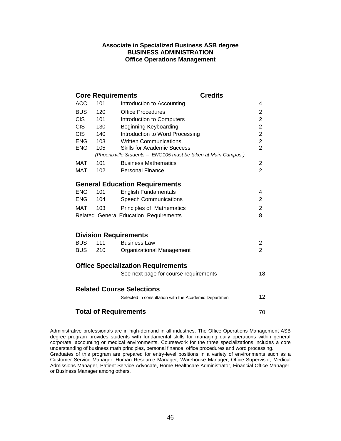# **Associate in Specialized Business ASB degree BUSINESS ADMINISTRATION Office Operations Management**

| <b>ACC</b><br>101<br>Introduction to Accounting<br>4<br><b>BUS</b><br>120<br><b>Office Procedures</b><br>$\overline{c}$<br>$\overline{2}$<br><b>CIS</b><br>101<br>Introduction to Computers<br>$\overline{c}$<br><b>CIS</b><br>130<br>Beginning Keyboarding<br>$\overline{c}$<br><b>CIS</b><br>Introduction to Word Processing<br>140<br>$\frac{2}{2}$<br>ENG<br>103<br><b>Written Communications</b><br>105<br><b>ENG</b><br><b>Skills for Academic Success</b><br>(Phoenixville Students - ENG105 must be taken at Main Campus)<br>101<br>MAT<br><b>Business Mathematics</b><br>$\overline{c}$<br>$\overline{2}$<br><b>MAT</b><br>102<br><b>Personal Finance</b><br><b>General Education Requirements</b><br><b>ENG</b><br><b>English Fundamentals</b><br>101<br>4<br>104<br><b>Speech Communications</b><br>$\overline{2}$<br><b>ENG</b><br>MAT<br>103<br><b>Principles of Mathematics</b><br>$\overline{2}$<br><b>Related General Education Requirements</b><br>8<br><b>Division Requirements</b><br><b>BUS</b><br>111<br><b>Business Law</b><br>2<br>$\overline{2}$<br>210<br>BUS<br>Organizational Management<br><b>Office Specialization Requirements</b><br>See next page for course requirements<br><b>Related Course Selections</b><br>12<br>Selected in consultation with the Academic Department<br><b>Total of Requirements</b> |  |    | <b>Core Requirements</b> | <b>Credits</b> |    |  |  |  |
|----------------------------------------------------------------------------------------------------------------------------------------------------------------------------------------------------------------------------------------------------------------------------------------------------------------------------------------------------------------------------------------------------------------------------------------------------------------------------------------------------------------------------------------------------------------------------------------------------------------------------------------------------------------------------------------------------------------------------------------------------------------------------------------------------------------------------------------------------------------------------------------------------------------------------------------------------------------------------------------------------------------------------------------------------------------------------------------------------------------------------------------------------------------------------------------------------------------------------------------------------------------------------------------------------------------------------------------------|--|----|--------------------------|----------------|----|--|--|--|
|                                                                                                                                                                                                                                                                                                                                                                                                                                                                                                                                                                                                                                                                                                                                                                                                                                                                                                                                                                                                                                                                                                                                                                                                                                                                                                                                              |  |    |                          |                |    |  |  |  |
|                                                                                                                                                                                                                                                                                                                                                                                                                                                                                                                                                                                                                                                                                                                                                                                                                                                                                                                                                                                                                                                                                                                                                                                                                                                                                                                                              |  |    |                          |                |    |  |  |  |
|                                                                                                                                                                                                                                                                                                                                                                                                                                                                                                                                                                                                                                                                                                                                                                                                                                                                                                                                                                                                                                                                                                                                                                                                                                                                                                                                              |  |    |                          |                |    |  |  |  |
|                                                                                                                                                                                                                                                                                                                                                                                                                                                                                                                                                                                                                                                                                                                                                                                                                                                                                                                                                                                                                                                                                                                                                                                                                                                                                                                                              |  |    |                          |                |    |  |  |  |
|                                                                                                                                                                                                                                                                                                                                                                                                                                                                                                                                                                                                                                                                                                                                                                                                                                                                                                                                                                                                                                                                                                                                                                                                                                                                                                                                              |  |    |                          |                |    |  |  |  |
|                                                                                                                                                                                                                                                                                                                                                                                                                                                                                                                                                                                                                                                                                                                                                                                                                                                                                                                                                                                                                                                                                                                                                                                                                                                                                                                                              |  |    |                          |                |    |  |  |  |
|                                                                                                                                                                                                                                                                                                                                                                                                                                                                                                                                                                                                                                                                                                                                                                                                                                                                                                                                                                                                                                                                                                                                                                                                                                                                                                                                              |  |    |                          |                |    |  |  |  |
|                                                                                                                                                                                                                                                                                                                                                                                                                                                                                                                                                                                                                                                                                                                                                                                                                                                                                                                                                                                                                                                                                                                                                                                                                                                                                                                                              |  |    |                          |                |    |  |  |  |
|                                                                                                                                                                                                                                                                                                                                                                                                                                                                                                                                                                                                                                                                                                                                                                                                                                                                                                                                                                                                                                                                                                                                                                                                                                                                                                                                              |  |    |                          |                |    |  |  |  |
|                                                                                                                                                                                                                                                                                                                                                                                                                                                                                                                                                                                                                                                                                                                                                                                                                                                                                                                                                                                                                                                                                                                                                                                                                                                                                                                                              |  |    |                          |                |    |  |  |  |
|                                                                                                                                                                                                                                                                                                                                                                                                                                                                                                                                                                                                                                                                                                                                                                                                                                                                                                                                                                                                                                                                                                                                                                                                                                                                                                                                              |  |    |                          |                |    |  |  |  |
|                                                                                                                                                                                                                                                                                                                                                                                                                                                                                                                                                                                                                                                                                                                                                                                                                                                                                                                                                                                                                                                                                                                                                                                                                                                                                                                                              |  |    |                          |                |    |  |  |  |
|                                                                                                                                                                                                                                                                                                                                                                                                                                                                                                                                                                                                                                                                                                                                                                                                                                                                                                                                                                                                                                                                                                                                                                                                                                                                                                                                              |  |    |                          |                |    |  |  |  |
|                                                                                                                                                                                                                                                                                                                                                                                                                                                                                                                                                                                                                                                                                                                                                                                                                                                                                                                                                                                                                                                                                                                                                                                                                                                                                                                                              |  |    |                          |                |    |  |  |  |
|                                                                                                                                                                                                                                                                                                                                                                                                                                                                                                                                                                                                                                                                                                                                                                                                                                                                                                                                                                                                                                                                                                                                                                                                                                                                                                                                              |  |    |                          |                |    |  |  |  |
|                                                                                                                                                                                                                                                                                                                                                                                                                                                                                                                                                                                                                                                                                                                                                                                                                                                                                                                                                                                                                                                                                                                                                                                                                                                                                                                                              |  |    |                          |                |    |  |  |  |
|                                                                                                                                                                                                                                                                                                                                                                                                                                                                                                                                                                                                                                                                                                                                                                                                                                                                                                                                                                                                                                                                                                                                                                                                                                                                                                                                              |  |    |                          |                |    |  |  |  |
|                                                                                                                                                                                                                                                                                                                                                                                                                                                                                                                                                                                                                                                                                                                                                                                                                                                                                                                                                                                                                                                                                                                                                                                                                                                                                                                                              |  |    |                          |                |    |  |  |  |
|                                                                                                                                                                                                                                                                                                                                                                                                                                                                                                                                                                                                                                                                                                                                                                                                                                                                                                                                                                                                                                                                                                                                                                                                                                                                                                                                              |  |    |                          |                |    |  |  |  |
|                                                                                                                                                                                                                                                                                                                                                                                                                                                                                                                                                                                                                                                                                                                                                                                                                                                                                                                                                                                                                                                                                                                                                                                                                                                                                                                                              |  |    |                          |                |    |  |  |  |
|                                                                                                                                                                                                                                                                                                                                                                                                                                                                                                                                                                                                                                                                                                                                                                                                                                                                                                                                                                                                                                                                                                                                                                                                                                                                                                                                              |  |    |                          |                | 18 |  |  |  |
|                                                                                                                                                                                                                                                                                                                                                                                                                                                                                                                                                                                                                                                                                                                                                                                                                                                                                                                                                                                                                                                                                                                                                                                                                                                                                                                                              |  |    |                          |                |    |  |  |  |
|                                                                                                                                                                                                                                                                                                                                                                                                                                                                                                                                                                                                                                                                                                                                                                                                                                                                                                                                                                                                                                                                                                                                                                                                                                                                                                                                              |  |    |                          |                |    |  |  |  |
|                                                                                                                                                                                                                                                                                                                                                                                                                                                                                                                                                                                                                                                                                                                                                                                                                                                                                                                                                                                                                                                                                                                                                                                                                                                                                                                                              |  |    |                          |                |    |  |  |  |
|                                                                                                                                                                                                                                                                                                                                                                                                                                                                                                                                                                                                                                                                                                                                                                                                                                                                                                                                                                                                                                                                                                                                                                                                                                                                                                                                              |  | 70 |                          |                |    |  |  |  |

Administrative professionals are in high-demand in all industries. The Office Operations Management ASB degree program provides students with fundamental skills for managing daily operations within general corporate, accounting or medical environments. Coursework for the three specializations includes a core understanding of business math principles, personal finance, office procedures and word processing. Graduates of this program are prepared for entry-level positions in a variety of environments such as a Customer Service Manager, Human Resource Manager, Warehouse Manager, Office Supervisor, Medical Admissions Manager, Patient Service Advocate, Home Healthcare Administrator, Financial Office Manager, or Business Manager among others.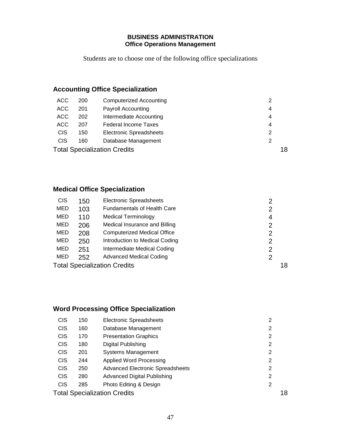# **BUSINESS ADMINISTRATION Office Operations Management**

Students are to choose one of the following office specializations

# **Accounting Office Specialization**

| ACC        | 200                                       | <b>Computerized Accounting</b> |   |
|------------|-------------------------------------------|--------------------------------|---|
| ACC        | 201                                       | <b>Payroll Accounting</b>      | 4 |
| ACC        | 202                                       | Intermediate Accounting        | 4 |
| ACC        | 207                                       | <b>Federal Income Taxes</b>    | 4 |
| <b>CIS</b> | 150                                       | <b>Electronic Spreadsheets</b> | 2 |
| <b>CIS</b> | 160                                       | Database Management            |   |
|            | 18<br><b>Total Specialization Credits</b> |                                |   |

# **Medical Office Specialization**

| <b>CIS</b> | 150 | <b>Electronic Spreadsheets</b>      | 2  |
|------------|-----|-------------------------------------|----|
| MED        | 103 | <b>Fundamentals of Health Care</b>  | 2  |
| MED        | 110 | <b>Medical Terminology</b>          | 4  |
| <b>MED</b> | 206 | Medical Insurance and Billing       | 2  |
| MED        | 208 | <b>Computerized Medical Office</b>  | 2  |
| <b>MED</b> | 250 | Introduction to Medical Coding      | 2  |
| MED        | 251 | Intermediate Medical Coding         | 2  |
| MED        | 252 | <b>Advanced Medical Coding</b>      | 2  |
|            |     | <b>Total Specialization Credits</b> | 18 |

# **Word Processing Office Specialization**

| <b>CIS</b> | 150                                       | <b>Electronic Spreadsheets</b>          | 2 |  |
|------------|-------------------------------------------|-----------------------------------------|---|--|
| <b>CIS</b> | 160                                       | Database Management                     | 2 |  |
| <b>CIS</b> | 170                                       | <b>Presentation Graphics</b>            | 2 |  |
| <b>CIS</b> | 180                                       | Digital Publishing                      | 2 |  |
| <b>CIS</b> | 201                                       | <b>Systems Management</b>               | 2 |  |
| <b>CIS</b> | 244                                       | Applied Word Processing                 | 2 |  |
| <b>CIS</b> | 250                                       | <b>Advanced Electronic Spreadsheets</b> | 2 |  |
| <b>CIS</b> | 280                                       | <b>Advanced Digital Publishing</b>      | 2 |  |
| <b>CIS</b> | 285                                       | Photo Editing & Design                  | 2 |  |
|            | <b>Total Specialization Credits</b><br>18 |                                         |   |  |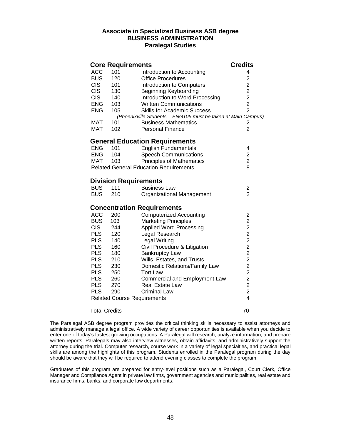# **Associate in Specialized Business ASB degree BUSINESS ADMINISTRATION Paralegal Studies**

|                          | <b>Core Requirements</b>           |                                                                                              | <b>Credits</b>                             |
|--------------------------|------------------------------------|----------------------------------------------------------------------------------------------|--------------------------------------------|
| <b>ACC</b>               | 101                                | Introduction to Accounting                                                                   | 4                                          |
| <b>BUS</b>               | 120                                | <b>Office Procedures</b>                                                                     | $\overline{c}$                             |
| <b>CIS</b>               | 101                                | Introduction to Computers                                                                    | $\overline{2}$                             |
| <b>CIS</b>               | 130                                | Beginning Keyboarding                                                                        |                                            |
| <b>CIS</b>               | 140                                | Introduction to Word Processing                                                              | $\begin{array}{c} 2 \\ 2 \\ 2 \end{array}$ |
| ENG                      | 103                                | <b>Written Communications</b>                                                                |                                            |
| <b>ENG</b>               | 105                                | <b>Skills for Academic Success</b>                                                           | $\overline{2}$                             |
| MAT                      | 101                                | (Phoenixville Students - ENG105 must be taken at Main Campus)<br><b>Business Mathematics</b> |                                            |
| <b>MAT</b>               | 102                                | <b>Personal Finance</b>                                                                      | 2<br>$\overline{2}$                        |
|                          |                                    |                                                                                              |                                            |
|                          |                                    | <b>General Education Requirements</b>                                                        |                                            |
| ENG                      | 101                                | <b>English Fundamentals</b>                                                                  | 4                                          |
| <b>ENG</b>               | 104                                | <b>Speech Communications</b>                                                                 | $\overline{c}$                             |
| MAT                      | 103                                | <b>Principles of Mathematics</b>                                                             | $\overline{c}$                             |
|                          |                                    | <b>Related General Education Requirements</b>                                                | 8                                          |
|                          | <b>Division Requirements</b>       |                                                                                              |                                            |
| <b>BUS</b>               | 111                                | <b>Business Law</b>                                                                          | $\overline{\mathbf{c}}$                    |
| <b>BUS</b>               | 210                                | Organizational Management                                                                    | $\overline{2}$                             |
|                          |                                    |                                                                                              |                                            |
|                          |                                    | <b>Concentration Requirements</b>                                                            |                                            |
| <b>ACC</b>               | 200                                | <b>Computerized Accounting</b>                                                               |                                            |
| <b>BUS</b>               | 103                                | <b>Marketing Principles</b>                                                                  |                                            |
| <b>CIS</b>               | 244                                | <b>Applied Word Processing</b>                                                               |                                            |
| <b>PLS</b>               | 120                                | Legal Research                                                                               |                                            |
| <b>PLS</b>               | 140                                | Legal Writing                                                                                |                                            |
| <b>PLS</b>               | 160                                | Civil Procedure & Litigation                                                                 |                                            |
| <b>PLS</b>               | 180                                | <b>Bankruptcy Law</b>                                                                        |                                            |
| <b>PLS</b>               | 210                                | Wills, Estates, and Trusts                                                                   |                                            |
| <b>PLS</b><br><b>PLS</b> | 230<br>250                         | Domestic Relations/Family Law<br><b>Tort Law</b>                                             |                                            |
| <b>PLS</b>               | 260                                | <b>Commercial and Employment Law</b>                                                         |                                            |
| <b>PLS</b>               | 270                                | Real Estate Law                                                                              |                                            |
| <b>PLS</b>               | 290                                | <b>Criminal Law</b>                                                                          | 2 2 2 2 2 2 2 2 2 2 2 2                    |
|                          | <b>Related Course Requirements</b> |                                                                                              | $\overline{4}$                             |
|                          |                                    |                                                                                              |                                            |
| <b>Total Credits</b>     |                                    |                                                                                              | 70                                         |
|                          |                                    |                                                                                              |                                            |

The Paralegal ASB degree program provides the critical thinking skills necessary to assist attorneys and administratively manage a legal office. A wide variety of career opportunities is available when you decide to enter one of today's fastest growing occupations. A Paralegal will research, analyze information, and prepare written reports. Paralegals may also interview witnesses, obtain affidavits, and administratively support the attorney during the trial. Computer research, course work in a variety of legal specialties, and practical legal skills are among the highlights of this program. Students enrolled in the Paralegal program during the day should be aware that they will be required to attend evening classes to complete the program.

Graduates of this program are prepared for entry-level positions such as a Paralegal, Court Clerk, Office Manager and Compliance Agent in private law firms, government agencies and municipalities, real estate and insurance firms, banks, and corporate law departments.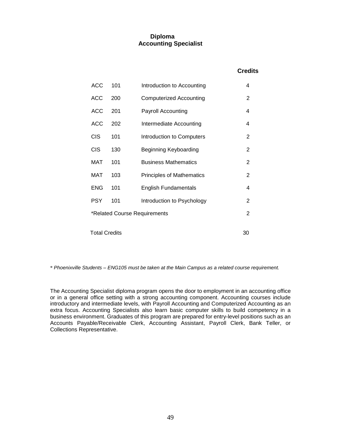# **Diploma Accounting Specialist**

# **Credits**

| <b>ACC</b>                 | 101 | Introduction to Accounting       | 4 |  |
|----------------------------|-----|----------------------------------|---|--|
| <b>ACC</b>                 | 200 | <b>Computerized Accounting</b>   | 2 |  |
| ACC                        | 201 | Payroll Accounting               | 4 |  |
| <b>ACC</b>                 | 202 | Intermediate Accounting          | 4 |  |
| <b>CIS</b>                 | 101 | Introduction to Computers        | 2 |  |
| <b>CIS</b>                 | 130 | Beginning Keyboarding            | 2 |  |
| MAT                        | 101 | <b>Business Mathematics</b>      | 2 |  |
| MAT                        | 103 | <b>Principles of Mathematics</b> | 2 |  |
| <b>ENG</b>                 | 101 | <b>English Fundamentals</b>      | 4 |  |
| <b>PSY</b>                 | 101 | Introduction to Psychology       | 2 |  |
|                            |     | *Related Course Requirements     | 2 |  |
| <b>Total Credits</b><br>30 |     |                                  |   |  |
|                            |     |                                  |   |  |

\* *Phoenixville Students – ENG105 must be taken at the Main Campus as a related course requirement.*

The Accounting Specialist diploma program opens the door to employment in an accounting office or in a general office setting with a strong accounting component. Accounting courses include introductory and intermediate levels, with Payroll Accounting and Computerized Accounting as an extra focus. Accounting Specialists also learn basic computer skills to build competency in a business environment. Graduates of this program are prepared for entry-level positions such as an Accounts Payable/Receivable Clerk, Accounting Assistant, Payroll Clerk, Bank Teller, or Collections Representative.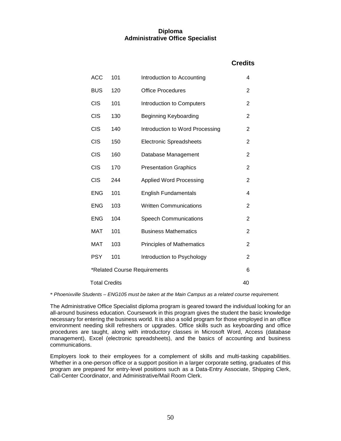# **Diploma Administrative Office Specialist**

# **Credits**

| <b>ACC</b> | 101                               | Introduction to Accounting       | 4              |  |  |
|------------|-----------------------------------|----------------------------------|----------------|--|--|
| <b>BUS</b> | 120                               | <b>Office Procedures</b>         | 2              |  |  |
| <b>CIS</b> | 101                               | Introduction to Computers        | 2              |  |  |
| <b>CIS</b> | 130                               | <b>Beginning Keyboarding</b>     | 2              |  |  |
| <b>CIS</b> | 140                               | Introduction to Word Processing  | 2              |  |  |
| <b>CIS</b> | 150                               | <b>Electronic Spreadsheets</b>   | 2              |  |  |
| <b>CIS</b> | 160                               | Database Management              | 2              |  |  |
| <b>CIS</b> | 170                               | <b>Presentation Graphics</b>     | $\overline{2}$ |  |  |
| <b>CIS</b> | 244                               | <b>Applied Word Processing</b>   | $\overline{2}$ |  |  |
| <b>ENG</b> | 101                               | <b>English Fundamentals</b>      | 4              |  |  |
| <b>ENG</b> | 103                               | <b>Written Communications</b>    | $\overline{2}$ |  |  |
| <b>ENG</b> | 104                               | <b>Speech Communications</b>     | $\overline{2}$ |  |  |
| <b>MAT</b> | 101                               | <b>Business Mathematics</b>      | 2              |  |  |
| <b>MAT</b> | 103                               | <b>Principles of Mathematics</b> | 2              |  |  |
| <b>PSY</b> | 101                               | Introduction to Psychology       | 2              |  |  |
|            | *Related Course Requirements<br>6 |                                  |                |  |  |
|            | <b>Total Credits</b><br>40        |                                  |                |  |  |

\* *Phoenixville Students – ENG105 must be taken at the Main Campus as a related course requirement.*

The Administrative Office Specialist diploma program is geared toward the individual looking for an all-around business education. Coursework in this program gives the student the basic knowledge necessary for entering the business world. It is also a solid program for those employed in an office environment needing skill refreshers or upgrades. Office skills such as keyboarding and office procedures are taught, along with introductory classes in Microsoft Word, Access (database management), Excel (electronic spreadsheets), and the basics of accounting and business communications.

Employers look to their employees for a complement of skills and multi-tasking capabilities. Whether in a one-person office or a support position in a larger corporate setting, graduates of this program are prepared for entry-level positions such as a Data-Entry Associate, Shipping Clerk, Call-Center Coordinator, and Administrative/Mail Room Clerk.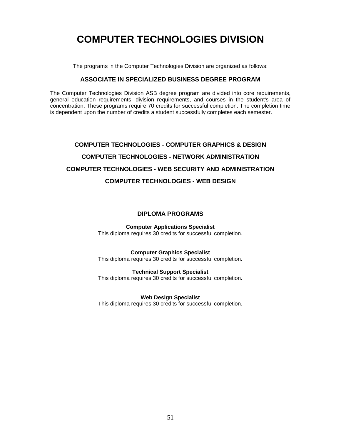# **COMPUTER TECHNOLOGIES DIVISION**

The programs in the Computer Technologies Division are organized as follows:

# **ASSOCIATE IN SPECIALIZED BUSINESS DEGREE PROGRAM**

The Computer Technologies Division ASB degree program are divided into core requirements, general education requirements, division requirements, and courses in the student's area of concentration. These programs require 70 credits for successful completion. The completion time is dependent upon the number of credits a student successfully completes each semester.

# **COMPUTER TECHNOLOGIES - COMPUTER GRAPHICS & DESIGN COMPUTER TECHNOLOGIES - NETWORK ADMINISTRATION COMPUTER TECHNOLOGIES - WEB SECURITY AND ADMINISTRATION COMPUTER TECHNOLOGIES - WEB DESIGN**

### **DIPLOMA PROGRAMS**

**Computer Applications Specialist** This diploma requires 30 credits for successful completion.

### **Computer Graphics Specialist**

This diploma requires 30 credits for successful completion.

# **Technical Support Specialist**

This diploma requires 30 credits for successful completion.

### **Web Design Specialist**

This diploma requires 30 credits for successful completion.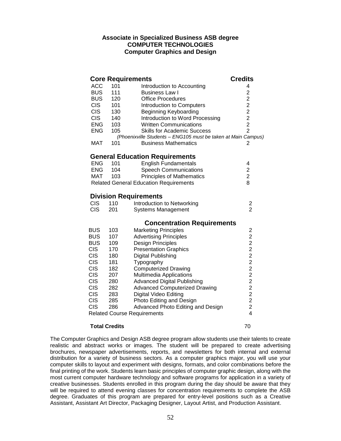# **Associate in Specialized Business ASB degree COMPUTER TECHNOLOGIES Computer Graphics and Design**

|            |     | <b>Core Requirements</b>                                                                            | <b>Credits</b>          |
|------------|-----|-----------------------------------------------------------------------------------------------------|-------------------------|
| ACC        | 101 | Introduction to Accounting                                                                          | 4                       |
| <b>BUS</b> | 111 | <b>Business Law I</b>                                                                               | $\overline{\mathbf{c}}$ |
| <b>BUS</b> | 120 | <b>Office Procedures</b>                                                                            |                         |
| <b>CIS</b> | 101 | Introduction to Computers                                                                           |                         |
| <b>CIS</b> | 130 | <b>Beginning Keyboarding</b>                                                                        |                         |
| <b>CIS</b> | 140 | Introduction to Word Processing                                                                     | 2222                    |
| <b>ENG</b> | 103 | <b>Written Communications</b>                                                                       |                         |
| <b>ENG</b> | 105 | <b>Skills for Academic Success</b><br>(Phoenixville Students - ENG105 must be taken at Main Campus) | $\overline{2}$          |
| <b>MAT</b> | 101 | <b>Business Mathematics</b>                                                                         | 2                       |
|            |     |                                                                                                     |                         |
|            |     | <b>General Education Requirements</b>                                                               |                         |
| <b>ENG</b> | 101 | <b>English Fundamentals</b>                                                                         | 4                       |
| <b>ENG</b> | 104 | <b>Speech Communications</b>                                                                        | $\frac{2}{2}$           |
| MAT        | 103 | <b>Principles of Mathematics</b>                                                                    |                         |
|            |     | <b>Related General Education Requirements</b>                                                       | 8                       |
|            |     | <b>Division Requirements</b>                                                                        |                         |
| <b>CIS</b> | 110 | Introduction to Networking                                                                          |                         |
| <b>CIS</b> | 201 | <b>Systems Management</b>                                                                           | $\frac{2}{2}$           |
|            |     | <b>Concentration Requirements</b>                                                                   |                         |
| <b>BUS</b> | 103 | <b>Marketing Principles</b>                                                                         | $\overline{\mathbf{c}}$ |
| <b>BUS</b> | 107 | <b>Advertising Principles</b>                                                                       |                         |
| <b>BUS</b> | 109 | Design Principles                                                                                   |                         |
| <b>CIS</b> | 170 | <b>Presentation Graphics</b>                                                                        |                         |
| <b>CIS</b> | 180 | Digital Publishing                                                                                  |                         |
| <b>CIS</b> | 181 | Typography                                                                                          |                         |
| <b>CIS</b> | 182 | <b>Computerized Drawing</b>                                                                         |                         |
| <b>CIS</b> | 207 | Multimedia Applications                                                                             |                         |
| <b>CIS</b> | 280 | <b>Advanced Digital Publishing</b>                                                                  |                         |
| <b>CIS</b> | 282 | <b>Advanced Computerized Drawing</b>                                                                | 22222222224             |
| <b>CIS</b> | 283 | Digital Video Editing                                                                               |                         |
| <b>CIS</b> | 285 | Photo Editing and Design                                                                            |                         |
| <b>CIS</b> | 286 | Advanced Photo Editing and Design                                                                   |                         |
|            |     | <b>Related Course Requirements</b>                                                                  |                         |
|            |     |                                                                                                     |                         |

## **Total Credits** 70

The Computer Graphics and Design ASB degree program allow students use their talents to create realistic and abstract works or images. The student will be prepared to create advertising brochures, newspaper advertisements, reports, and newsletters for both internal and external distribution for a variety of business sectors. As a computer graphics major, you will use your computer skills to layout and experiment with designs, formats, and color combinations before the final printing of the work. Students learn basic principles of computer graphic design, along with the most current computer hardware technology and software programs for application in a variety of creative businesses. Students enrolled in this program during the day should be aware that they will be required to attend evening classes for concentration requirements to complete the ASB degree. Graduates of this program are prepared for entry-level positions such as a Creative Assistant, Assistant Art Director, Packaging Designer, Layout Artist, and Production Assistant.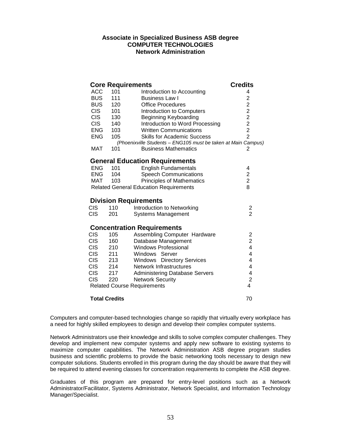## **Associate in Specialized Business ASB degree COMPUTER TECHNOLOGIES Network Administration**

|                  |                      | <b>Core Requirements</b>                                      | <b>Credits</b>          |
|------------------|----------------------|---------------------------------------------------------------|-------------------------|
| ACC              | 101                  | Introduction to Accounting                                    | 4                       |
| <b>BUS</b>       | 111                  | <b>Business Law I</b>                                         | $\overline{2}$          |
| <b>BUS</b>       | 120                  | <b>Office Procedures</b>                                      | $\overline{c}$          |
| <b>CIS</b>       | 101                  | Introduction to Computers                                     |                         |
| <b>CIS</b>       | 130                  | <b>Beginning Keyboarding</b>                                  |                         |
| <b>CIS</b>       | 140                  | Introduction to Word Processing                               |                         |
| <b>ENG</b>       | 103                  | <b>Written Communications</b>                                 | 2222                    |
| <b>ENG</b>       | 105                  | <b>Skills for Academic Success</b>                            |                         |
|                  |                      | (Phoenixville Students - ENG105 must be taken at Main Campus) |                         |
| <b>MAT</b>       | 101                  | <b>Business Mathematics</b>                                   | 2                       |
|                  |                      | <b>General Education Requirements</b>                         |                         |
| ENG              | 101                  | <b>English Fundamentals</b>                                   | 4                       |
| <b>ENG</b>       | 104                  | <b>Speech Communications</b>                                  |                         |
| MAT              | 103                  | <b>Principles of Mathematics</b>                              | $\frac{2}{2}$           |
|                  |                      | <b>Related General Education Requirements</b>                 | 8                       |
|                  |                      | <b>Division Requirements</b>                                  |                         |
| <b>CIS</b>       | 110                  | Introduction to Networking                                    | $\overline{\mathbf{c}}$ |
| <b>CIS</b>       | 201                  | <b>Systems Management</b>                                     | $\overline{2}$          |
|                  |                      | <b>Concentration Requirements</b>                             |                         |
| <b>CIS</b>       | 105                  | <b>Assembling Computer Hardware</b>                           | $\overline{\mathbf{c}}$ |
| <b>CIS</b>       | 160                  | Database Management                                           |                         |
| <b>CIS</b>       | 210                  | <b>Windows Professional</b>                                   | $\frac{2}{4}$           |
| <b>CIS</b>       | 211                  | Windows Server                                                | 4                       |
| <b>CIS</b>       | 213                  | Windows Directory Services                                    | $\overline{\mathbf{4}}$ |
| CIS <sub>.</sub> | 214                  | Network Infrastructures                                       | $\overline{4}$          |
| CIS              | 217                  | <b>Administering Database Servers</b>                         | 4                       |
| <b>CIS</b>       | 220                  | <b>Network Security</b>                                       | $\overline{2}$          |
|                  |                      | <b>Related Course Requirements</b>                            | $\overline{4}$          |
|                  | <b>Total Credits</b> |                                                               | 70                      |

Computers and computer-based technologies change so rapidly that virtually every workplace has a need for highly skilled employees to design and develop their complex computer systems.

Network Administrators use their knowledge and skills to solve complex computer challenges. They develop and implement new computer systems and apply new software to existing systems to maximize computer capabilities. The Network Administration ASB degree program studies business and scientific problems to provide the basic networking tools necessary to design new computer solutions. Students enrolled in this program during the day should be aware that they will be required to attend evening classes for concentration requirements to complete the ASB degree.

Graduates of this program are prepared for entry-level positions such as a Network Administrator/Facilitator, Systems Administrator, Network Specialist, and Information Technology Manager/Specialist.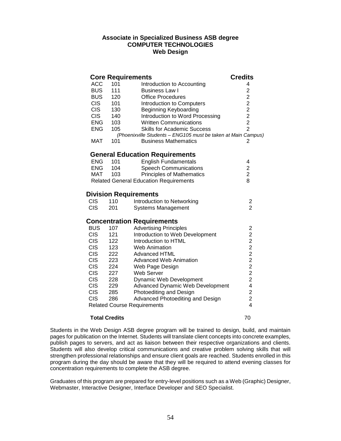## **Associate in Specialized Business ASB degree COMPUTER TECHNOLOGIES Web Design**

|            |     | <b>Core Requirements</b>                                      | <b>Credits</b> |
|------------|-----|---------------------------------------------------------------|----------------|
| <b>ACC</b> | 101 | Introduction to Accounting                                    | 4              |
| <b>BUS</b> | 111 | <b>Business Law I</b>                                         |                |
| <b>BUS</b> | 120 | <b>Office Procedures</b>                                      |                |
| <b>CIS</b> | 101 | Introduction to Computers                                     | 222222         |
| <b>CIS</b> | 130 | <b>Beginning Keyboarding</b>                                  |                |
| <b>CIS</b> | 140 | Introduction to Word Processing                               |                |
| <b>ENG</b> | 103 | <b>Written Communications</b>                                 |                |
| <b>ENG</b> | 105 | <b>Skills for Academic Success</b>                            | $\overline{2}$ |
|            |     | (Phoenixville Students - ENG105 must be taken at Main Campus) |                |
| <b>MAT</b> | 101 | <b>Business Mathematics</b>                                   | 2              |
|            |     | <b>General Education Requirements</b>                         |                |
| <b>ENG</b> | 101 | <b>English Fundamentals</b>                                   | 4              |
| <b>ENG</b> | 104 | <b>Speech Communications</b>                                  | $\overline{c}$ |
| MAT        | 103 | <b>Principles of Mathematics</b>                              | $\overline{2}$ |
|            |     | <b>Related General Education Requirements</b>                 | 8              |
|            |     | <b>Division Requirements</b>                                  |                |
| <b>CIS</b> | 110 | Introduction to Networking                                    | 2              |
| <b>CIS</b> | 201 | <b>Systems Management</b>                                     | $\overline{2}$ |
|            |     | <b>Concentration Requirements</b>                             |                |
| <b>BUS</b> | 107 | <b>Advertising Principles</b>                                 | $\overline{c}$ |
| <b>CIS</b> | 121 | Introduction to Web Development                               | $\overline{c}$ |
| <b>CIS</b> | 122 | Introduction to HTML                                          |                |
| <b>CIS</b> | 123 | <b>Web Animation</b>                                          | $\frac{2}{2}$  |
| <b>CIS</b> | 222 | <b>Advanced HTML</b>                                          |                |
| <b>CIS</b> | 223 | <b>Advanced Web Animation</b>                                 | $222$<br>$22$  |
| <b>CIS</b> | 224 | Web Page Design                                               |                |
| <b>CIS</b> | 227 | Web Server                                                    |                |
| <b>CIS</b> | 228 | <b>Dynamic Web Development</b>                                | $\overline{c}$ |
| <b>CIS</b> | 229 | Advanced Dynamic Web Development                              | 4              |
| <b>CIS</b> | 285 | Photoediting and Design                                       | $\overline{c}$ |
| <b>CIS</b> | 286 | Advanced Photoediting and Design                              | $\overline{c}$ |
|            |     | <b>Related Course Requirements</b>                            | 4              |
|            |     |                                                               |                |

### **Total Credits** 70

Students in the Web Design ASB degree program will be trained to design, build, and maintain pages for publication on the Internet. Students will translate client concepts into concrete examples, publish pages to servers, and act as liaison between their respective organizations and clients. Students will also develop critical communications and creative problem solving skills that will strengthen professional relationships and ensure client goals are reached. Students enrolled in this program during the day should be aware that they will be required to attend evening classes for concentration requirements to complete the ASB degree.

Graduates of this program are prepared for entry-level positions such as a Web (Graphic) Designer, Webmaster, Interactive Designer, Interface Developer and SEO Specialist.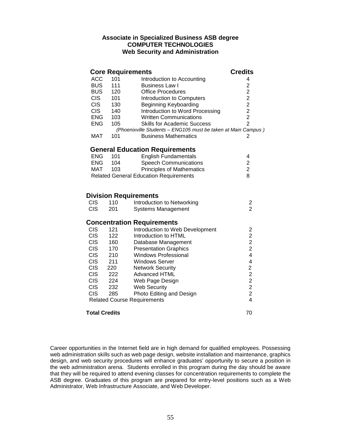# **Associate in Specialized Business ASB degree COMPUTER TECHNOLOGIES Web Security and Administration**

### **Core Requirements**<br>ACC 101 lntroduction to Accounting **Credits** ACC 101 Introduction to Accounting 4 BUS 111 Business Law I 2 BUS 120 Office Procedures 2<br>CIS 101 Introduction to Computers 2 CIS 101 Introduction to Computers CIS 130 Beginning Keyboarding 2 CIS 140 Introduction to Word Processing 2<br>
ENG 103 Written Communications 2 ENG 103 Written Communications 2 ENG 105 Skills for Academic Success 2 *(Phoenixville Students – ENG105 must be taken at Main Campus )* MAT 101 Business Mathematics 2

# **General Education Requirements**

| <b>ENG</b>                                    | 101 | <b>English Fundamentals</b>      | 4 |  |
|-----------------------------------------------|-----|----------------------------------|---|--|
| <b>ENG</b>                                    | 104 | <b>Speech Communications</b>     | 2 |  |
| MAT                                           | 103 | <b>Principles of Mathematics</b> | 2 |  |
| <b>Related General Education Requirements</b> |     |                                  |   |  |

# **Division Requirements**

| <b>CIS</b> | 110 | Introduction to Networking |  |
|------------|-----|----------------------------|--|
| CIS.       | 201 | Systems Management         |  |

## **Concentration Requirements**

| <b>CIS</b> | 121                  | Introduction to Web Development    | 2  |
|------------|----------------------|------------------------------------|----|
| <b>CIS</b> | 122                  | Introduction to HTML               | 2  |
| <b>CIS</b> | 160                  | Database Management                | 2  |
| <b>CIS</b> | 170                  | <b>Presentation Graphics</b>       | 2  |
| <b>CIS</b> | 210                  | <b>Windows Professional</b>        | 4  |
| <b>CIS</b> | 211                  | <b>Windows Server</b>              | 4  |
| <b>CIS</b> | 220                  | <b>Network Security</b>            | 2  |
| <b>CIS</b> | 222                  | <b>Advanced HTML</b>               | 2  |
| <b>CIS</b> | 224                  | Web Page Design                    | 2  |
| <b>CIS</b> | 232                  | Web Security                       | 2  |
| <b>CIS</b> | 285                  | Photo Editing and Design           | 2  |
|            |                      | <b>Related Course Requirements</b> | 4  |
|            | <b>Total Credits</b> |                                    | 70 |

Career opportunities in the Internet field are in high demand for qualified employees. Possessing web administration skills such as web page design, website installation and maintenance, graphics design, and web security procedures will enhance graduates' opportunity to secure a position in the web administration arena. Students enrolled in this program during the day should be aware that they will be required to attend evening classes for concentration requirements to complete the ASB degree. Graduates of this program are prepared for entry-level positions such as a Web Administrator, Web Infrastructure Associate, and Web Developer.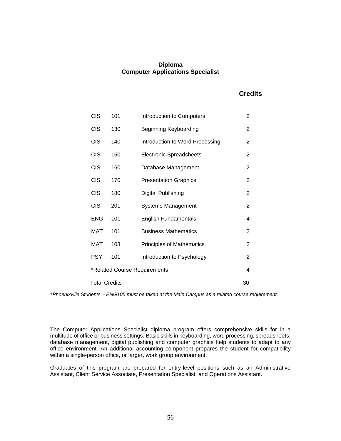# **Diploma Computer Applications Specialist**

# **Credits**

| <b>CIS</b>                        | 101                        | Introduction to Computers        | $\overline{2}$ |  |  |  |
|-----------------------------------|----------------------------|----------------------------------|----------------|--|--|--|
| <b>CIS</b>                        | 130                        | Beginning Keyboarding            | 2              |  |  |  |
| <b>CIS</b>                        | 140                        | Introduction to Word Processing  | 2              |  |  |  |
| <b>CIS</b>                        | 150                        | <b>Electronic Spreadsheets</b>   | 2              |  |  |  |
| <b>CIS</b>                        | 160                        | Database Management              | $\overline{2}$ |  |  |  |
| <b>CIS</b>                        | 170                        | <b>Presentation Graphics</b>     | $\overline{2}$ |  |  |  |
| <b>CIS</b>                        | 180                        | Digital Publishing               | 2              |  |  |  |
| <b>CIS</b>                        | 201                        | <b>Systems Management</b>        | 2              |  |  |  |
| <b>ENG</b>                        | 101                        | <b>English Fundamentals</b>      | 4              |  |  |  |
| MAT                               | 101                        | <b>Business Mathematics</b>      | 2              |  |  |  |
| MAT                               | 103                        | <b>Principles of Mathematics</b> | 2              |  |  |  |
| <b>PSY</b>                        | 101                        | Introduction to Psychology       | 2              |  |  |  |
| 4<br>*Related Course Requirements |                            |                                  |                |  |  |  |
|                                   | <b>Total Credits</b><br>30 |                                  |                |  |  |  |

\**Phoenixville Students – ENG105 must be taken at the Main Campus as a related course requirement.*

The Computer Applications Specialist diploma program offers comprehensive skills for in a multitude of office or business settings. Basic skills in keyboarding, word processing, spreadsheets, database management, digital publishing and computer graphics help students to adapt to any office environment. An additional accounting component prepares the student for compatibility within a single-person office, or larger, work group environment.

Graduates of this program are prepared for entry-level positions such as an Administrative Assistant, Client Service Associate, Presentation Specialist, and Operations Assistant.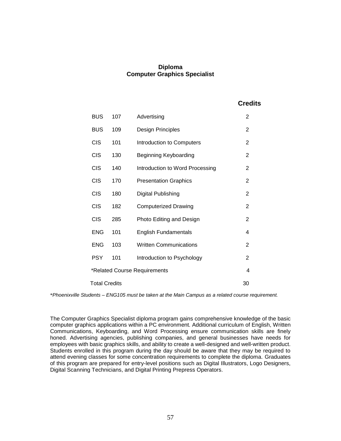# **Diploma Computer Graphics Specialist**

 **Credits**

| <b>BUS</b>                        | 107                        | Advertising                     | $\overline{2}$ |  |  |
|-----------------------------------|----------------------------|---------------------------------|----------------|--|--|
| <b>BUS</b>                        | 109                        | Design Principles               | 2              |  |  |
| <b>CIS</b>                        | 101                        | Introduction to Computers       | $\overline{2}$ |  |  |
| <b>CIS</b>                        | 130                        | Beginning Keyboarding           | 2              |  |  |
| <b>CIS</b>                        | 140                        | Introduction to Word Processing | 2              |  |  |
| <b>CIS</b>                        | 170                        | <b>Presentation Graphics</b>    | $\overline{2}$ |  |  |
| <b>CIS</b>                        | 180                        | Digital Publishing              | 2              |  |  |
| <b>CIS</b>                        | 182                        | <b>Computerized Drawing</b>     | $\overline{2}$ |  |  |
| <b>CIS</b>                        | 285                        | Photo Editing and Design        | $\overline{2}$ |  |  |
| <b>ENG</b>                        | 101                        | <b>English Fundamentals</b>     | 4              |  |  |
| <b>ENG</b>                        | 103                        | <b>Written Communications</b>   | 2              |  |  |
| <b>PSY</b>                        | 101                        | Introduction to Psychology      | $\overline{2}$ |  |  |
| *Related Course Requirements<br>4 |                            |                                 |                |  |  |
|                                   | <b>Total Credits</b><br>30 |                                 |                |  |  |

\**Phoenixville Students – ENG105 must be taken at the Main Campus as a related course requirement.*

The Computer Graphics Specialist diploma program gains comprehensive knowledge of the basic computer graphics applications within a PC environment. Additional curriculum of English, Written Communications, Keyboarding, and Word Processing ensure communication skills are finely honed. Advertising agencies, publishing companies, and general businesses have needs for employees with basic graphics skills, and ability to create a well-designed and well-written product. Students enrolled in this program during the day should be aware that they may be required to attend evening classes for some concentration requirements to complete the diploma. Graduates of this program are prepared for entry-level positions such as Digital Illustrators, Logo Designers, Digital Scanning Technicians, and Digital Printing Prepress Operators.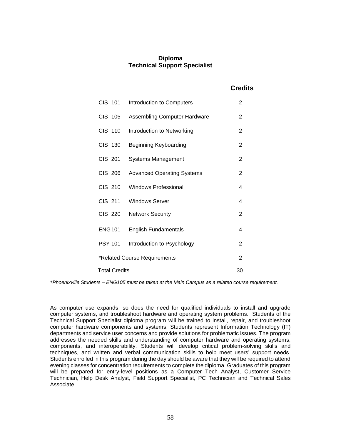# **Diploma Technical Support Specialist**

# **Credits**

| CIS 101              | Introduction to Computers           | $\overline{2}$ |
|----------------------|-------------------------------------|----------------|
| CIS 105              | <b>Assembling Computer Hardware</b> | 2              |
| CIS 110              | Introduction to Networking          | $\overline{2}$ |
| CIS 130              | Beginning Keyboarding               | 2              |
| CIS 201              | <b>Systems Management</b>           | $\overline{2}$ |
| CIS 206              | <b>Advanced Operating Systems</b>   | $\overline{2}$ |
| CIS 210              | <b>Windows Professional</b>         | 4              |
| CIS 211              | <b>Windows Server</b>               | 4              |
| CIS 220              | <b>Network Security</b>             | $\overline{2}$ |
| <b>ENG101</b>        | <b>English Fundamentals</b>         | 4              |
| <b>PSY 101</b>       | Introduction to Psychology          | $\overline{2}$ |
|                      | *Related Course Requirements        | $\overline{2}$ |
| <b>Total Credits</b> |                                     | 30             |

\**Phoenixville Students – ENG105 must be taken at the Main Campus as a related course requirement.*

As computer use expands, so does the need for qualified individuals to install and upgrade computer systems, and troubleshoot hardware and operating system problems. Students of the Technical Support Specialist diploma program will be trained to install, repair, and troubleshoot computer hardware components and systems. Students represent Information Technology (IT) departments and service user concerns and provide solutions for problematic issues. The program addresses the needed skills and understanding of computer hardware and operating systems, components, and interoperability. Students will develop critical problem-solving skills and techniques, and written and verbal communication skills to help meet users' support needs. Students enrolled in this program during the day should be aware that they will be required to attend evening classes for concentration requirements to complete the diploma. Graduates of this program will be prepared for entry-level positions as a Computer Tech Analyst, Customer Service Technician, Help Desk Analyst, Field Support Specialist, PC Technician and Technical Sales Associate.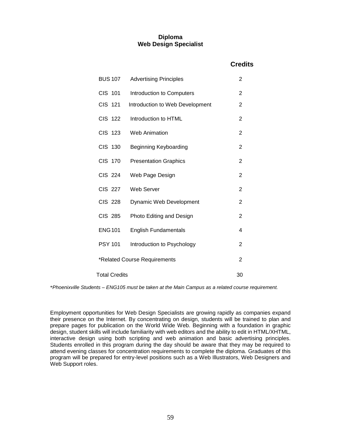# **Diploma Web Design Specialist**

# **Credits**

| <b>BUS 107</b>               | <b>Advertising Principles</b>   | 2              |  |
|------------------------------|---------------------------------|----------------|--|
| CIS 101                      | Introduction to Computers       | 2              |  |
| CIS 121                      | Introduction to Web Development | 2              |  |
| <b>CIS 122</b>               | Introduction to HTML            | 2              |  |
| <b>CIS 123</b>               | <b>Web Animation</b>            | 2              |  |
| <b>CIS 130</b>               | Beginning Keyboarding           | 2              |  |
| <b>CIS 170</b>               | <b>Presentation Graphics</b>    | 2              |  |
| <b>CIS 224</b>               | Web Page Design                 | $\overline{2}$ |  |
| <b>CIS 227</b>               | Web Server                      | $\overline{2}$ |  |
| <b>CIS 228</b>               | Dynamic Web Development         | 2              |  |
| <b>CIS 285</b>               | Photo Editing and Design        | 2              |  |
| <b>ENG101</b>                | <b>English Fundamentals</b>     | 4              |  |
| <b>PSY 101</b>               | Introduction to Psychology      | 2              |  |
| *Related Course Requirements |                                 |                |  |
| <b>Total Credits</b><br>30   |                                 |                |  |

\**Phoenixville Students – ENG105 must be taken at the Main Campus as a related course requirement.*

Employment opportunities for Web Design Specialists are growing rapidly as companies expand their presence on the Internet. By concentrating on design, students will be trained to plan and prepare pages for publication on the World Wide Web. Beginning with a foundation in graphic design, student skills will include familiarity with web editors and the ability to edit in HTML/XHTML, interactive design using both scripting and web animation and basic advertising principles. Students enrolled in this program during the day should be aware that they may be required to attend evening classes for concentration requirements to complete the diploma. Graduates of this program will be prepared for entry-level positions such as a Web Illustrators, Web Designers and Web Support roles.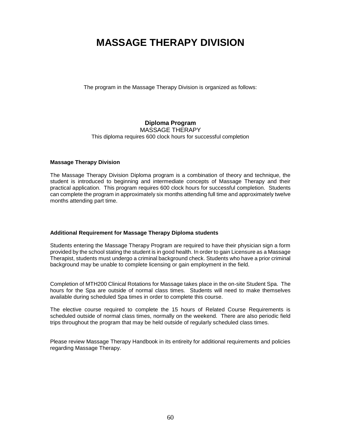# **MASSAGE THERAPY DIVISION**

The program in the Massage Therapy Division is organized as follows:

# **Diploma Program**

MASSAGE THERAPY

This diploma requires 600 clock hours for successful completion

## **Massage Therapy Division**

The Massage Therapy Division Diploma program is a combination of theory and technique, the student is introduced to beginning and intermediate concepts of Massage Therapy and their practical application. This program requires 600 clock hours for successful completion. Students can complete the program in approximately six months attending full time and approximately twelve months attending part time.

# **Additional Requirement for Massage Therapy Diploma students**

Students entering the Massage Therapy Program are required to have their physician sign a form provided by the school stating the student is in good health. In order to gain Licensure as a Massage Therapist, students must undergo a criminal background check. Students who have a prior criminal background may be unable to complete licensing or gain employment in the field.

Completion of MTH200 Clinical Rotations for Massage takes place in the on-site Student Spa. The hours for the Spa are outside of normal class times. Students will need to make themselves available during scheduled Spa times in order to complete this course.

The elective course required to complete the 15 hours of Related Course Requirements is scheduled outside of normal class times, normally on the weekend. There are also periodic field trips throughout the program that may be held outside of regularly scheduled class times.

Please review Massage Therapy Handbook in its entireity for additional requirements and policies regarding Massage Therapy.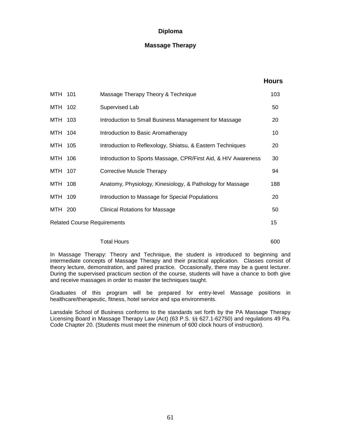# **Massage Therapy**

### **Hours**

| MTH 101                                  |  | Massage Therapy Theory & Technique                             | 103 |  |
|------------------------------------------|--|----------------------------------------------------------------|-----|--|
| MTH 102                                  |  | Supervised Lab                                                 | 50  |  |
| MTH 103                                  |  | Introduction to Small Business Management for Massage          | 20  |  |
| MTH 104                                  |  | Introduction to Basic Aromatherapy                             | 10  |  |
| MTH 105                                  |  | Introduction to Reflexology, Shiatsu, & Eastern Techniques     | 20  |  |
| MTH 106                                  |  | Introduction to Sports Massage, CPR/First Aid, & HIV Awareness | 30  |  |
| MTH 107                                  |  | <b>Corrective Muscle Therapy</b>                               | 94  |  |
| MTH 108                                  |  | Anatomy, Physiology, Kinesiology, & Pathology for Massage      | 188 |  |
| MTH 109                                  |  | Introduction to Massage for Special Populations                | 20  |  |
| MTH 200                                  |  | <b>Clinical Rotations for Massage</b>                          | 50  |  |
| 15<br><b>Related Course Requirements</b> |  |                                                                |     |  |

### Total Hours 600

In Massage Therapy: Theory and Technique, the student is introduced to beginning and intermediate concepts of Massage Therapy and their practical application. Classes consist of theory lecture, demonstration, and paired practice. Occasionally, there may be a guest lecturer. During the supervised practicum section of the course, students will have a chance to both give and receive massages in order to master the techniques taught.

Graduates of this program will be prepared for entry-level Massage positions in healthcare/therapeutic, fitness, hotel service and spa environments.

Lansdale School of Business conforms to the standards set forth by the PA Massage Therapy Licensing Board in Massage Therapy Law (Act) (63 P.S. [§§](http://www.pacode.com/secure/data/049/chapter20/chap20toc.html#§  20.1.#§  20.1.) 627.1-62750) and regulations 49 Pa. Code Chapter 20. (Students must meet the minimum of 600 clock hours of instruction).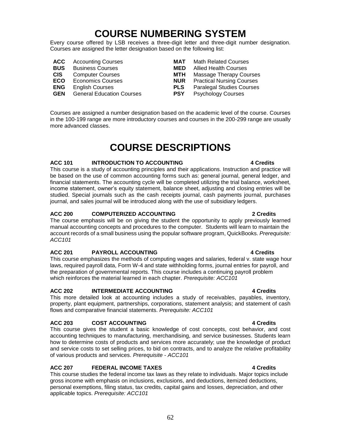# **COURSE NUMBERING SYSTEM**

Every course offered by LSB receives a three-digit letter and three-digit number designation. Courses are assigned the letter designation based on the following list:

- 
- 
- 
- 
- 
- **GEN** General Education Courses **PSY** Psychology Courses
- **ACC** Accounting Courses **MAT** Math Related Courses **BUS** Business Courses **MED** Allied Health Courses **CIS** Computer Courses **MTH** Massage Therapy Courses **ECO** Economics Courses **NUR** Practical Nursing Courses **ENG** English Courses **PLS** Paralegal Studies Courses

Courses are assigned a number designation based on the academic level of the course. Courses in the 100-199 range are more introductory courses and courses in the 200-299 range are usually more advanced classes.

# **COURSE DESCRIPTIONS**

## **ACC 101 INTRODUCTION TO ACCOUNTING 4 Credits**

This course is a study of accounting principles and their applications. Instruction and practice will be based on the use of common accounting forms such as: general journal, general ledger, and financial statements. The accounting cycle will be completed utilizing the trial balance, worksheet, income statement, owner's equity statement, balance sheet, adjusting and closing entries will be studied. Special journals such as the cash receipts journal, cash payments journal, purchases journal, and sales journal will be introduced along with the use of subsidiary ledgers.

# **ACC 200 COMPUTERIZED ACCOUNTING 2 Credits**

The course emphasis will be on giving the student the opportunity to apply previously learned manual accounting concepts and procedures to the computer. Students will learn to maintain the account records of a small business using the popular software program, QuickBooks. *Prerequisite: ACC101*

# **ACC 201 PAYROLL ACCOUNTING 4 Credits**

This course emphasizes the methods of computing wages and salaries, federal v. state wage hour laws, required payroll data, Form W-4 and state withholding forms, journal entries for payroll, and the preparation of governmental reports. This course includes a continuing payroll problem which reinforces the material learned in each chapter. *Prerequisite: ACC101*

# **ACC 202 INTERMEDIATE ACCOUNTING 4 Credits**

This more detailed look at accounting includes a study of receivables, payables, inventory, property, plant equipment, partnerships, corporations, statement analysis; and statement of cash flows and comparative financial statements. *Prerequisite: ACC101*

# **ACC 203 COST ACCOUNTING 4 Credits**

This course gives the student a basic knowledge of cost concepts, cost behavior, and cost accounting techniques to manufacturing, merchandising, and service businesses. Students learn how to determine costs of products and services more accurately; use the knowledge of product and service costs to set selling prices, to bid on contracts, and to analyze the relative profitability of various products and services. *Prerequisite - ACC101*

# **ACC 207 FEDERAL INCOME TAXES 4 Credits**

This course studies the federal income tax laws as they relate to individuals. Major topics include gross income with emphasis on inclusions, exclusions, and deductions, itemized deductions, personal exemptions, filing status, tax credits, capital gains and losses, depreciation, and other applicable topics. *Prerequisite: ACC101*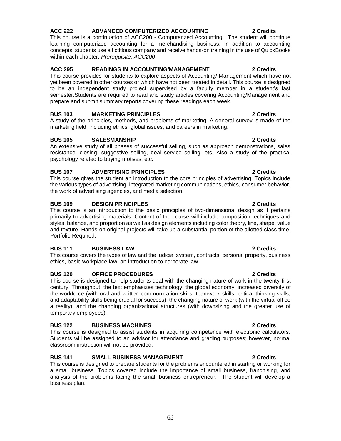# **ACC 222 ADVANCED COMPUTERIZED ACCOUNTING 2 Credits**

This course is a continuation of ACC200 - Computerized Accounting. The student will continue learning computerized accounting for a merchandising business. In addition to accounting concepts, students use a fictitious company and receive hands-on training in the use of QuickBooks within each chapter. *Prerequisite: ACC200*

# **ACC 295 READINGS IN ACCOUNTING/MANAGEMENT 2 Credits**

This course provides for students to explore aspects of Accounting/ Management which have not yet been covered in other courses or which have not been treated in detail. This course is designed to be an independent study project supervised by a faculty member in a student's last semester.Students are required to read and study articles covering Accounting/Management and prepare and submit summary reports covering these readings each week.

# **BUS 103 MARKETING PRINCIPLES 2 Credits**

A study of the principles, methods, and problems of marketing. A general survey is made of the marketing field, including ethics, global issues, and careers in marketing.

# **BUS 105 SALESMANSHIP 2 Credits**

An extensive study of all phases of successful selling, such as approach demonstrations, sales resistance, closing, suggestive selling, deal service selling, etc. Also a study of the practical psychology related to buying motives, etc.

# **BUS 107 ADVERTISING PRINCIPLES 2 Credits**

This course gives the student an introduction to the core principles of advertising. Topics include the various types of advertising, integrated marketing communications, ethics, consumer behavior, the work of advertising agencies, and media selection.

# **BUS 109 DESIGN PRINCIPLES 2 Credits**

This course is an introduction to the basic principles of two-dimensional design as it pertains primarily to advertising materials. Content of the course will include composition techniques and styles, balance, and proportion as well as design elements including color theory, line, shape, value and texture. Hands-on original projects will take up a substantial portion of the allotted class time. Portfolio Required.

# **BUS 111 BUSINESS LAW 2 Credits**

This course covers the types of law and the judicial system, contracts, personal property, business ethics, basic workplace law, an introduction to corporate law.

## **BUS 120 OFFICE PROCEDURES 2 Credits**

This course is designed to help students deal with the changing nature of work in the twenty-first century. Throughout, the text emphasizes technology, the global economy, increased diversity of the workforce (with oral and written communication skills, teamwork skills, critical thinking skills, and adaptability skills being crucial for success), the changing nature of work (with the virtual office a reality), and the changing organizational structures (with downsizing and the greater use of temporary employees).

## **BUS 122 BUSINESS MACHINES 2 Credits**

This course is designed to assist students in acquiring competence with electronic calculators. Students will be assigned to an advisor for attendance and grading purposes; however, normal classroom instruction will not be provided.

# **BUS 141 SMALL BUSINESS MANAGEMENT 2 Credits**

This course is designed to prepare students for the problems encountered in starting or working for a small business. Topics covered include the importance of small business, franchising, and analysis of the problems facing the small business entrepreneur. The student will develop a business plan.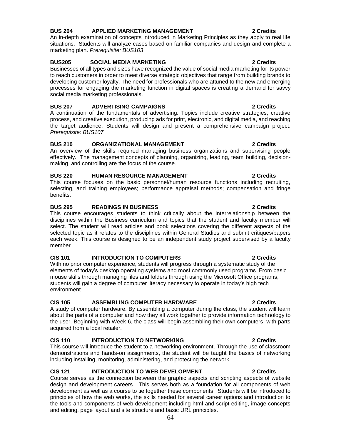# **BUS 204 APPLIED MARKETING MANAGEMENT 2 Credits**

An in-depth examination of concepts introduced in Marketing Principles as they apply to real life situations. Students will analyze cases based on familiar companies and design and complete a marketing plan. *Prerequisite: BUS103*

## **BUS205 SOCIAL MEDIA MARKETING 2 Credits**

Businesses of all types and sizes have recognized the value of social media marketing for its power to reach customers in order to meet diverse strategic objectives that range from building brands to developing customer loyalty. The need for professionals who are attuned to the new and emerging processes for engaging the marketing function in digital spaces is creating a demand for savvy social media marketing professionals.

## **BUS 207 ADVERTISING CAMPAIGNS 2 Credits**

A continuation of the fundamentals of advertising. Topics include creative strategies, creative process, and creative execution, producing ads for print, electronic, and digital media, and reaching the target audience. Students will design and present a comprehensive campaign project. *Prerequisite: BUS107*

## **BUS 210 ORGANIZATIONAL MANAGEMENT 2 Credits**

An overview of the skills required managing business organizations and supervising people effectively. The management concepts of planning, organizing, leading, team building, decisionmaking, and controlling are the focus of the course.

## **BUS 220 HUMAN RESOURCE MANAGEMENT 2 Credits**

This course focuses on the basic personnel/human resource functions including recruiting, selecting, and training employees; performance appraisal methods; compensation and fringe benefits.

### **BUS 295 READINGS IN BUSINESS 2 Credits**

This course encourages students to think critically about the interrelationship between the disciplines within the Business curriculum and topics that the student and faculty member will select. The student will read articles and book selections covering the different aspects of the selected topic as it relates to the disciplines within General Studies and submit critiques/papers each week. This course is designed to be an independent study project supervised by a faculty member.

## **CIS 101 INTRODUCTION TO COMPUTERS 2 Credits**

With no prior computer experience, students will progress through a systematic study of the elements of today's desktop operating systems and most commonly used programs. From basic mouse skills through managing files and folders through using the Microsoft Office programs, students will gain a degree of computer literacy necessary to operate in today's high tech environment

## **CIS 105 ASSEMBLING COMPUTER HARDWARE 2 Credits**

A study of computer hardware. By assembling a computer during the class, the student will learn about the parts of a computer and how they all work together to provide information technology to the user. Beginning with Week 6, the class will begin assembling their own computers, with parts acquired from a local retailer.

# **CIS 110 INTRODUCTION TO NETWORKING 2 Credits**

This course will introduce the student to a networking environment. Through the use of classroom demonstrations and hands-on assignments, the student will be taught the basics of networking including installing, monitoring, administering, and protecting the network.

# **CIS 121 INTRODUCTION TO WEB DEVELOPMENT 2 Credits**

Course serves as the connection between the graphic aspects and scripting aspects of website design and development careers. This serves both as a foundation for all components of web development as well as a course to tie together these components Students will be introduced to principles of how the web works, the skills needed for several career options and introduction to the tools and components of web development including html and script editing, image concepts and editing, page layout and site structure and basic URL principles.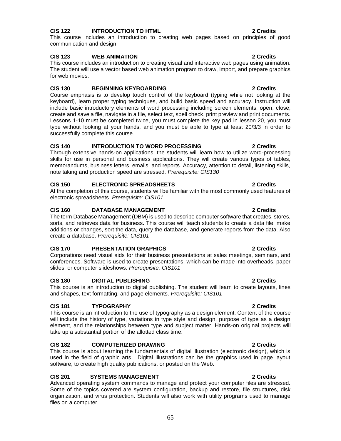# **CIS 122 INTRODUCTION TO HTML 2 Credits**

This course includes an introduction to creating web pages based on principles of good communication and design

## **CIS 123 WEB ANIMATION 2 Credits**

This course includes an introduction to creating visual and interactive web pages using animation. The student will use a vector based web animation program to draw, import, and prepare graphics for web movies.

# **CIS 130 BEGINNING KEYBOARDING 2 Credits**

Course emphasis is to develop touch control of the keyboard (typing while not looking at the keyboard), learn proper typing techniques, and build basic speed and accuracy. Instruction will include basic introductory elements of word processing including screen elements, open, close, create and save a file, navigate in a file, select text, spell check, print preview and print documents. Lessons 1-10 must be completed twice, you must complete the key pad in lesson 20, you must type without looking at your hands, and you must be able to type at least 20/3/3 in order to successfully complete this course.

## **CIS 140 INTRODUCTION TO WORD PROCESSING 2 Credits**

Through extensive hands-on applications, the students will learn how to utilize word-processing skills for use in personal and business applications. They will create various types of tables, memorandums, business letters, emails, and reports. Accuracy, attention to detail, listening skills, note taking and production speed are stressed. *Prerequisite: CIS130*

# **CIS 150 ELECTRONIC SPREADSHEETS 2 Credits**

At the completion of this course, students will be familiar with the most commonly used features of electronic spreadsheets. *Prerequisite: CIS101*

## **CIS 160 DATABASE MANAGEMENT 2 Credits**

The term Database Management (DBM) is used to describe computer software that creates, stores, sorts, and retrieves data for business. This course will teach students to create a data file, make additions or changes, sort the data, query the database, and generate reports from the data. Also create a database. *Prerequisite: CIS101*

## **CIS 170 PRESENTATION GRAPHICS 2 Credits**

Corporations need visual aids for their business presentations at sales meetings, seminars, and conferences. Software is used to create presentations, which can be made into overheads, paper slides, or computer slideshows. *Prerequisite: CIS101*

## **CIS 180 DIGITAL PUBLISHING 2 Credits**

This course is an introduction to digital publishing. The student will learn to create layouts, lines and shapes, text formatting, and page elements. *Prerequisite: CIS101*

## **CIS 181 TYPOGRAPHY 2 Credits**

This course is an introduction to the use of typography as a design element. Content of the course will include the history of type, variations in type style and design, purpose of type as a design element, and the relationships between type and subject matter. Hands-on original projects will take up a substantial portion of the allotted class time.

## **CIS 182 COMPUTERIZED DRAWING 2 Credits**

This course is about learning the fundamentals of digital illustration (electronic design), which is used in the field of graphic arts. Digital illustrations can be the graphics used in page layout software, to create high quality publications, or posted on the Web.

## **CIS 201 SYSTEMS MANAGEMENT 2 Credits**

Advanced operating system commands to manage and protect your computer files are stressed. Some of the topics covered are system configuration, backup and restore, file structures, disk organization, and virus protection. Students will also work with utility programs used to manage files on a computer.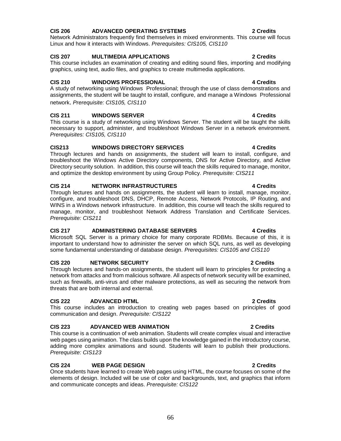# **CIS 206 ADVANCED OPERATING SYSTEMS 2 Credits**

Network Administrators frequently find themselves in mixed environments. This course will focus Linux and how it interacts with Windows. *Prerequisites: CIS105, CIS110*

# **CIS 207 MULTIMEDIA APPLICATIONS 2 Credits**

This course includes an examination of creating and editing sound files, importing and modifying graphics, using text, audio files, and graphics to create multimedia applications.

# **CIS 210 WINDOWS PROFESSIONAL 4 Credits**

A study of networking using Windows Professional; through the use of class demonstrations and assignments, the student will be taught to install, configure, and manage a Windows Professional network. *Prerequisite: CIS105, CIS110*

# **CIS 211 WINDOWS SERVER 4 Credits**

This course is a study of networking using Windows Server. The student will be taught the skills necessary to support, administer, and troubleshoot Windows Server in a network environment. *Prerequisites: CIS105, CIS110*

## **CIS213 WINDOWS DIRECTORY SERVICES 4 Credits**

Through lectures and hands on assignments, the student will learn to install, configure, and troubleshoot the Windows Active Directory components, DNS for Active Directory, and Active Directory security solution. In addition, this course will teach the skills required to manage, monitor, and optimize the desktop environment by using Group Policy. *Prerequisite: CIS211*

# **CIS 214 NETWORK INFRASTRUCTURES 4 Credits**

Through lectures and hands on assignments, the student will learn to install, manage, monitor, configure, and troubleshoot DNS, DHCP, Remote Access, Network Protocols, IP Routing, and WINS in a Windows network infrastructure. In addition, this course will teach the skills required to manage, monitor, and troubleshoot Network Address Translation and Certificate Services. *Prerequisite: CIS211*

## **CIS 217 ADMINISTERING DATABASE SERVERS 4 Credits**

Microsoft SQL Server is a primary choice for many corporate RDBMs. Because of this, it is important to understand how to administer the server on which SQL runs, as well as developing some fundamental understanding of database design. *Prerequisites: CIS105 and CIS110*

## **CIS 220 NETWORK SECURITY 2 Credits**

Through lectures and hands-on assignments, the student will learn to principles for protecting a network from attacks and from malicious software. All aspects of network security will be examined, such as firewalls, anti-virus and other malware protections, as well as securing the network from threats that are both internal and external.

## **CIS 222 ADVANCED HTML 2 Credits**

This course includes an introduction to creating web pages based on principles of good communication and design. *Prerequisite: CIS122*

## **CIS 223 ADVANCED WEB ANIMATION 2 Credits**

This course is a continuation of web animation. Students will create complex visual and interactive web pages using animation. The class builds upon the knowledge gained in the introductory course, adding more complex animations and sound. Students will learn to publish their productions. *Prerequisite: CIS123*

## **CIS 224 WEB PAGE DESIGN 2 Credits**

Once students have learned to create Web pages using HTML, the course focuses on some of the elements of design. Included will be use of color and backgrounds, text, and graphics that inform and communicate concepts and ideas. *Prerequisite: CIS122*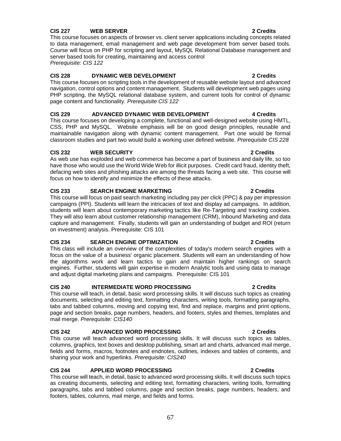# **CIS 227 WEB SERVER 2 Credits**

This course focuses on aspects of browser vs. client server applications including concepts related to data management, email management and web page development from server based tools. Course will focus on PHP for scripting and layout, MySQL Relational Database management and server based tools for creating, maintaining and access control *Prerequisite: CIS 122*

### **CIS 228 DYNAMIC WEB DEVELOPMENT 2 Credits**

This course focuses on scripting tools in the development of reusable website layout and advanced navigation, control options and content management. Students will development web pages using PHP scripting, the MySQL relational database system, and current tools for control of dynamic page content and functionality. *Prerequisite CIS 122*

## **CIS 229 ADVANCED DYNAMIC WEB DEVELOPMENT 4 Credits**

This course focuses on developing a complete, functional and well-designed website using HMTL, CSS, PHP and MySQL. Website emphasis will be on good design principles, reusable and maintainable navigation along with dynamic content management. Part one would be formal classroom studies and part two would build a working user defined website. *Prerequisite CIS 228*

## **CIS 232 WEB SECURITY 2 Credits**

As web use has exploded and web commerce has become a part of business and daily life, so too have those who would use the World Wide Web for illicit purposes. Credit card fraud, identity theft, defacing web sites and phishing attacks are among the threats facing a web site. This course will focus on how to identify and minimize the effects of these attacks.

# **CIS 233 SEARCH ENGINE MARKETING 2 Credits**

This course will focus on paid search marketing including pay per click (PPC) & pay per impression campaigns (PPI). Students will learn the intricacies of text and display ad campaigns. In addition, students will learn about contemporary marketing tactics like Re-Targeting and tracking cookies. They will also learn about customer relationship management (CRM), Inbound Marketing and data capture and management. Finally, students will gain an understanding of budget and ROI (return on investment) analysis. Prerequisite: CIS 101

# **CIS 234 SEARCH ENGINE OPTIMIZATION 2 Credits**

This class will include an overview of the complexities of today's modern search engines with a focus on the value of a business' organic placement. Students will earn an understanding of how the algorithms work and learn tactics to gain and maintain higher rankings on search engines. Further, students will gain expertise in modern Analytic tools and using data to manage and adjust digital marketing plans and campaigns. Prerequisite: CIS 101

## **CIS 240 INTERMEDIATE WORD PROCESSING 2 Credits**

This course will teach, in detail, basic word processing skills. It will discuss such topics as creating documents, selecting and editing text, formatting characters, writing tools, formatting paragraphs, tabs and tabbed columns, moving and copying text, find and replace, margins and print options, page and section breaks, page numbers, headers, and footers, styles and themes, templates and mail merge. *Prerequisite: CIS140*

# **CIS 242 ADVANCED WORD PROCESSING 2 Credits**

This course will teach advanced word processing skills. It will discuss such topics as tables, columns, graphics, text boxes and desktop publishing, smart art and charts, advanced mail merge, fields and forms, macros, footnotes and endnotes, outlines, indexes and tables of contents, and sharing your work and hyperlinks. *Prerequisite: CIS240*

# **CIS 244 APPLIED WORD PROCESSING 2 Credits**

This course will teach, in detail, basic to advanced word processing skills. It will discuss such topics as creating documents, selecting and editing text, formatting characters, writing tools, formatting paragraphs, tabs and tabbed columns, page and section breaks, page numbers, headers, and footers, tables, columns, mail merge, and fields and forms.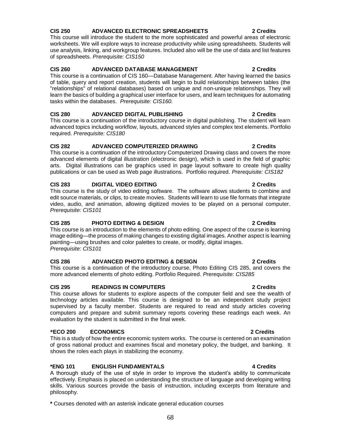# **CIS 250 ADVANCED ELECTRONIC SPREADSHEETS 2 Credits**

This course will introduce the student to the more sophisticated and powerful areas of electronic worksheets. We will explore ways to increase productivity while using spreadsheets. Students will use analysis, linking, and workgroup features. Included also will be the use of data and list features of spreadsheets. *Prerequisite: CIS150*

# **CIS 260 ADVANCED DATABASE MANAGEMENT 2 Credits**

This course is a continuation of CIS 160—Database Management. After having learned the basics of table, query and report creation, students will begin to build relationships between tables (the "relationships" of relational databases) based on unique and non-unique relationships. They will learn the basics of building a graphical user interface for users, and learn techniques for automating tasks within the databases. *Prerequisite: CIS160.*

# **CIS 280 ADVANCED DIGITAL PUBLISHING 2 Credits**

This course is a continuation of the introductory course in digital publishing. The student will learn advanced topics including workflow, layouts, advanced styles and complex text elements. Portfolio required. *Prerequisite: CIS180*

## **CIS 282 ADVANCED COMPUTERIZED DRAWING 2 Credits**

This course is a continuation of the introductory Computerized Drawing class and covers the more advanced elements of digital illustration (electronic design), which is used in the field of graphic arts. Digital illustrations can be graphics used in page layout software to create high quality publications or can be used as Web page illustrations. Portfolio required. *Prerequisite: CIS182*

## **CIS 283 DIGITAL VIDEO EDITING 2 Credits**

This course is the study of video editing software. The software allows students to combine and edit source materials, or clips, to create movies. Students will learn to use file formats that integrate video, audio, and animation, allowing digitized movies to be played on a personal computer. *Prerequisite: CIS101*

## **CIS 285 PHOTO EDITING & DESIGN 2 Credits**

This course is an introduction to the elements of photo editing. One aspect of the course is learning image editing—the process of making changes to existing digital images. Another aspect is learning painting—using brushes and color palettes to create, or modify, digital images. *Prerequisite: CIS101*

## **CIS 286 ADVANCED PHOTO EDITING & DESIGN 2 Credits**

This course is a continuation of the introductory course, Photo Editing CIS 285, and covers the more advanced elements of photo editing. Portfolio Required. *Prerequisite: CIS285*

## **CIS 295 READINGS IN COMPUTERS 2 Credits**

This course allows for students to explore aspects of the computer field and see the wealth of technology articles available. This course is designed to be an independent study project supervised by a faculty member. Students are required to read and study articles covering computers and prepare and submit summary reports covering these readings each week. An evaluation by the student is submitted in the final week.

## **\*ECO 200 ECONOMICS 2 Credits**

This is a study of how the entire economic system works. The course is centered on an examination of gross national product and examines fiscal and monetary policy, the budget, and banking. It shows the roles each plays in stabilizing the economy.

## **\*ENG 101 ENGLISH FUNDAMENTALS 4 Credits**

A thorough study of the use of style in order to improve the student's ability to communicate effectively. Emphasis is placed on understanding the structure of language and developing writing skills. Various sources provide the basis of instruction, including excerpts from literature and philosophy.

**\*** Courses denoted with an asterisk indicate general education courses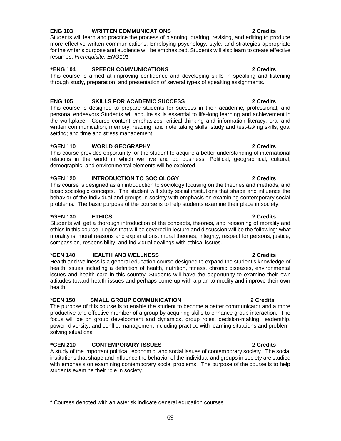# **ENG 103 WRITTEN COMMUNICATIONS 2 Credits**

Students will learn and practice the process of planning, drafting, revising, and editing to produce more effective written communications. Employing psychology, style, and strategies appropriate for the writer's purpose and audience will be emphasized. Students will also learn to create effective resumes. *Prerequisite: ENG101*

## **\*ENG 104 SPEECH COMMUNICATIONS 2 Credits**

This course is aimed at improving confidence and developing skills in speaking and listening through study, preparation, and presentation of several types of speaking assignments.

# **ENG 105 SKILLS FOR ACADEMIC SUCCESS 2 Credits**

This course is designed to prepare students for success in their academic, professional, and personal endeavors Students will acquire skills essential to life-long learning and achievement in the workplace. Course content emphasizes: critical thinking and information literacy; oral and written communication; memory, reading, and note taking skills; study and test-taking skills; goal setting; and time and stress management.

# **\*GEN 110 WORLD GEOGRAPHY 2 Credits**

This course provides opportunity for the student to acquire a better understanding of international relations in the world in which we live and do business. Political, geographical, cultural, demographic, and environmental elements will be explored.

## **\*GEN 120 INTRODUCTION TO SOCIOLOGY 2 Credits**

This course is designed as an introduction to sociology focusing on the theories and methods, and basic sociologic concepts. The student will study social institutions that shape and influence the behavior of the individual and groups in society with emphasis on examining contemporary social problems. The basic purpose of the course is to help students examine their place in society.

### **\*GEN 130 ETHICS 2 Credits**

Students will get a thorough introduction of the concepts, theories, and reasoning of morality and ethics in this course. Topics that will be covered in lecture and discussion will be the following: what morality is, moral reasons and explanations, moral theories, integrity, respect for persons, justice, compassion, responsibility, and individual dealings with ethical issues.

### **\*GEN 140 HEALTH AND WELLNESS 2 Credits**

Health and wellness is a general education course designed to expand the student's knowledge of health issues including a definition of health, nutrition, fitness, chronic diseases, environmental issues and health care in this country. Students will have the opportunity to examine their own attitudes toward health issues and perhaps come up with a plan to modify and improve their own health.

## **\*GEN 150 SMALL GROUP COMMUNICATION 2 Credits**

The purpose of this course is to enable the student to become a better communicator and a more productive and effective member of a group by acquiring skills to enhance group interaction. The focus will be on group development and dynamics, group roles, decision-making, leadership, power, diversity, and conflict management including practice with learning situations and problemsolving situations.

## **\*GEN 210 CONTEMPORARY ISSUES 2 Credits**

A study of the important political, economic, and social issues of contemporary society. The social institutions that shape and influence the behavior of the individual and groups in society are studied with emphasis on examining contemporary social problems. The purpose of the course is to help students examine their role in society.

**\*** Courses denoted with an asterisk indicate general education courses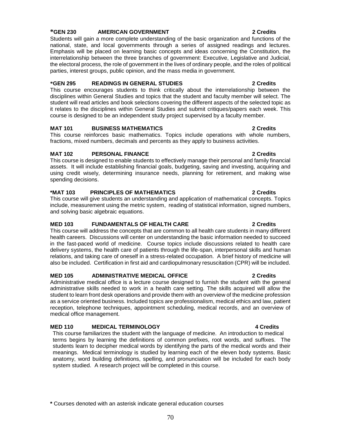# **\*GEN 230 AMERICAN GOVERNMENT 2 Credits**

Students will gain a more complete understanding of the basic organization and functions of the national, state, and local governments through a series of assigned readings and lectures. Emphasis will be placed on learning basic concepts and ideas concerning the Constitution, the interrelationship between the three branches of government: Executive, Legislative and Judicial, the electoral process, the role of government in the lives of ordinary people, and the roles of political parties, interest groups, public opinion, and the mass media in government.

## **\*GEN 295 READINGS IN GENERAL STUDIES 2 Credits**

This course encourages students to think critically about the interrelationship between the disciplines within General Studies and topics that the student and faculty member will select. The student will read articles and book selections covering the different aspects of the selected topic as it relates to the disciplines within General Studies and submit critiques/papers each week. This course is designed to be an independent study project supervised by a faculty member.

# **MAT 101 BUSINESS MATHEMATICS 2 Credits**

This course reinforces basic mathematics. Topics include operations with whole numbers, fractions, mixed numbers, decimals and percents as they apply to business activities.

# **MAT 102 PERSONAL FINANCE 2 Credits**

This course is designed to enable students to effectively manage their personal and family financial assets. It will include establishing financial goals, budgeting, saving and investing, acquiring and using credit wisely, determining insurance needs, planning for retirement, and making wise spending decisions.

# **\*MAT 103 PRINCIPLES OF MATHEMATICS 2 Credits**

This course will give students an understanding and application of mathematical concepts. Topics include, measurement using the metric system, reading of statistical information, signed numbers, and solving basic algebraic equations.

# **MED 103 FUNDAMENTALS OF HEALTH CARE 2 Credits**

This course will address the concepts that are common to all health care students in many different health careers. Discussions will center on understanding the basic information needed to succeed in the fast-paced world of medicine. Course topics include discussions related to health care delivery systems, the health care of patients through the life-span, interpersonal skills and human relations, and taking care of oneself in a stress-related occupation. A brief history of medicine will also be included. Certification in first aid and cardiopulmonary resuscitation (CPR) will be included.

# **MED 105 ADMINISTRATIVE MEDICAL OFFICE 2 Credits**

Administrative medical office is a lecture course designed to furnish the student with the general administrative skills needed to work in a health care setting. The skills acquired will allow the student to learn front desk operations and provide them with an overview of the medicine profession as a service oriented business. Included topics are professionalism, medical ethics and law, patient reception, telephone techniques, appointment scheduling, medical records, and an overview of medical office management.

## **MED 110 MEDICAL TERMINOLOGY 4 Credits**

This course familiarizes the student with the language of medicine. An introduction to medical terms begins by learning the definitions of common prefixes, root words, and suffixes. The students learn to decipher medical words by identifying the parts of the medical words and their meanings. Medical terminology is studied by learning each of the eleven body systems. Basic anatomy, word building definitions, spelling, and pronunciation will be included for each body system studied. A research project will be completed in this course.

### **\*** Courses denoted with an asterisk indicate general education courses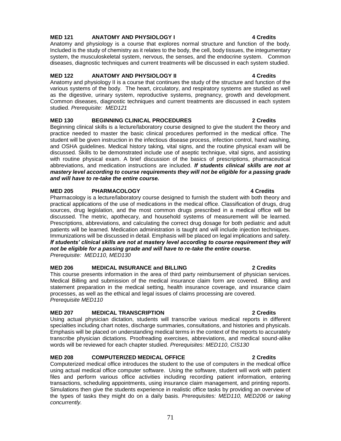# **MED 121 ANATOMY AND PHYSIOLOGY I 4 Credits**

Anatomy and physiology is a course that explores normal structure and function of the body. Included is the study of chemistry as it relates to the body, the cell, body tissues, the integumentary system, the musculoskeletal system, nervous, the senses, and the endocrine system. Common diseases, diagnostic techniques and current treatments will be discussed in each system studied.

# **MED 122 ANATOMY AND PHYSIOLOGY II 4 Credits**

Anatomy and physiology II is a course that continues the study of the structure and function of the various systems of the body. The heart, circulatory, and respiratory systems are studied as well as the digestive, urinary system, reproductive systems, pregnancy, growth and development. Common diseases, diagnostic techniques and current treatments are discussed in each system studied. *Prerequisite: MED121*

# **MED 130 BEGINNING CLINICAL PROCEDURES 2 Credits**

Beginning clinical skills is a lecture/laboratory course designed to give the student the theory and practice needed to master the basic clinical procedures performed in the medical office. The student will be given instruction in the infectious disease process, infection control, hand washing, and OSHA guidelines. Medical history taking, vital signs, and the routine physical exam will be discussed. Skills to be demonstrated include use of aseptic technique, vital signs, and assisting with routine physical exam. A brief discussion of the basics of prescriptions, pharmaceutical abbreviations, and medication instructions are included. *If students clinical skills are not at mastery level according to course requirements they will not be eligible for a passing grade and will have to re-take the entire course.*

# **MED 205 PHARMACOLOGY 4 Credits**

Pharmacology is a lecture/laboratory course designed to furnish the student with both theory and practical applications of the use of medications in the medical office. Classification of drugs, drug sources, drug legislation, and the most common drugs prescribed in a medical office will be discussed. The metric, apothecary, and household systems of measurement will be learned. Prescriptions, abbreviations, and calculating the correct drug dosage for both pediatric and adult patients will be learned. Medication administration is taught and will include injection techniques. Immunizations will be discussed in detail. Emphasis will be placed on legal implications and safety. *If students' clinical skills are not at mastery level according to course requirement they will not be eligible for a passing grade and will have to re-take the entire course. Prerequisite: MED110, MED130*

# **MED 206 MEDICAL INSURANCE and BILLING 2 Credits**

This course presents information in the area of third party reimbursement of physician services. Medical Billing and submission of the medical insurance claim form are covered. Billing and statement preparation in the medical setting, health insurance coverage, and insurance claim processes, as well as the ethical and legal issues of claims processing are covered. *Prerequisite MED110*

# **MED 207 MEDICAL TRANSCRIPTION 2 Credits**

Using actual physician dictation, students will transcribe various medical reports in different specialties including chart notes, discharge summaries, consultations, and histories and physicals. Emphasis will be placed on understanding medical terms in the context of the reports to accurately transcribe physician dictations. Proofreading exercises, abbreviations, and medical sound-alike words will be reviewed for each chapter studied. *Prerequisites: MED110, CIS130*

# **MED 208 COMPUTERIZED MEDICAL OFFICE 2 Credits**

Computerized medical office introduces the student to the use of computers in the medical office using actual medical office computer software. Using the software, student will work with patient files and perform various office activities including recording patient information, entering transactions, scheduling appointments, using insurance claim management, and printing reports. Simulations then give the students experience in realistic office tasks by providing an overview of the types of tasks they might do on a daily basis. *Prerequisites: MED110, MED206 or taking concurrently.*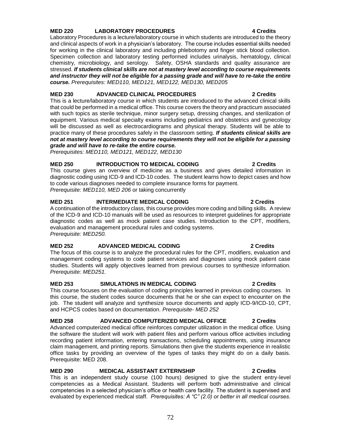# **MED 220 LABORATORY PROCEDURES 4 Credits**

Laboratory Procedures is a lecture/laboratory course in which students are introduced to the theory and clinical aspects of work in a physician's laboratory. The course includes essential skills needed for working in the clinical laboratory and including phlebotomy and finger stick blood collection. Specimen collection and laboratory testing performed includes urinalysis, hematology, clinical chemistry, microbiology, and serology. Safety, OSHA standards and quality assurance are stressed. *If students clinical skills are not at mastery level according to course requirements and instructor they will not be eligible for a passing grade and will have to re-take the entire course. Prerequisites: MED110, MED121, MED122, MED130, MED205*

### **MED 230 ADVANCED CLINICAL PROCEDURES 2 Credits**

This is a lecture/laboratory course in which students are introduced to the advanced clinical skills that could be performed in a medical office. This course covers the theory and practicum associated with such topics as sterile technique, minor surgery setup, dressing changes, and sterilization of equipment. Various medical specialty exams including pediatrics and obstetrics and gynecology will be discussed as well as electrocardiograms and physical therapy. Students will be able to practice many of these procedures safely in the classroom setting. *If students clinical skills are not at mastery level according to course requirements they will not be eligible for a passing grade and will have to re-take the entire course.*

*Prerequisites: MED110, MED121, MED122, MED130*

# **MED 250 INTRODUCTION TO MEDICAL CODING 2 Credits**

This course gives an overview of medicine as a business and gives detailed information in diagnostic coding using ICD-9 and ICD-10 codes. The student learns how to depict cases and how to code various diagnoses needed to complete insurance forms for payment. *Prerequisite: MED110, MED 206* or taking concurrently

**MED 251 INTERMEDIATE MEDICAL CODING 2 Credits** A continuation of the introductory class, this course provides more coding and billing skills. A review of the ICD-9 and ICD-10 manuals will be used as resources to interpret guidelines for appropriate diagnostic codes as well as mock patient case studies. Introduction to the CPT, modifiers, evaluation and management procedural rules and coding systems. *Prerequisite: MED250.*

# **MED 252 ADVANCED MEDICAL CODING 2 Credits**

The focus of this course is to analyze the procedural rules for the CPT, modifiers, evaluation and management coding systems to code patient services and diagnoses using mock patient case studies. Students will apply objectives learned from previous courses to synthesize information. *Prerequisite: MED251.*

# **MED 253 SIMULATIONS IN MEDICAL CODING 2 Credits**

This course focuses on the evaluation of coding principles learned in previous coding courses. In this course, the student codes source documents that he or she can expect to encounter on the job. The student will analyze and synthesize source documents and apply ICD-9/ICD-10, CPT, and HCPCS codes based on documentation. *Prerequisite- MED 252* 

# **MED 258 ADVANCED COMPUTERIZED MEDICAL OFFICE 2 Credits**

Advanced computerized medical office reinforces computer utilization in the medical office. Using the software the student will work with patient files and perform various office activities including recording patient information, entering transactions, scheduling appointments, using insurance claim management, and printing reports. Simulations then give the students experience in realistic office tasks by providing an overview of the types of tasks they might do on a daily basis. Prerequisite: MED 208.

# **MED 290 MEDICAL ASSISTANT EXTERNSHIP 2 Credits**

This is an independent study course (100 hours) designed to give the student entry-level competencies as a Medical Assistant. Students will perform both administrative and clinical competencies in a selected physician's office or health care facility. The student is supervised and evaluated by experienced medical staff. *Prerequisites: A "C" (2.0) or better in all medical courses*.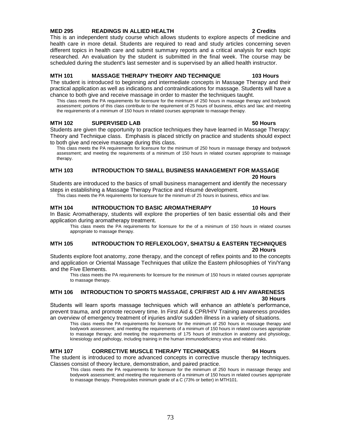### **MED 295 READINGS IN ALLIED HEALTH 2 Credits**

This is an independent study course which allows students to explore aspects of medicine and health care in more detail. Students are required to read and study articles concerning seven different topics in health care and submit summary reports and a critical analysis for each topic researched. An evaluation by the student is submitted in the final week. The course may be scheduled during the student's last semester and is supervised by an allied health instructor.

### **MTH 101 MASSAGE THERAPY THEORY AND TECHNIQUE 103 Hours**

The student is introduced to beginning and intermediate concepts in Massage Therapy and their practical application as well as indications and contraindications for massage. Students will have a chance to both give and receive massage in order to master the techniques taught.

This class meets the PA requirements for licensure for the minimum of 250 hours in massage therapy and bodywork assessment; portions of this class contribute to the requirement of 25 hours of business, ethics and law; and meeting the requirements of a minimum of 150 hours in related courses appropriate to massage therapy.

### **MTH 102 SUPERVISED LAB 50 Hours**

Students are given the opportunity to practice techniques they have learned in Massage Therapy: Theory and Technique class. Emphasis is placed strictly on practice and students should expect to both give and receive massage during this class.

This class meets the PA requirements for licensure for the minimum of 250 hours in massage therapy and bodywork assessment; and meeting the requirements of a minimum of 150 hours in related courses appropriate to massage therapy.

### **MTH 103 INTRODUCTION TO SMALL BUSINESS MANAGEMENT FOR MASSAGE 20 Hours**

Students are introduced to the basics of small business management and identify the necessary steps in establishing a Massage Therapy Practice and résumé development.

This class meets the PA requirements for licensure for the minimum of 25 hours in business, ethics and law.

### **MTH 104 INTRODUCTION TO BASIC AROMATHERAPY 10 Hours**

In Basic Aromatherapy, students will explore the properties of ten basic essential oils and their application during aromatherapy treatment.

This class meets the PA requirements for licensure for the of a minimum of 150 hours in related courses appropriate to massage therapy.

### **MTH 105 INTRODUCTION TO REFLEXOLOGY, SHIATSU & EASTERN TECHNIQUES 20 Hours**

Students explore foot anatomy, zone therapy, and the concept of reflex points and to the concepts and application or Oriental Massage Techniques that utilize the Eastern philosophies of Yin/Yang and the Five Elements.

This class meets the PA requirements for licensure for the minimum of 150 hours in related courses appropriate to massage therapy.

### **MTH 106 INTRODUCTION TO SPORTS MASSAGE, CPR/FIRST AID & HIV AWARENESS 30 Hours**

Students will learn sports massage techniques which will enhance an athlete's performance, prevent trauma, and promote recovery time. In First Aid & CPR/HIV Training awareness provides an overview of emergency treatment of injuries and/or sudden illness in a variety of situations.

This class meets the PA requirements for licensure for the minimum of 250 hours in massage therapy and bodywork assessment; and meeting the requirements of a minimum of 150 hours in related courses appropriate to massage therapy; and meeting the requirements of 175 hours of instruction in anatomy and physiology, kinesiology and pathology, including training in the human immunodeficiency virus and related risks.

### **MTH 107 CORRECTIVE MUSCLE THERAPY TECHNIQUES 94 Hours**

The student is introduced to more advanced concepts in corrective muscle therapy techniques. Classes consist of theory lecture, demonstration, and paired practice.

This class meets the PA requirements for licensure for the minimum of 250 hours in massage therapy and bodywork assessment; and meeting the requirements of a minimum of 150 hours in related courses appropriate to massage therapy. Prerequisites minimum grade of a C (73% or better) in MTH101.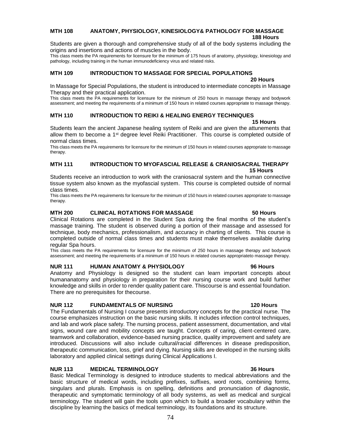# **MTH 108 ANATOMY, PHYSIOLOGY, KINESIOLOGY& PATHOLOGY FOR MASSAGE**

**188 Hours**

Students are given a thorough and comprehensive study of all of the body systems including the origins and insertions and actions of muscles in the body.

This class meets the PA requirements for licensure for the minimum of 175 hours of anatomy, physiology, kinesiology and pathology, including training in the human immunodeficiency virus and related risks.

# **MTH 109 INTRODUCTION TO MASSAGE FOR SPECIAL POPULATIONS**

# **20 Hours**

In Massage for Special Populations, the student is introduced to intermediate concepts in Massage Therapy and their practical application.

This class meets the PA requirements for licensure for the minimum of 250 hours in massage therapy and bodywork assessment; and meeting the requirements of a minimum of 150 hours in related courses appropriate to massage therapy.

# **MTH 110 INTRODUCTION TO REIKI & HEALING ENERGY TECHNIQUES**

### **15 Hours**

Students learn the ancient Japanese healing system of Reiki and are given the attunements that allow them to become a 1<sup>st</sup> degree level Reiki Practitioner. This course is completed outside of normal class times.

This class meets the PA requirements for licensure for the minimum of 150 hours in related courses appropriate to massage therapy.

### **MTH 111 INTRODUCTION TO MYOFASCIAL RELEASE & CRANIOSACRAL THERAPY 15 Hours**

Students receive an introduction to work with the craniosacral system and the human connective tissue system also known as the myofascial system. This course is completed outside of normal class times.

This class meets the PA requirements for licensure for the minimum of 150 hours in related courses appropriate to massage therapy.

### **MTH 200 CLINICAL ROTATIONS FOR MASSAGE 50 Hours**

Clinical Rotations are completed in the Student Spa during the final months of the student's massage training. The student is observed during a portion of their massage and assessed for technique, body mechanics, professionalism, and accuracy in charting of clients. This course is completed outside of normal class times and students must make themselves available during regular Spa hours.

This class meets the PA requirements for licensure for the minimum of 250 hours in massage therapy and bodywork assessment; and meeting the requirements of a minimum of 150 hours in related courses appropriateto massage therapy.

### **NUR 111 HUMAN ANATOMY & PHYSIOLOGY 96 Hours**

Anatomy and Physiology is designed so the student can learn important concepts about humananatomy and physiology in preparation for their nursing course work and build further knowledge and skills in order to render quality patient care. Thiscourse is and essential foundation. There are no prerequisites for thecourse.

### **NUR 112 FUNDAMENTALS OF NURSING 120 Hours**

The Fundamentals of Nursing I course presents introductory concepts for the practical nurse. The course emphasizes instruction on the basic nursing skills. It includes infection control techniques, and lab and work place safety. The nursing process, patient assessment, documentation, and vital signs, wound care and mobility concepts are taught. Concepts of caring, client-centered care, teamwork and collaboration, evidence-based nursing practice, quality improvement and safety are introduced. Discussions will also include cultural/racial differences in disease predisposition, therapeutic communication, loss, grief and dying. Nursing skills are developed in the nursing skills laboratory and applied clinical settings during Clinical Applications I.

### **NUR 113 MEDICAL TERMINOLOGY 36 Hours**

Basic Medical Terminology is designed to introduce students to medical abbreviations and the basic structure of medical words, including prefixes, suffixes, word roots, combining forms, singulars and plurals. Emphasis is on spelling, definitions and pronunciation of diagnostic, therapeutic and symptomatic terminology of all body systems, as well as medical and surgical terminology. The student will gain the tools upon which to build a broader vocabulary within the discipline by learning the basics of medical terminology, its foundations and its structure.

### 74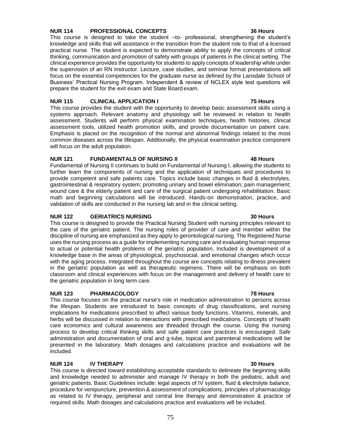# 75

# **NUR 114 PROFESSIONAL CONCEPTS 36 Hours**

This course is designed to take the student –to- professional, strengthening the student's knowledge and skills that will assistance in the transition from the student role to that of a licensed practical nurse. The student is expected to demonstrate ability to apply the concepts of critical thinking, communication and promotion of safety with groups of patients in the clinical setting. The clinical experience provides the opportunity for students to apply concepts of leadership while under the supervision of an RN instructor. Lecture, case studies, and seminar format presentations will focus on the essential competencies for the graduate nurse as defined by the Lansdale School of Business' Practical Nursing Program. Independent & review of NCLEX style test questions will prepare the student for the exit exam and State Board exam.

### **NUR 115 CLINICAL APPLICATION I 75 Hours**

This course provides the student with the opportunity to develop basic assessment skills using a systems approach. Relevant anatomy and physiology will be reviewed in relation to health assessment. Students will perform physical examination techniques, health histories, clinical assessment tools, utilized health promotion skills, and provide documentation on patient care. Emphasis is placed on the recognition of the normal and abnormal findings related to the most common diseases across the lifespan. Additionally, the physical examination practice component will focus on the adult population.

# **NUR 121 FUNDAMENTALS OF NURSING II 48 Hours**

Fundamental of Nursing II continues to build on Fundamental of Nursing I, allowing the students to further learn the components of nursing and the application of techniques and procedures to provide competent and safe patients care. Topics include basic changes in fluid & electrolytes, gastrointestinal & respiratory system; promoting urinary and bowel elimination; pain management; wound care & the elderly patient and care of the surgical patient undergoing rehabilitation. Basic math and beginning calculations will be introduced. Hands-on demonstration, practice, and validation of skills are conducted in the nursing lab and in the clinical setting.

### **NUR 122 GERIATRICS NURSING 30 Hours**

This course is designed to provide the Practical Nursing Student with nursing principles relevant to the care of the geriatric patient. The nursing roles of provider of care and member within the discipline of nursing are emphasized as they apply to gerontological nursing. The Registered Nurse uses the nursing process as a guide for implementing nursing care and evaluating human response to actual or potential health problems of the geriatric population. Included is development of a knowledge base in the areas of physiological, psychosocial, and emotional changes which occur with the aging process. Integrated throughout the course are concepts relating to illness prevalent in the geriatric population as well as therapeutic regimens. There will be emphasis on both classroom and clinical experiences with focus on the management and delivery of health care to the geriatric population in long term care.

### **NUR 123 PHARMACOLOGY 78 Hours**

This course focuses on the practical nurse's role in medication administration to persons across the lifespan. Students are introduced to basic concepts of drug classifications, and nursing implications for medications prescribed to affect various body functions. Vitamins, minerals, and herbs will be discussed in relation to interactions with prescribed medications. Concepts of health care economics and cultural awareness are threaded through the course. Using the nursing process to develop critical thinking skills and safe patient care practices is encouraged. Safe administration and documentation of oral and g-tube, topical and parenteral medications will be presented in the laboratory. Math dosages and calculations practice and evaluations will be included.

### **NUR 124 IV THERAPY 30 Hours**

This course is directed toward establishing acceptable standards to delineate the beginning skills and knowledge needed to administer and manage IV therapy in both the pediatric, adult and geriatric patients. Basic Guidelines include: legal aspects of IV system, fluid & electrolyte balance, procedure for venipuncture, prevention & assessment of complications, principles of pharmacology as related to IV therapy, peripheral and central line therapy and demonstration & practice of required skills. Math dosages and calculations practice and evaluations will be included.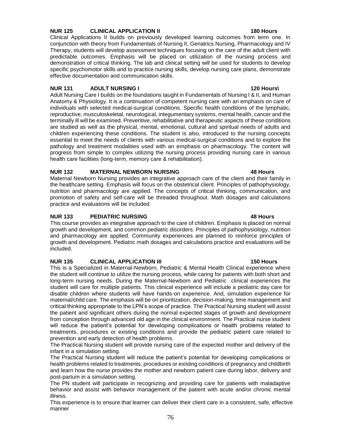# **NUR 125 CLINICAL APPLICATION II 180 Hours**

Clinical Applications II builds on previously developed learning outcomes from term one. In conjunction with theory from Fundamentals of Nursing II, Geriatrics Nursing, Pharmacology and IV Therapy, students will develop assessment techniques focusing on the care of the adult client with predictable outcomes. Emphasis will be placed on utilization of the nursing process and demonstration of critical thinking. The lab and clinical setting will be used for students to develop specific psychomotor skills and to practice nursing skills, develop nursing care plans, demonstrate effective documentation and communication skills.

### **NUR 131 ADULT NURSING I 120 Hours\**

Adult Nursing Care I builds on the foundations taught in Fundamentals of Nursing I & II, and Human Anatomy & Physiology. It is a continuation of competent nursing care with an emphasis on care of individuals with selected medical-surgical conditions. Specific health conditions of the lymphatic, reproductive, musculoskeletal, neurological, integumentary systems, mental health, cancer and the terminally ill will be examined. Preventive, rehabilitative and therapeutic aspects of these conditions are studied as well as the physical, mental, emotional, cultural and spiritual needs of adults and children experiencing these conditions. The student is also, introduced to the nursing concepts essential to meet the needs of clients with various medical-surgical conditions and to explore the pathology and treatment modalities used with an emphasis on pharmacology. The content will progress from simple to complex utilizing the nursing process providing nursing care in various health care facilities (long-term, memory care & rehabilitation).

# **NUR 132 MATERNAL NEWBORN NURSING 48 Hours**

Maternal Newborn Nursing provides an integrative approach care of the client and their family in the healthcare setting. Emphasis will focus on the obstetrical client. Principles of pathophysiology, nutrition and pharmacology are applied. The concepts of critical thinking, communication, and promotion of safety and self-care will be threaded throughout. Math dosages and calculations practice and evaluations will be included.

### **NUR 133 PEDIATRIC NURSING 48 Hours**

This course provides an integrative approach to the care of children. Emphasis is placed on normal growth and development, and common pediatric disorders. Principles of pathophysiology, nutrition and pharmacology are applied. Community experiences are planned to reinforce principles of growth and development. Pediatric math dosages and calculations practice and evaluations will be included.

### **NUR 135 CLINICAL APPLICATION III 150 Hours**

This is a Specialized in Maternal-Newborn, Pediatric & Mental Health Clinical experience where the student will continue to utilize the nursing process, while caring for patients with both short and long-term nursing needs. During the Maternal-Newborn and Pediatric clinical experiences the student will care for multiple patients. This clinical experience will include a pediatric day care for disable children where students will have hands-on experience. And, simulation experience for maternal/child care. The emphasis will be on prioritization, decision-making, time management and critical thinking appropriate to the LPN's scope of practice. The Practical Nursing student will assist the patient and significant others during the normal expected stages of growth and development from conception through advanced old age in the clinical environment. The Practical nurse student will reduce the patient's potential for developing complications or health problems related to treatments, procedures or existing conditions and provide the pediatric patient care related to prevention and early detection of health problems.

The Practical Nursing student will provide nursing care of the expected mother and delivery of the infant in a simulation setting.

The Practical Nursing student will reduce the patient's potential for developing complications or health problems related to treatments, procedures or existing conditions of pregnancy and childbirth and learn how the nurse provides the mother and newborn patient care during labor, delivery and post-partum in a simulation setting.

The PN student will participate in recognizing and providing care for patients with maladaptive behavior and assist with behavior management of the patient with acute and/or chronic mental illness.

This experience is to ensure that learner can deliver their client care in a consistent, safe, effective manner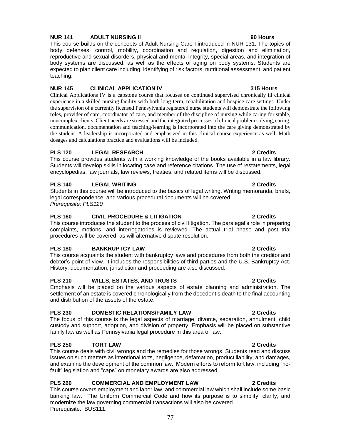# 77

# **NUR 141 ADULT NURSING II 90 Hours**

This course builds on the concepts of Adult Nursing Care I introduced in NUR 131. The topics of body defenses, control, mobility, coordination and regulation, digestion and elimination, reproductive and sexual disorders, physical and mental integrity, special areas, and integration of body systems are discussed, as well as the effects of aging on body systems. Students are expected to plan client care including: identifying of risk factors, nutritional assessment, and patient teaching.

# **NUR 145 CLINICAL APPLICATION IV 315 Hours**

Clinical Applications IV is a capstone course that focuses on continued supervised chronically ill clinical experience in a skilled nursing facility with both long-term, rehabilitation and hospice care settings. Under the supervision of a currently licensed Pennsylvania registered nurse students will demonstrate the following roles, provider of care, coordinator of care, and member of the discipline of nursing while caring for stable, noncomplex clients. Client needs are stressed and the integrated processes of clinical problem solving, caring, communication, documentation and teaching/learning is incorporated into the care giving demonstrated by the student. A leadership is incorporated and emphasized in this clinical course experience as well. Math dosages and calculations practice and evaluations will be included.

# **PLS 120 LEGAL RESEARCH 2 Credits**

This course provides students with a working knowledge of the books available in a law library. Students will develop skills in locating case and reference citations. The use of restatements, legal encyclopedias, law journals, law reviews, treaties, and related items will be discussed.

# **PLS 140 LEGAL WRITING 2 Credits**

Students in this course will be introduced to the basics of legal writing. Writing memoranda, briefs, legal correspondence, and various procedural documents will be covered. *Prerequisite: PLS120*

# **PLS 160 CIVIL PROCEDURE & LITIGATION 2 Credits**

This course introduces the student to the process of civil litigation. The paralegal's role in preparing complaints, motions, and interrogatories is reviewed. The actual trial phase and post trial procedures will be covered, as will alternative dispute resolution.

# **PLS 180 BANKRUPTCY LAW 2 Credits**

This course acquaints the student with bankruptcy laws and procedures from both the creditor and debtor's point of view. It includes the responsibilities of third parties and the U.S. Bankruptcy Act. History, documentation, jurisdiction and proceeding are also discussed.

# **PLS 210 WILLS, ESTATES, AND TRUSTS 2 Credits**

Emphasis will be placed on the various aspects of estate planning and administration. The settlement of an estate is covered chronologically from the decedent's death to the final accounting and distribution of the assets of the estate.

# **PLS 230 DOMESTIC RELATIONS/FAMILY LAW 2 Credits**

The focus of this course is the legal aspects of marriage, divorce, separation, annulment, child custody and support, adoption, and division of property. Emphasis will be placed on substantive family law as well as Pennsylvania legal procedure in this area of law.

# **PLS 250 TORT LAW 2 Credits**

This course deals with civil wrongs and the remedies for those wrongs. Students read and discuss issues on such matters as intentional torts, negligence, defamation, product liability, and damages, and examine the development of the common law. Modern efforts to reform tort law, including "nofault" legislation and "caps" on monetary awards are also addressed.

# **PLS 260 COMMERCIAL AND EMPLOYMENT LAW 2 Credits**

This course covers employment and labor law, and commercial law which shall include some basic banking law. The Uniform Commercial Code and how its purpose is to simplify, clarify, and modernize the law governing commercial transactions will also be covered. Prerequisite: BUS111.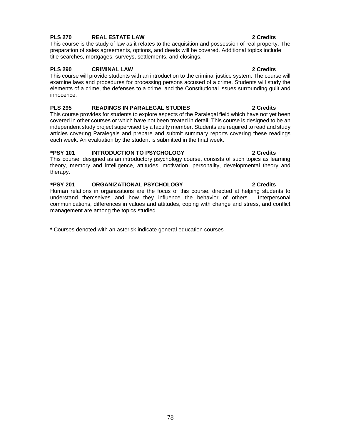# **PLS 270 REAL ESTATE LAW 2 Credits**

This course is the study of law as it relates to the acquisition and possession of real property. The preparation of sales agreements, options, and deeds will be covered. Additional topics include title searches, mortgages, surveys, settlements, and closings.

### **PLS 290 CRIMINAL LAW 2 Credits**

This course will provide students with an introduction to the criminal justice system. The course will examine laws and procedures for processing persons accused of a crime. Students will study the elements of a crime, the defenses to a crime, and the Constitutional issues surrounding guilt and innocence.

### **PLS 295 READINGS IN PARALEGAL STUDIES 2 Credits**

This course provides for students to explore aspects of the Paralegal field which have not yet been covered in other courses or which have not been treated in detail. This course is designed to be an independent study project supervised by a faculty member. Students are required to read and study articles covering Paralegals and prepare and submit summary reports covering these readings each week. An evaluation by the student is submitted in the final week.

# **\*PSY 101 INTRODUCTION TO PSYCHOLOGY 2 Credits**

This course, designed as an introductory psychology course, consists of such topics as learning theory, memory and intelligence, attitudes, motivation, personality, developmental theory and therapy.

# **\*PSY 201 ORGANIZATIONAL PSYCHOLOGY 2 Credits**

Human relations in organizations are the focus of this course, directed at helping students to understand themselves and how they influence the behavior of others. Interpersonal communications, differences in values and attitudes, coping with change and stress, and conflict management are among the topics studied

**\*** Courses denoted with an asterisk indicate general education courses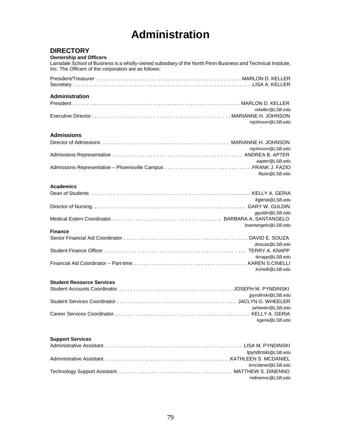# **Administration**

# **DIRECTORY**

### **Ownership and Officers**

Lansdale School of Business is a wholly-owned subsidiary of the North Penn Business and Technical Institute, Inc. The Officers of the corporation are as follows:

# **Administration**

| mkeller@LSB.edu   |
|-------------------|
|                   |
| mjohnson @LSB.edu |

### **Admissions**

| mjohnson @LSB.edu |
|-------------------|
|                   |
| aapter@LSB.edu    |
|                   |
| ffazio@LSB.edu    |

### **Academics**

| kgeria@LSB.edu      |
|---------------------|
|                     |
| qquldin @LSB.edu    |
|                     |
| bsantangelo@LSB.edu |
|                     |
|                     |
| dsouza@LSB.edu      |
|                     |
| tknapp@LSB.edu      |
|                     |
| kcinelli@LSB.edu    |
|                     |

### **Student Resource Services**

| ipyndinski @LSB.edu |
|---------------------|
|                     |
| iwheeler@LSB.edu    |
|                     |
| kgeria @LSB.edu     |

### **Support Services**

| lpyndinski@LSB.edu |
|--------------------|
|                    |
| kmcdaniel@LSB.edu  |
|                    |
| mdinenno@LSB.edu   |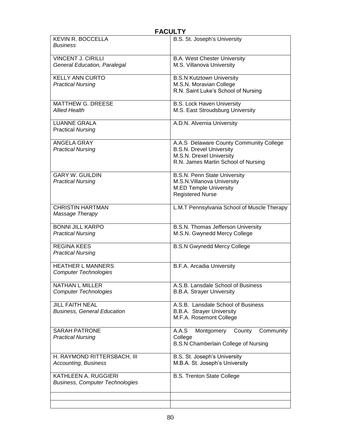| <b>FACULTY</b>                              |                                             |
|---------------------------------------------|---------------------------------------------|
| <b>KEVIN R. BOCCELLA</b><br><b>Business</b> | B.S. St. Joseph's University                |
| <b>VINCENT J. CIRILLI</b>                   | <b>B.A. West Chester University</b>         |
| General Education, Paralegal                | M.S. Villanova University                   |
| <b>KELLY ANN CURTO</b>                      | <b>B.S.N Kutztown University</b>            |
| <b>Practical Nursing</b>                    | M.S.N. Moravian College                     |
|                                             | R.N. Saint Luke's School of Nursing         |
| <b>MATTHEW G. DREESE</b>                    | <b>B.S. Lock Haven University</b>           |
| <b>Allied Health</b>                        | M.S. East Stroudsburg University            |
| <b>LUANNE GRALA</b>                         | A.D.N. Alvernia University                  |
| <b>Practical Nursing</b>                    |                                             |
| <b>ANGELA GRAY</b>                          | A.A.S Delaware County Community College     |
| <b>Practical Nursing</b>                    | <b>B.S.N. Drevel University</b>             |
|                                             | M.S.N. Drexel University                    |
|                                             | R.N. James Martin School of Nursing         |
| <b>GARY W. GUILDIN</b>                      | <b>B.S.N. Penn State University</b>         |
| <b>Practical Nursing</b>                    | M.S.N. Villanova University                 |
|                                             | <b>M.ED Temple University</b>               |
|                                             | <b>Registered Nurse</b>                     |
| <b>CHRISTIN HARTMAN</b>                     | L.M.T Pennsylvania School of Muscle Therapy |
| Massage Therapy                             |                                             |
| <b>BONNI JILL KARPO</b>                     | B.S.N. Thomas Jefferson University          |
| <b>Practical Nursing</b>                    | M.S.N. Gwynedd Mercy College                |
| <b>REGINA KEES</b>                          | <b>B.S.N Gwynedd Mercy College</b>          |
| <b>Practical Nursing</b>                    |                                             |
|                                             |                                             |
| <b>HEATHER L MANNERS</b>                    | B.F.A. Arcadia University                   |
| <b>Computer Technologies</b>                |                                             |
| <b>NATHAN L MILLER</b>                      | A.S.B. Lansdale School of Business          |
| <b>Computer Technologies</b>                | <b>B.B.A. Strayer University</b>            |
| <b>JILL FAITH NEAL</b>                      | A.S.B. Lansdale School of Business          |
| <b>Business, General Education</b>          | <b>B.B.A.</b> Strayer University            |
|                                             | M.F.A. Rosemont College                     |
| <b>SARAH PATRONE</b>                        | A.A.S<br>Montgomery<br>County<br>Community  |
| <b>Practical Nursing</b>                    | College                                     |
|                                             | B.S.N Chamberlain College of Nursing        |
| H. RAYMOND RITTERSBACH, III                 | B.S. St. Joseph's University                |
| <b>Accounting, Business</b>                 | M.B.A. St. Joseph's University              |
| KATHLEEN A. RUGGIERI                        | <b>B.S. Trenton State College</b>           |
| <b>Business, Computer Technologies</b>      |                                             |
|                                             |                                             |
|                                             |                                             |
|                                             |                                             |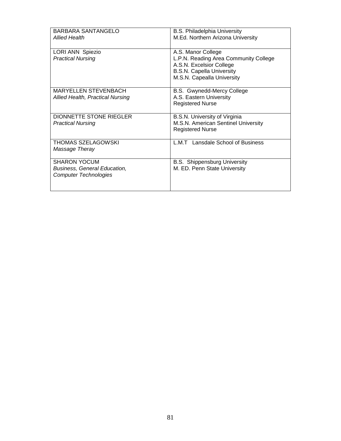| BARBARA SANTANGELO                                                                         | <b>B.S. Philadelphia University</b>                                                                                                                       |
|--------------------------------------------------------------------------------------------|-----------------------------------------------------------------------------------------------------------------------------------------------------------|
| <b>Allied Health</b>                                                                       | M.Ed. Northern Arizona University                                                                                                                         |
| LORI ANN Spiezio<br><b>Practical Nursing</b>                                               | A.S. Manor College<br>L.P.N. Reading Area Community College<br>A.S.N. Excelsior College<br><b>B.S.N. Capella University</b><br>M.S.N. Capealla University |
| MARYELLEN STEVENBACH<br>Allied Health, Practical Nursing                                   | B.S. Gwynedd-Mercy College<br>A.S. Eastern University<br><b>Registered Nurse</b>                                                                          |
| DIONNETTE STONE RIEGLER<br><b>Practical Nursing</b>                                        | B.S.N. University of Virginia<br>M.S.N. American Sentinel University<br><b>Registered Nurse</b>                                                           |
| THOMAS SZELAGOWSKI<br>Massage Theray                                                       | L.M.T Lansdale School of Business                                                                                                                         |
| <b>SHARON YOCUM</b><br><b>Business, General Education,</b><br><b>Computer Technologies</b> | <b>B.S. Shippensburg University</b><br>M. ED. Penn State University                                                                                       |